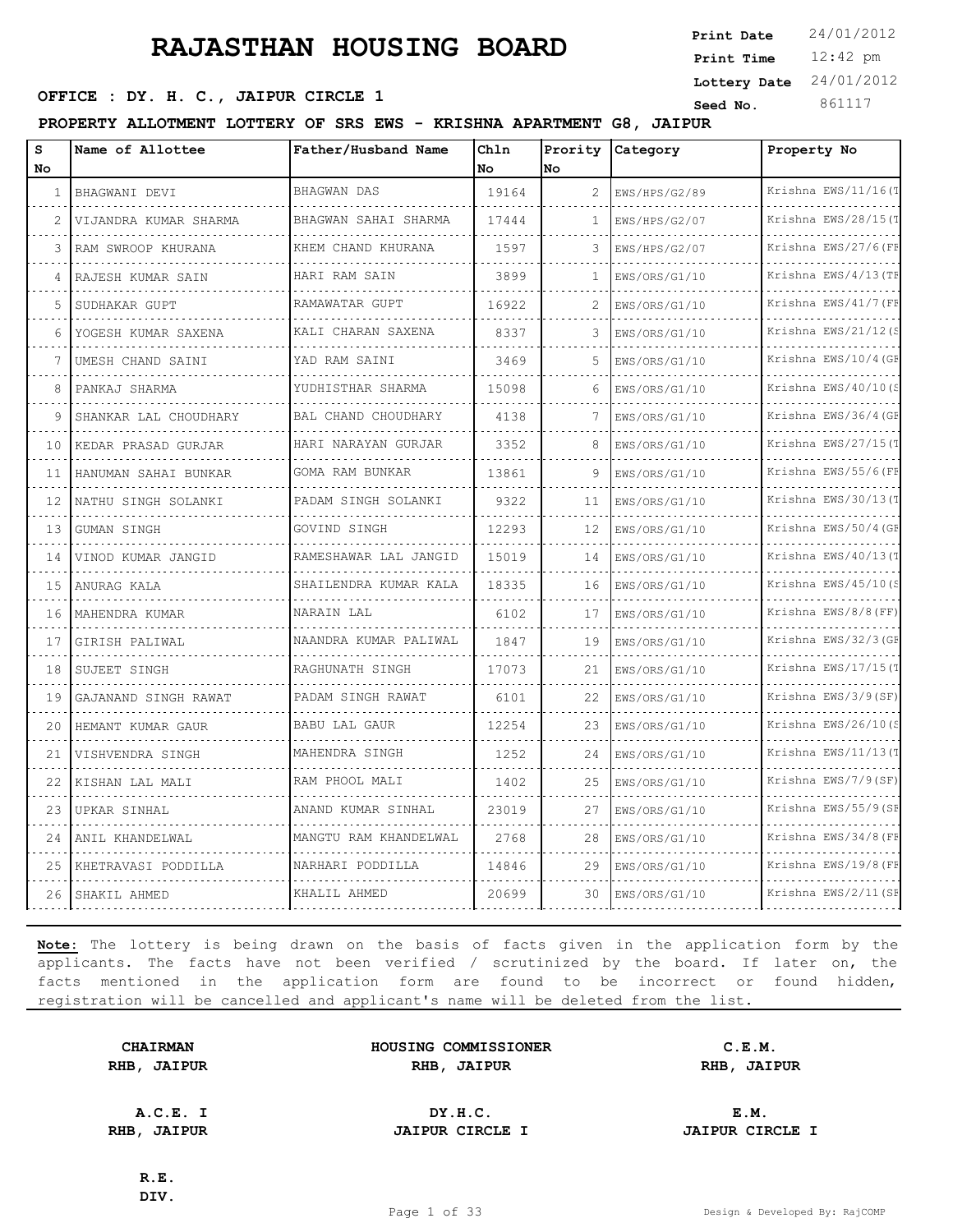12:42 pm **Print Time Print Date**  $24/01/2012$ **Lottery Date** 24/01/2012

### **SEED OFFICE : DY. H. C., JAIPUR CIRCLE 1 Seed No.** 861117

**PROPERTY ALLOTMENT LOTTERY OF SRS EWS - KRISHNA APARTMENT G8, JAIPUR**

| S<br>No | Name of Allottee      | Father/Husband Name        | Chln<br>No | Prority<br>lno | Category      | Property No          |
|---------|-----------------------|----------------------------|------------|----------------|---------------|----------------------|
| 1       | BHAGWANI DEVI         | <b>BHAGWAN DAS</b>         | 19164      | $\mathfrak{D}$ | EWS/HPS/G2/89 | Krishna EWS/11/16(T  |
| 2       | VIJANDRA KUMAR SHARMA | BHAGWAN SAHAI SHARMA       | 17444      | 1              | EWS/HPS/G2/07 | Krishna EWS/28/15(T  |
| 3       | RAM SWROOP KHURANA    | KHEM CHAND KHURANA         | 1597       | 3              | EWS/HPS/G2/07 | Krishna EWS/27/6(FF  |
|         | RAJESH KUMAR SAIN     | HARI RAM SAIN              | 3899       | -1             | EWS/ORS/G1/10 | Krishna EWS/4/13 (TE |
| 5       | SUDHAKAR GUPT         | RAMAWATAR GUPT             | 16922      | $\overline{c}$ | EWS/ORS/G1/10 | Krishna EWS/41/7 (FE |
| 6       | YOGESH KUMAR SAXENA   | KALI CHARAN SAXENA         | 8337       | 3              | EWS/ORS/G1/10 | Krishna EWS/21/12(S  |
|         | UMESH CHAND SAINI     | YAD RAM SAINI              | 3469       | .5             | EWS/ORS/G1/10 | Krishna EWS/10/4 (GE |
| 8       | PANKAJ SHARMA         | YUDHISTHAR SHARMA          | 15098      | 6              | EWS/ORS/G1/10 | Krishna EWS/40/10(S  |
| 9       | SHANKAR LAL CHOUDHARY | <b>BAL CHAND CHOUDHARY</b> | 4138       | 7              | EWS/ORS/G1/10 | Krishna EWS/36/4 (GE |
| 10      | KEDAR PRASAD GURJAR   | HARI NARAYAN GURJAR        | 3352       | 8              | EWS/ORS/G1/10 | Krishna EWS/27/15(1  |
| 11      | HANUMAN SAHAI BUNKAR  | GOMA RAM BUNKAR            | 13861      | 9              | EWS/ORS/G1/10 | Krishna EWS/55/6(FF  |
| 12      | NATHU SINGH SOLANKI   | PADAM SINGH SOLANKI<br>.   | 9322       | 11             | EWS/ORS/G1/10 | Krishna EWS/30/13(T  |
| 13      | GUMAN SINGH           | GOVIND SINGH               | 12293      | 12             | EWS/ORS/G1/10 | Krishna EWS/50/4 (GE |
| 14      | VINOD KUMAR JANGID    | RAMESHAWAR LAL JANGID      | 15019      | 14             | EWS/ORS/G1/10 | Krishna EWS/40/13(T  |
| 1.5     | ANURAG KALA           | SHAILENDRA KUMAR KALA      | 18335      | 16             | EWS/ORS/G1/10 | Krishna EWS/45/10(S  |
| 16      | MAHENDRA KUMAR        | NARAIN LAL                 | 6102       | 17             | EWS/ORS/G1/10 | Krishna EWS/8/8 (FF) |
| 17      | GIRISH PALIWAL        | NAANDRA KUMAR PALIWAL      | 1847       | 19             | EWS/ORS/G1/10 | Krishna EWS/32/3 (GE |
| 18      | SUJEET SINGH          | RAGHUNATH SINGH            | 17073      | 21             | EWS/ORS/G1/10 | Krishna EWS/17/15(T  |
| 19      | GAJANAND SINGH RAWAT  | PADAM SINGH RAWAT          | 6101       | 22             | EWS/ORS/G1/10 | Krishna EWS/3/9(SF)  |
| 20      | HEMANT KUMAR GAUR     | <b>BABU LAL GAUR</b>       | 12254      | 23             | EWS/ORS/G1/10 | Krishna EWS/26/10(S  |
| 21      | VISHVENDRA SINGH      | MAHENDRA SINGH             | 1252       | 24             | EWS/ORS/G1/10 | Krishna EWS/11/13(1  |
| 22      | KISHAN LAL MALI       | RAM PHOOL MALI             | 1402       | 25             | EWS/ORS/G1/10 | Krishna EWS/7/9(SF)  |
| 23      | UPKAR SINHAL          | ANAND KUMAR SINHAL         | 23019      | 27             | EWS/ORS/G1/10 | Krishna EWS/55/9(SE  |
| 24      | ANIL KHANDELWAL       | MANGTU RAM KHANDELWAL      | 2768       | 28             | EWS/ORS/G1/10 | Krishna EWS/34/8(FF  |
| 25      | KHETRAVASI PODDILLA   | NARHARI PODDILLA           | 14846      | 29             | EWS/ORS/G1/10 | Krishna EWS/19/8 (FI |
| 26      | SHAKIL AHMED          | KHALIL AHMED               | 20699      | 30             | EWS/ORS/G1/10 | Krishna EWS/2/11 (SE |

**Note:** The lottery is being drawn on the basis of facts given in the application form by the applicants. The facts have not been verified / scrutinized by the board. If later on, the facts mentioned in the application form are found to be incorrect or found hidden, registration will be cancelled and applicant's name will be deleted from the list.

|      | <b>CHAIRMAN</b> |
|------|-----------------|
| RHB, | <b>JAIPUR</b>   |

**HOUSING COMMISSIONER C.E.M. RHB, JAIPUR RHB, JAIPUR RHB, JAIPUR**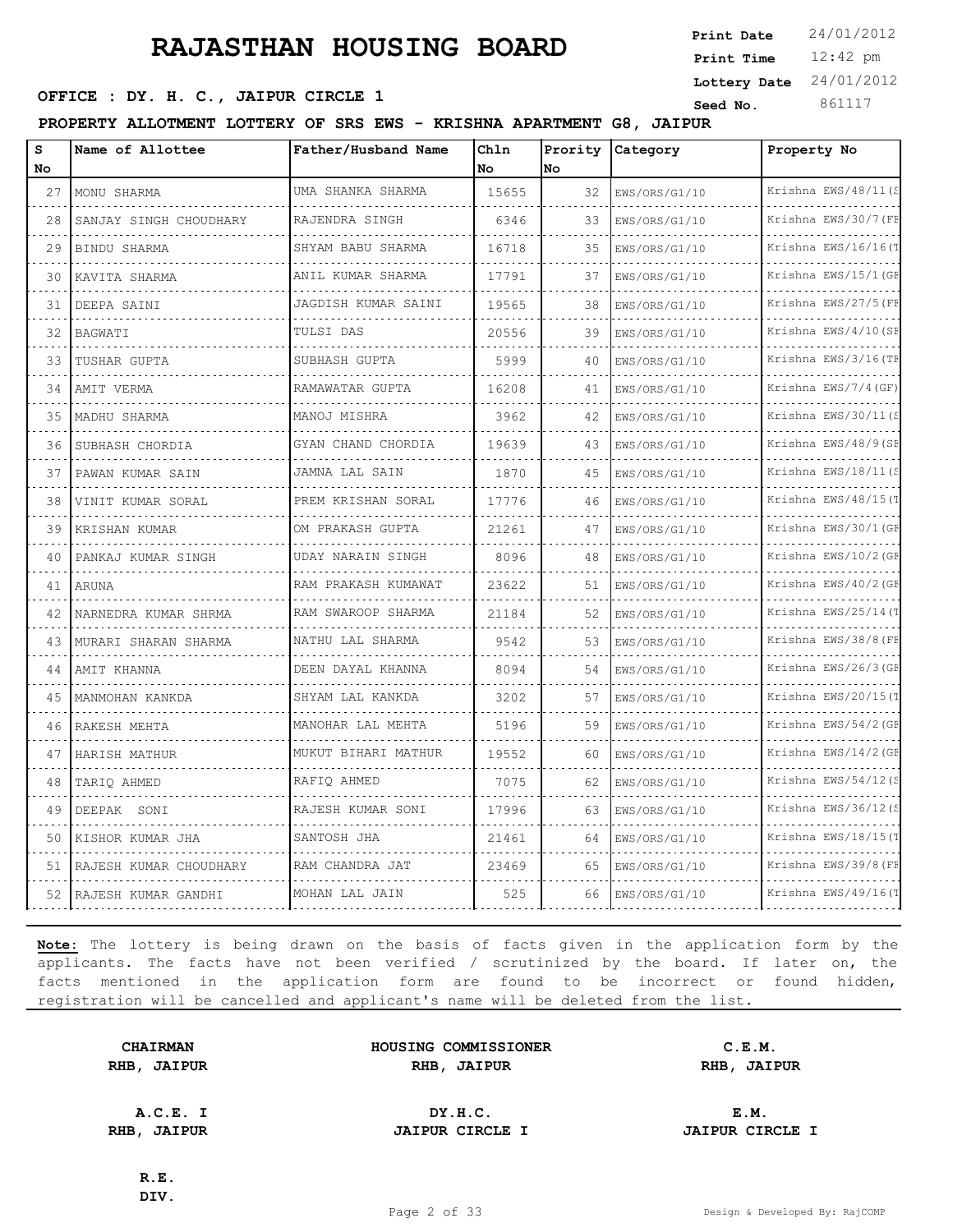**SEED OFFICE : DY. H. C., JAIPUR CIRCLE 1 Seed No.** 861117

**PROPERTY ALLOTMENT LOTTERY OF SRS EWS - KRISHNA APARTMENT G8, JAIPUR**

| s<br>No | Name of Allottee       | Father/Husband Name                   | Chln<br>No. | Prority<br>No. | Category      | Property No                      |
|---------|------------------------|---------------------------------------|-------------|----------------|---------------|----------------------------------|
| 27      | MONU SHARMA            | UMA SHANKA SHARMA                     | 15655       | 32             | EWS/ORS/G1/10 | Krishna EWS/48/11(S              |
| 28      | SANJAY SINGH CHOUDHARY | dia dia dia dia dia<br>RAJENDRA SINGH | 6346        | 33             | EWS/ORS/G1/10 | Krishna EWS/30/7 (FE             |
| 29      | BINDU SHARMA           | SHYAM BABU SHARMA                     | 16718       | 35             | EWS/ORS/G1/10 | Krishna EWS/16/16(1              |
| 30      | KAVITA SHARMA          | ANIL KUMAR SHARMA                     | 17791       | 37             | EWS/ORS/G1/10 | Krishna EWS/15/1 (GF             |
| 31      | DEEPA SAINI            | JAGDISH KUMAR SAINI                   | 19565       | 38             | EWS/ORS/G1/10 | Krishna EWS/27/5(FF              |
| 32      | BAGWATI                | TULSI DAS                             | 20556       | 39             | EWS/ORS/G1/10 | Krishna EWS/4/10 (SE             |
| 33      | TUSHAR GUPTA           | SUBHASH GUPTA                         | 5999        | 40             | EWS/ORS/G1/10 | Krishna EWS/3/16(TF              |
| 34      | AMIT VERMA             | RAMAWATAR GUPTA                       | 16208       | 41             | EWS/ORS/G1/10 | Krishna EWS/7/4 (GF)             |
| 35      | MADHU SHARMA           | MANOJ MISHRA                          | 3962        | 42             | EWS/ORS/G1/10 | Krishna EWS/30/11(S              |
| 36      | SUBHASH CHORDIA        | GYAN CHAND CHORDIA                    | 19639       | 43             | EWS/ORS/G1/10 | Krishna EWS/48/9(SE              |
| 37      | PAWAN KUMAR SAIN       | JAMNA LAL SAIN                        | 1870        | 45             | EWS/ORS/G1/10 | Krishna EWS/18/11(S              |
| 38      | VINIT KUMAR SORAL      | PREM KRISHAN SORAL                    | 17776       | 46             | EWS/ORS/G1/10 | Krishna EWS/48/15(T              |
| 39      | KRISHAN KUMAR          | OM PRAKASH GUPTA                      | 21261       | 47             | EWS/ORS/G1/10 | Krishna EWS/30/1 (GE             |
| 40      | PANKAJ KUMAR SINGH     | UDAY NARAIN SINGH                     | 8096        | 48             | EWS/ORS/G1/10 | <u>.</u><br>Krishna EWS/10/2 (GE |
| 41      | ARUNA                  | RAM PRAKASH KUMAWAT                   | 23622       | 51             | EWS/ORS/G1/10 | Krishna EWS/40/2 (GF             |
| 42      | NARNEDRA KUMAR SHRMA   | RAM SWAROOP SHARMA                    | 21184       | 52             | EWS/ORS/G1/10 | Krishna EWS/25/14(T              |
| 43      | MURARI SHARAN SHARMA   | NATHU LAL SHARMA                      | 9542        | 53             | EWS/ORS/G1/10 | Krishna EWS/38/8 (FE             |
| 44      | AMIT KHANNA            | DEEN DAYAL KHANNA                     | 8094        | 54             | EWS/ORS/G1/10 | Krishna EWS/26/3 (GE             |
| 45      | MANMOHAN KANKDA        | SHYAM LAL KANKDA                      | 3202        | 57             | EWS/ORS/G1/10 | Krishna EWS/20/15(1<br>.         |
| 46      | RAKESH MEHTA           | MANOHAR LAL MEHTA                     | 5196        | 59             | EWS/ORS/G1/10 | Krishna EWS/54/2 (GF             |
| 47      | HARISH MATHUR          | MUKUT BIHARI MATHUR                   | 19552       | 60             | EWS/ORS/G1/10 | Krishna EWS/14/2 (GE             |
| 48      | TARIQ AHMED            | RAFIQ AHMED                           | 7075        | 62             | EWS/ORS/G1/10 | Krishna EWS/54/12(S<br><u>.</u>  |
| 49      | DEEPAK SONI            | RAJESH KUMAR SONI                     | 17996       | 63             | EWS/ORS/G1/10 | Krishna EWS/36/12(S              |
| 50      | KISHOR KUMAR JHA       | SANTOSH JHA                           | 21461       | 64             | EWS/ORS/G1/10 | Krishna EWS/18/15(T              |
| 51      | RAJESH KUMAR CHOUDHARY | RAM CHANDRA JAT                       | 23469       | 65             | EWS/ORS/G1/10 | Krishna EWS/39/8 (FE             |
|         | 52 RAJESH KUMAR GANDHI | MOHAN LAL JAIN                        | 525         | 66             | EWS/ORS/G1/10 | Krishna EWS/49/16(1              |

**Note:** The lottery is being drawn on the basis of facts given in the application form by the applicants. The facts have not been verified / scrutinized by the board. If later on, the facts mentioned in the application form are found to be incorrect or found hidden, registration will be cancelled and applicant's name will be deleted from the list.

**CHAIRMAN HOUSING COMMISSIONER C.E.M. RHB, JAIPUR RHB, JAIPUR RHB, JAIPUR**

**A.C.E. I DY.H.C. E.M. RHB, JAIPUR JAIPUR CIRCLE I JAIPUR CIRCLE I**

**R.E. DIV.**

12:42 pm **Print Time Print Date**  $24/01/2012$ **Lottery Date** 24/01/2012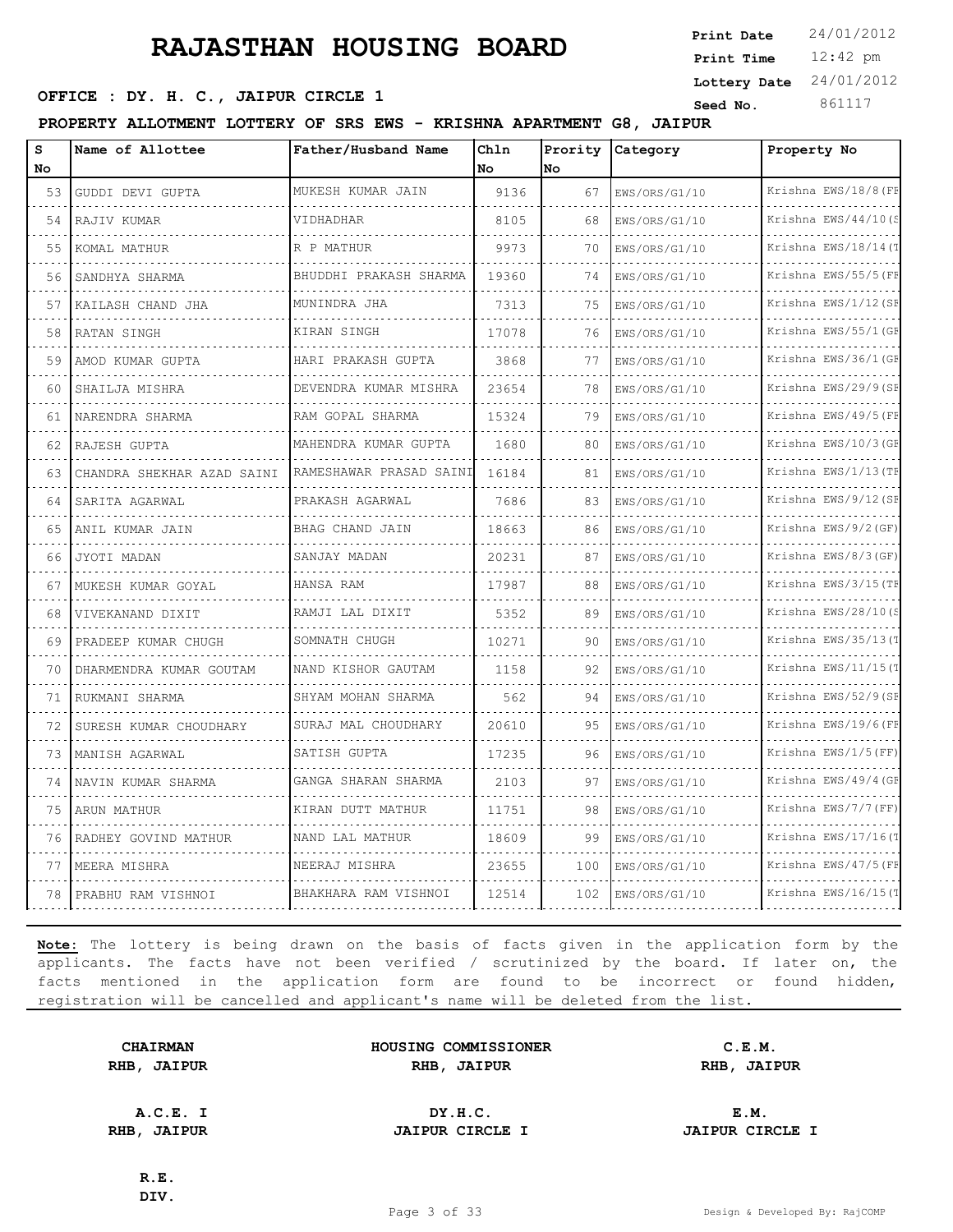**SEED OFFICE : DY. H. C., JAIPUR CIRCLE 1 Seed No.** 861117

**PROPERTY ALLOTMENT LOTTERY OF SRS EWS - KRISHNA APARTMENT G8, JAIPUR**

| s<br><b>No</b> | Name of Allottee           | Father/Husband Name     | Chln<br>No. | Prority<br>lNo. | Category      | Property No          |
|----------------|----------------------------|-------------------------|-------------|-----------------|---------------|----------------------|
| 53             | GUDDI DEVI GUPTA           | MUKESH KUMAR JAIN       | 9136        | 67              | EWS/ORS/G1/10 | Krishna EWS/18/8 (FF |
| 54             | RAJIV KUMAR                | VIDHADHAR               | 8105        | 68              | EWS/ORS/G1/10 | Krishna EWS/44/10(S  |
| 55             | KOMAL MATHUR               | R P MATHUR              | 9973        | 70              | EWS/ORS/G1/10 | Krishna EWS/18/14(T  |
| 56             | SANDHYA SHARMA             | BHUDDHI PRAKASH SHARMA  | 19360       | 74              | EWS/ORS/G1/10 | Krishna EWS/55/5 (FE |
| 57             | KAILASH CHAND JHA          | MUNINDRA JHA            | 7313        | 75              | EWS/ORS/G1/10 | Krishna EWS/1/12 (SE |
| 58             | RATAN SINGH                | KIRAN SINGH             | 17078       | 76              | EWS/ORS/G1/10 | Krishna EWS/55/1 (GF |
| 59             | AMOD KUMAR GUPTA           | HARI PRAKASH GUPTA      | 3868        | 77              | EWS/ORS/G1/10 | Krishna EWS/36/1 (GE |
| 60             | SHAILJA MISHRA             | DEVENDRA KUMAR MISHRA   | 23654       | 78              | EWS/ORS/G1/10 | Krishna EWS/29/9(SE  |
| 61             | NARENDRA SHARMA            | RAM GOPAL SHARMA        | 15324       | 79              | EWS/ORS/G1/10 | Krishna EWS/49/5 (FF |
| 62             | RAJESH GUPTA               | MAHENDRA KUMAR GUPTA    | 1680        | 80              | EWS/ORS/G1/10 | Krishna EWS/10/3 (GF |
| 63             | CHANDRA SHEKHAR AZAD SAINI | RAMESHAWAR PRASAD SAINI | 16184       | 81              | EWS/ORS/G1/10 | Krishna EWS/1/13 (TH |
| 64             | SARITA AGARWAL             | PRAKASH AGARWAL         | 7686        | 83              | EWS/ORS/G1/10 | Krishna EWS/9/12 (SE |
| 65             | ANIL KUMAR JAIN            | BHAG CHAND JAIN         | 18663       | 86              | EWS/ORS/G1/10 | Krishna EWS/9/2 (GF) |
| 66             | JYOTI MADAN                | SANJAY MADAN            | 20231       | 87              | EWS/ORS/G1/10 | Krishna EWS/8/3 (GF) |
| 67             | MUKESH KUMAR GOYAL         | HANSA RAM               | 17987       | 88              | EWS/ORS/G1/10 | Krishna EWS/3/15 (TF |
| 68             | VIVEKANAND DIXIT           | RAMJI LAL DIXIT         | 5352        | 89              | EWS/ORS/G1/10 | Krishna EWS/28/10(S  |
| 69             | PRADEEP KUMAR CHUGH        | SOMNATH CHUGH           | 10271       | 90              | EWS/ORS/G1/10 | Krishna EWS/35/13(T  |
| 70             | DHARMENDRA KUMAR GOUTAM    | NAND KISHOR GAUTAM      | 1158        | 92              | EWS/ORS/G1/10 | Krishna EWS/11/15(T  |
| 71             | RUKMANI SHARMA             | SHYAM MOHAN SHARMA<br>. | 562         | 94              | EWS/ORS/G1/10 | Krishna EWS/52/9(SF  |
| 72             | SURESH KUMAR CHOUDHARY     | SURAJ MAL CHOUDHARY     | 20610       | 95              | EWS/ORS/G1/10 | Krishna EWS/19/6(FE  |
| 73             | MANISH AGARWAL             | SATISH GUPTA            | 17235       | 96              | EWS/ORS/G1/10 | Krishna EWS/1/5 (FF) |
| 74             | NAVIN KUMAR SHARMA         | GANGA SHARAN SHARMA     | 2103        | 97              | EWS/ORS/G1/10 | Krishna EWS/49/4 (GF |
| 75             | ARUN MATHUR                | KIRAN DUTT MATHUR       | 11751       | 98              | EWS/ORS/G1/10 | Krishna EWS/7/7 (FF) |
| 76             | RADHEY GOVIND MATHUR       | NAND LAL MATHUR         | 18609       | 99              | EWS/ORS/G1/10 | Krishna EWS/17/16(1  |
| 77             | MEERA MISHRA               | NEERAJ MISHRA           | 23655       | 100             | EWS/ORS/G1/10 | Krishna EWS/47/5(FF  |
| 78             | PRABHU RAM VISHNOI         | BHAKHARA RAM VISHNOI    | 12514       | 102             | EWS/ORS/G1/10 | Krishna EWS/16/15(   |

**Note:** The lottery is being drawn on the basis of facts given in the application form by the applicants. The facts have not been verified / scrutinized by the board. If later on, the facts mentioned in the application form are found to be incorrect or found hidden, registration will be cancelled and applicant's name will be deleted from the list.

| <b>CHAIRMAN</b> |               |  |
|-----------------|---------------|--|
| RHB,            | <b>JAIPUR</b> |  |

**HOUSING COMMISSIONER C.E.M. RHB, JAIPUR RHB, JAIPUR RHB, JAIPUR**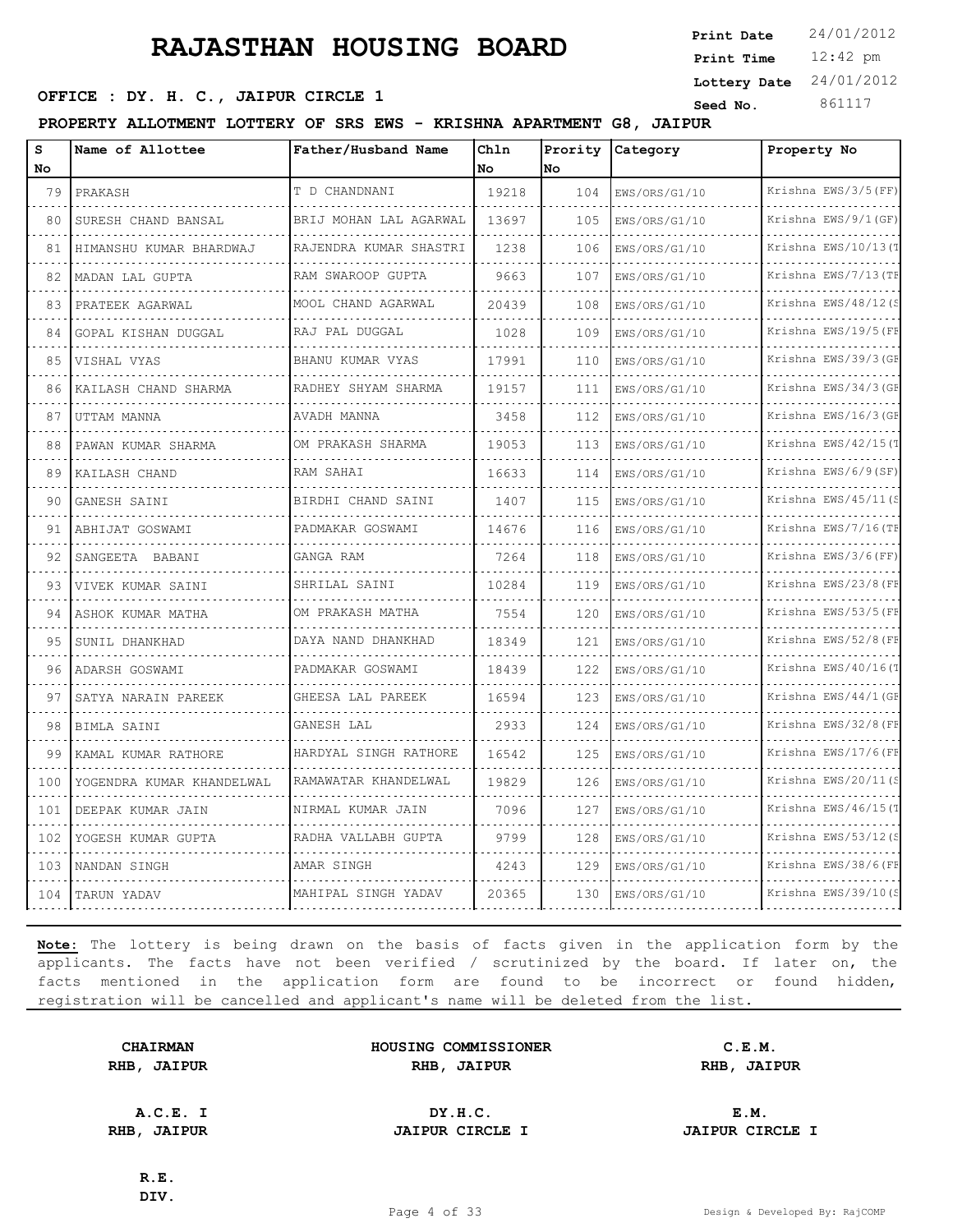12:42 pm **Print Time Print Date**  $24/01/2012$ **Lottery Date** 24/01/2012

### **SEED OFFICE : DY. H. C., JAIPUR CIRCLE 1 Seed No.** 861117

**PROPERTY ALLOTMENT LOTTERY OF SRS EWS - KRISHNA APARTMENT G8, JAIPUR**

| s<br>No | Name of Allottee          | Father/Husband Name     | Chln<br>No | Prority<br>No | <b>Category</b>    | Property No          |
|---------|---------------------------|-------------------------|------------|---------------|--------------------|----------------------|
| 79      | PRAKASH                   | T D CHANDNANI           | 19218      | 104           | EWS/ORS/G1/10      | Krishna EWS/3/5 (FF) |
| 80      | SURESH CHAND BANSAL       | BRIJ MOHAN LAL AGARWAL  | 13697      | 105           | EWS/ORS/G1/10      | Krishna EWS/9/1(GF)  |
| 81      | HIMANSHU KUMAR BHARDWAJ   | RAJENDRA KUMAR SHASTRI  | 1238       | 106           | EWS/ORS/G1/10      | Krishna EWS/10/13(T  |
| 82      | MADAN LAL GUPTA           | RAM SWAROOP GUPTA       | 9663       | 107           | EWS/ORS/G1/10      | Krishna EWS/7/13 (TE |
| 83      | PRATEEK AGARWAL           | .<br>MOOL CHAND AGARWAL | 20439      | 108           | .<br>EWS/ORS/G1/10 | Krishna EWS/48/12(S  |
| 84      | GOPAL KISHAN DUGGAL       | RAJ PAL DUGGAL          | 1028       | 109           | EWS/ORS/G1/10      | Krishna EWS/19/5 (FE |
| 85      | VISHAL VYAS               | BHANU KUMAR VYAS        | 17991      | 110           | EWS/ORS/G1/10      | Krishna EWS/39/3(GE  |
| 86      | KAILASH CHAND SHARMA      | RADHEY SHYAM SHARMA     | 19157      | 111           | EWS/ORS/G1/10      | Krishna EWS/34/3(GF  |
| 87      | UTTAM MANNA               | AVADH MANNA             | 3458       | 112           | EWS/ORS/G1/10      | Krishna EWS/16/3 (GE |
| 88      | PAWAN KUMAR SHARMA        | OM PRAKASH SHARMA       | 19053      | 113           | EWS/ORS/G1/10      | Krishna EWS/42/15(T  |
| 89      | KAILASH CHAND             | RAM SAHAI               | 16633      | 114           | EWS/ORS/G1/10      | Krishna EWS/6/9(SF)  |
| 90      | GANESH SAINI              | BIRDHI CHAND SAINI      | 1407       | 115           | EWS/ORS/G1/10      | Krishna EWS/45/11(S  |
| 91      | ABHIJAT GOSWAMI           | PADMAKAR GOSWAMI        | 14676      | 116           | EWS/ORS/G1/10      | Krishna EWS/7/16(TF  |
| 92      | SANGEETA BABANI           | GANGA RAM               | 7264       | 118           | EWS/ORS/G1/10      | Krishna EWS/3/6(FF)  |
| 93      | VIVEK KUMAR SAINI         | SHRILAL SAINI           | 10284      | 119           | EWS/ORS/G1/10      | Krishna EWS/23/8 (FE |
| 94      | ASHOK KUMAR MATHA         | OM PRAKASH MATHA        | 7554       | 120           | EWS/ORS/G1/10      | Krishna EWS/53/5 (FE |
| 95      | SUNIL DHANKHAD            | DAYA NAND DHANKHAD      | 18349      | 121           | EWS/ORS/G1/10      | Krishna EWS/52/8 (FF |
| 96      | ADARSH GOSWAMI            | PADMAKAR GOSWAMI        | 18439      | 122           | EWS/ORS/G1/10      | Krishna EWS/40/16(T  |
| 97      | SATYA NARAIN PAREEK       | GHEESA LAL PAREEK       | 16594      | 123           | EWS/ORS/G1/10      | Krishna EWS/44/1(GF  |
| 98      | BIMLA SAINI               | GANESH LAL              | 2933       | 124           | EWS/ORS/G1/10      | Krishna EWS/32/8 (FF |
| 99      | KAMAL KUMAR RATHORE       | HARDYAL SINGH RATHORE   | 16542      | 125           | EWS/ORS/G1/10      | Krishna EWS/17/6(FF  |
| 100     | YOGENDRA KUMAR KHANDELWAL | RAMAWATAR KHANDELWAL    | 19829      | 126           | EWS/ORS/G1/10      | Krishna EWS/20/11(S  |
| 101     | DEEPAK KUMAR JAIN         | NIRMAL KUMAR JAIN       | 7096       | 127           | EWS/ORS/G1/10      | Krishna EWS/46/15(T  |
| 102     | YOGESH KUMAR GUPTA        | RADHA VALLABH GUPTA     | 9799       | 128           | EWS/ORS/G1/10      | Krishna EWS/53/12(S  |
| 103     | NANDAN SINGH              | AMAR SINGH              | 4243       | 129           | EWS/ORS/G1/10      | Krishna EWS/38/6(FE  |
| 104     | TARUN YADAV               | MAHIPAL SINGH YADAV     | 20365      | 130           | EWS/ORS/G1/10      | Krishna EWS/39/10(S  |

**Note:** The lottery is being drawn on the basis of facts given in the application form by the applicants. The facts have not been verified / scrutinized by the board. If later on, the facts mentioned in the application form are found to be incorrect or found hidden, registration will be cancelled and applicant's name will be deleted from the list.

|      | <b>CHAIRMAN</b> |
|------|-----------------|
| RHB, | <b>JAIPUR</b>   |

| <b>CHAIRMAN</b>   | HOUSING COMMISSIONER | C.E.M.               |  |
|-------------------|----------------------|----------------------|--|
| <b>IB, JAIPUR</b> | RHB<br><b>JAIPUR</b> | RHB<br><b>JAIPUR</b> |  |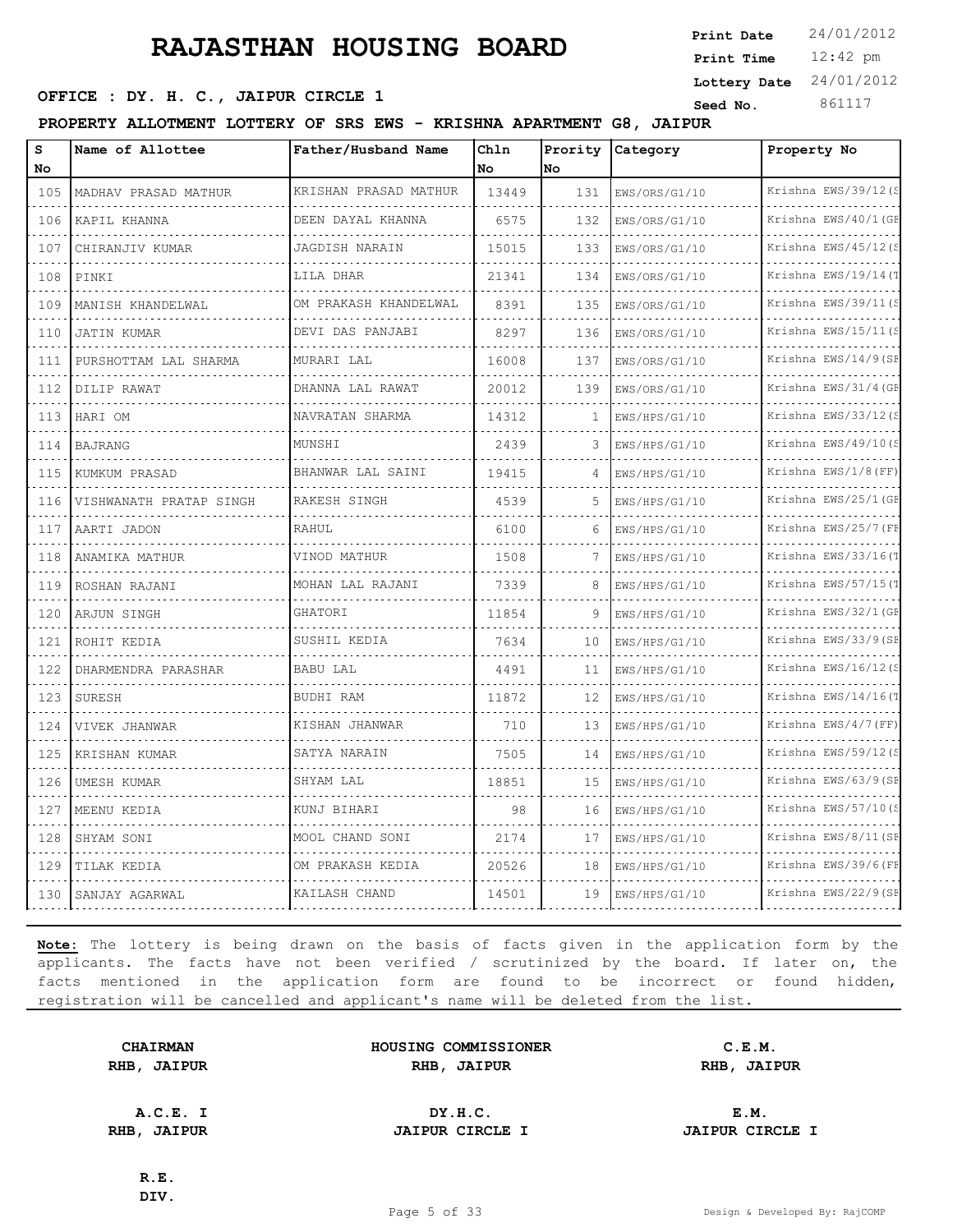**SEED OFFICE : DY. H. C., JAIPUR CIRCLE 1 Seed No.** 861117

**PROPERTY ALLOTMENT LOTTERY OF SRS EWS - KRISHNA APARTMENT G8, JAIPUR**

| s<br>No      | Name of Allottee        | Father/Husband Name   | Chln<br>No | Prority<br>No | Category      | Property No          |
|--------------|-------------------------|-----------------------|------------|---------------|---------------|----------------------|
| 105          | MADHAV PRASAD MATHUR    | KRISHAN PRASAD MATHUR | 13449      | 131           | EWS/ORS/G1/10 | Krishna EWS/39/12(S  |
| 106          | KAPIL KHANNA            | DEEN DAYAL KHANNA     | 6575       | 132           | EWS/ORS/G1/10 | Krishna EWS/40/1 (GF |
| 107          | CHIRANJIV KUMAR         | JAGDISH NARAIN        | 15015      | 133           | EWS/ORS/G1/10 | Krishna EWS/45/12 (S |
| 108          | PINKI                   | LILA DHAR             | 21341      | 134           | EWS/ORS/G1/10 | Krishna EWS/19/14(T  |
| 109          | MANISH KHANDELWAL       | OM PRAKASH KHANDELWAL | 8391       | 135           | EWS/ORS/G1/10 | Krishna EWS/39/11(   |
| $  -$<br>110 | <b>JATIN KUMAR</b>      | DEVI DAS PANJABI      | 8297       | 136           | EWS/ORS/G1/10 | Krishna EWS/15/11(S  |
| 111          | PURSHOTTAM LAL SHARMA   | MURARI LAL            | 16008      | 137           | EWS/ORS/G1/10 | Krishna EWS/14/9(SF  |
| 112          | DILIP RAWAT             | DHANNA LAL RAWAT      | 20012      | 139           | EWS/ORS/G1/10 | Krishna EWS/31/4 (GE |
| 113          | HARI OM                 | NAVRATAN SHARMA       | 14312      | 1             | EWS/HPS/G1/10 | Krishna EWS/33/12(S  |
| 114          | <b>BAJRANG</b>          | MUNSHI                | 2439       | 3             | EWS/HPS/G1/10 | Krishna EWS/49/10(S  |
| 115<br>.     | KUMKUM PRASAD           | BHANWAR LAL SAINI     | 19415      | 4             | EWS/HPS/G1/10 | Krishna EWS/1/8 (FF) |
| 116          | VISHWANATH PRATAP SINGH | RAKESH SINGH          | 4539       | 5             | EWS/HPS/G1/10 | Krishna EWS/25/1 (GF |
| 117          | AARTI JADON             | RAHUL                 | 6100       | 6             | EWS/HPS/G1/10 | Krishna EWS/25/7 (FF |
| 118<br>.     | ANAMIKA MATHUR          | VINOD MATHUR          | 1508       | 7             | EWS/HPS/G1/10 | Krishna EWS/33/16(1  |
| 119          | ROSHAN RAJANI           | MOHAN LAL RAJANI      | 7339       | 8             | EWS/HPS/G1/10 | Krishna EWS/57/15(1  |
| 120          | ARJUN SINGH             | GHATORI               | 11854      | 9             | EWS/HPS/G1/10 | Krishna EWS/32/1 (GF |
| 121          | ROHIT KEDIA             | SUSHIL KEDIA          | 7634       | 10            | EWS/HPS/G1/10 | Krishna EWS/33/9(SE  |
| 122          | DHARMENDRA PARASHAR     | <b>BABU LAL</b>       | 4491       | 11            | EWS/HPS/G1/10 | Krishna EWS/16/12(S  |
| 123          | <b>SURESH</b>           | BUDHI RAM             | 11872      | 12            | EWS/HPS/G1/10 | Krishna EWS/14/16(T  |
| 124<br>$  -$ | VIVEK JHANWAR           | KISHAN JHANWAR        | 710        | 13            | EWS/HPS/G1/10 | Krishna EWS/4/7 (FF) |
| 125<br>.     | KRISHAN KUMAR           | SATYA NARAIN          | 7505       | 14            | EWS/HPS/G1/10 | Krishna EWS/59/12(S  |
| 126          | UMESH KUMAR             | SHYAM LAL             | 18851      | 15            | EWS/HPS/G1/10 | Krishna EWS/63/9 (SE |
| 127          | MEENU KEDIA             | KUNJ BIHARI           | 98         | 16            | EWS/HPS/G1/10 | Krishna EWS/57/10(   |
| 128          | SHYAM SONI              | MOOL CHAND SONI       | 2174       | 17            | EWS/HPS/G1/10 | Krishna EWS/8/11 (SF |
| 129          | TILAK KEDIA             | OM PRAKASH KEDIA      | 20526      | 18            | EWS/HPS/G1/10 | Krishna EWS/39/6 (FF |
| 130          | SANJAY AGARWAL          | KAILASH CHAND         | 14501      | 19            | EWS/HPS/G1/10 | Krishna EWS/22/9(SE  |

**Note:** The lottery is being drawn on the basis of facts given in the application form by the applicants. The facts have not been verified / scrutinized by the board. If later on, the facts mentioned in the application form are found to be incorrect or found hidden, registration will be cancelled and applicant's name will be deleted from the list.

|      | <b>CHAIRMAN</b> |
|------|-----------------|
| RHB, | <b>JAIPUR</b>   |

**HOUSING COMMISSIONER C.E.M. RHB, JAIPUR RHB, JAIPUR RHB, JAIPUR**

**A.C.E. I DY.H.C. E.M. RHB, JAIPUR JAIPUR CIRCLE I JAIPUR CIRCLE I**

**R.E. DIV.**

12:42 pm **Print Time Print Date**  $24/01/2012$ **Lottery Date** 24/01/2012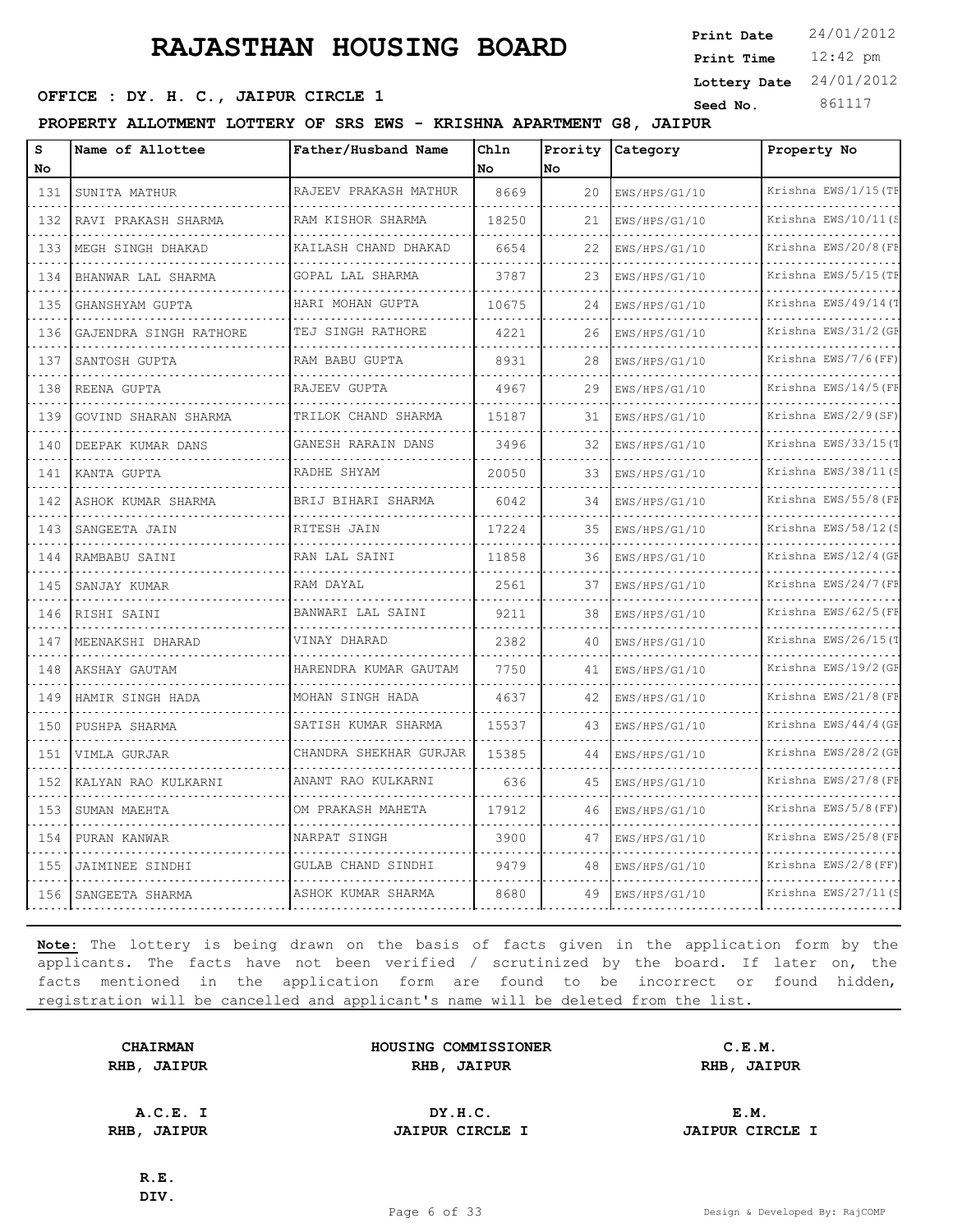12:42 pm **Print Time Print Date**  $24/01/2012$ **Lottery Date** 24/01/2012

### **SEED OFFICE : DY. H. C., JAIPUR CIRCLE 1 Seed No.** 861117

**PROPERTY ALLOTMENT LOTTERY OF SRS EWS - KRISHNA APARTMENT G8, JAIPUR**

| s<br>No                     | Name of Allottee       | Father/Husband Name       | Chln<br>No | Prority<br>No | Category      | Property No              |
|-----------------------------|------------------------|---------------------------|------------|---------------|---------------|--------------------------|
| 131                         | SUNITA MATHUR          | RAJEEV PRAKASH MATHUR     | 8669       | 20            | EWS/HPS/G1/10 | Krishna EWS/1/15 (TF     |
| a a a<br>132                | RAVI PRAKASH SHARMA    | RAM KISHOR SHARMA         | 18250      | 21            | EWS/HPS/G1/10 | .<br>Krishna EWS/10/11(S |
| 133                         | MEGH SINGH DHAKAD      | .<br>KAILASH CHAND DHAKAD | 6654       | 22            | EWS/HPS/G1/10 | Krishna EWS/20/8 (FE     |
| 134                         | BHANWAR LAL SHARMA     | GOPAL LAL SHARMA          | 3787       | 23            | EWS/HPS/G1/10 | Krishna EWS/5/15(TE      |
| .<br>135                    | GHANSHYAM GUPTA        | HARI MOHAN GUPTA          | 10675      | 24            | EWS/HPS/G1/10 | .<br>Krishna EWS/49/14(T |
| 136                         | GAJENDRA SINGH RATHORE | TEJ SINGH RATHORE         | 4221       | 26            | EWS/HPS/G1/10 | Krishna EWS/31/2 (GE     |
| 137                         | SANTOSH GUPTA          | RAM BABU GUPTA            | 8931       | 28            | EWS/HPS/G1/10 | Krishna EWS/7/6(FF)      |
| 138                         | REENA GUPTA            | RAJEEV GUPTA              | 4967       | 29            | EWS/HPS/G1/10 | Krishna EWS/14/5(FF      |
| $\sim$ $\sim$ $\sim$<br>139 | GOVIND SHARAN SHARMA   | TRILOK CHAND SHARMA       | 15187      | 31            | EWS/HPS/G1/10 | Krishna EWS/2/9(SF)      |
| $\sim$ $\sim$ $\sim$<br>140 | DEEPAK KUMAR DANS      | .<br>GANESH RARAIN DANS   | 3496       | 32            | EWS/HPS/G1/10 | .<br>Krishna EWS/33/15(T |
| 141                         | KANTA GUPTA            | RADHE SHYAM               | 20050      | 33            | EWS/HPS/G1/10 | Krishna EWS/38/11(S      |
| .<br>142                    | ASHOK KUMAR SHARMA     | BRIJ BIHARI SHARMA        | 6042       | 34            | EWS/HPS/G1/10 | Krishna EWS/55/8 (FF     |
| 143                         | SANGEETA JAIN          | RITESH JAIN               | 17224      | 35            | EWS/HPS/G1/10 | Krishna EWS/58/12(S      |
| .<br>144                    | RAMBABU SAINI          | RAN LAL SAINI             | 11858      | 36            | EWS/HPS/G1/10 | Krishna EWS/12/4 (GE     |
| .<br>145                    | SANJAY KUMAR           | RAM DAYAL                 | 2561       | 37            | EWS/HPS/G1/10 | Krishna EWS/24/7 (FE     |
| 146<br>.                    | RISHI SAINI            | BANWARI LAL SAINI         | 9211       | 38            | EWS/HPS/G1/10 | Krishna EWS/62/5 (FE     |
| 147<br>.                    | MEENAKSHI DHARAD       | VINAY DHARAD              | 2382       | 40            | EWS/HPS/G1/10 | Krishna EWS/26/15(T      |
| 148<br>.                    | AKSHAY GAUTAM          | HARENDRA KUMAR GAUTAM     | 7750       | 41            | EWS/HPS/G1/10 | Krishna EWS/19/2 (GE     |
| 149                         | HAMIR SINGH HADA       | MOHAN SINGH HADA          | 4637       | 42            | EWS/HPS/G1/10 | Krishna EWS/21/8 (FE     |
| 150                         | PUSHPA SHARMA          | SATISH KUMAR SHARMA       | 15537      | 43            | EWS/HPS/G1/10 | Krishna EWS/44/4 (GF     |
| 151<br>.                    | VIMLA GURJAR           | CHANDRA SHEKHAR GURJAR    | 15385      | 44            | EWS/HPS/G1/10 | Krishna EWS/28/2(GE<br>. |
| 152<br>.                    | KALYAN RAO KULKARNI    | ANANT RAO KULKARNI<br>.   | 636        | 45            | EWS/HPS/G1/10 | Krishna EWS/27/8(FE      |
| 153                         | SUMAN MAEHTA           | OM PRAKASH MAHETA         | 17912      | 46            | EWS/HPS/G1/10 | Krishna EWS/5/8 (FF)     |
| 154<br>.                    | PURAN KANWAR           | NARPAT SINGH<br>.         | 3900       | 47            | EWS/HPS/G1/10 | Krishna EWS/25/8(FE      |
| 155                         | JAIMINEE SINDHI        | GULAB CHAND SINDHI<br>.   | 9479       | 48            | EWS/HPS/G1/10 | Krishna EWS/2/8 (FF)     |
| 156                         | SANGEETA SHARMA        | ASHOK KUMAR SHARMA        | 8680       | 49            | EWS/HPS/G1/10 | Krishna EWS/27/11(S      |
|                             |                        |                           |            |               |               |                          |

**Note:** The lottery is being drawn on the basis of facts given in the application form by the applicants. The facts have not been verified / scrutinized by the board. If later on, the facts mentioned in the application form are found to be incorrect or found hidden, registration will be cancelled and applicant's name will be deleted from the list.

|      | <b>CHAIRMAN</b> |
|------|-----------------|
| RHB, | <b>JAIPUR</b>   |

**HOUSING COMMISSIONER C.E.M. RHB, JAIPUR RHB, JAIPUR RHB, JAIPUR**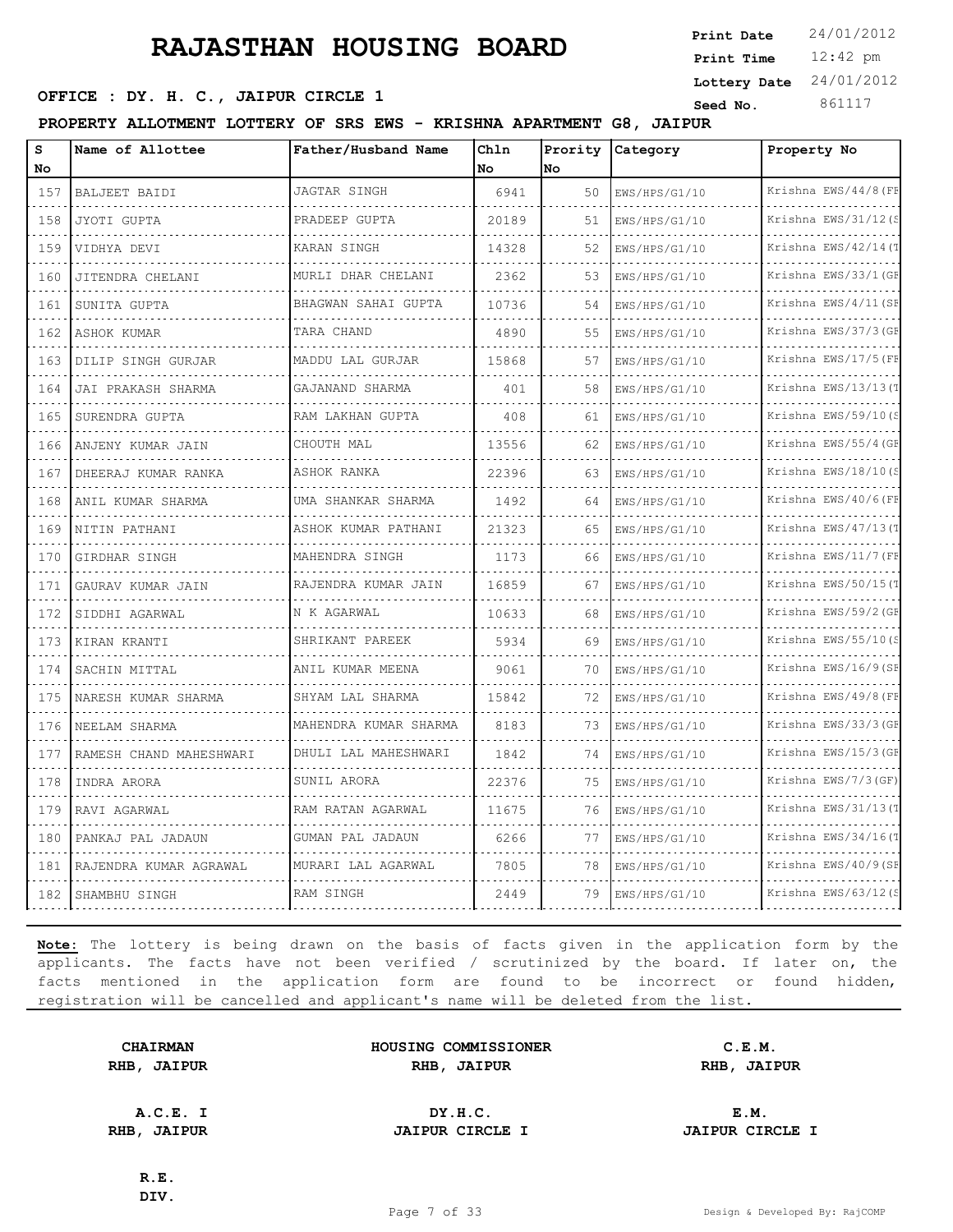**SEED OFFICE : DY. H. C., JAIPUR CIRCLE 1 Seed No.** 861117

**PROPERTY ALLOTMENT LOTTERY OF SRS EWS - KRISHNA APARTMENT G8, JAIPUR**

| s<br>No        | Name of Allottee        | Father/Husband Name    | Chln<br>No | Prority<br>lno. | <b>Category</b>                    | Property No               |
|----------------|-------------------------|------------------------|------------|-----------------|------------------------------------|---------------------------|
| 157            | BALJEET BAIDI           | JAGTAR SINGH           | 6941       | 50              | EWS/HPS/G1/10                      | Krishna EWS/44/8 (FF      |
| 158            | JYOTI GUPTA             | PRADEEP GUPTA          | 20189      | 51              | EWS/HPS/G1/10                      | .<br>Krishna EWS/31/12(S  |
| 159            | VIDHYA DEVI             | KARAN SINGH            | 14328      | 52              | EWS/HPS/G1/10                      | Krishna EWS/42/14(T       |
| 160            | JITENDRA CHELANI        | MURLI DHAR CHELANI     | 2362       | 53              | EWS/HPS/G1/10                      | Krishna EWS/33/1 (GF      |
| .<br>161       | SUNITA GUPTA            | BHAGWAN SAHAI GUPTA    | 10736      | 54              | EWS/HPS/G1/10                      | Krishna EWS/4/11 (SF      |
| 162            | ASHOK KUMAR             | TARA CHAND             | 4890       | 55              | EWS/HPS/G1/10                      | Krishna EWS/37/3 (GF      |
| 163            | DILIP SINGH GURJAR      | MADDU LAL GURJAR       | 15868      | 57              | EWS/HPS/G1/10                      | Krishna EWS/17/5 (FB      |
| .<br>164       | JAI PRAKASH SHARMA      | GAJANAND SHARMA        | 401        | 58              | EWS/HPS/G1/10                      | Krishna EWS/13/13(1       |
| 165            | SURENDRA GUPTA          | RAM LAKHAN GUPTA       | 408        | 61              | EWS/HPS/G1/10                      | Krishna EWS/59/10(S       |
| 166            | ANJENY KUMAR JAIN<br>.  | CHOUTH MAL             | 13556      | 62              | EWS/HPS/G1/10                      | Krishna EWS/55/4 (GF<br>. |
| .<br>167       | DHEERAJ KUMAR RANKA     | ASHOK RANKA            | 22396      | 63              | EWS/HPS/G1/10                      | Krishna EWS/18/10(S       |
| 168            | ANIL KUMAR SHARMA       | UMA SHANKAR SHARMA     | 1492       | 64              | EWS/HPS/G1/10                      | Krishna EWS/40/6(FF       |
| 169            | NITIN PATHANI           | ASHOK KUMAR PATHANI    | 21323      | 65              | EWS/HPS/G1/10                      | Krishna EWS/47/13(1       |
| 170            | GIRDHAR SINGH           | MAHENDRA SINGH<br>.    | 1173       | 66              | EWS/HPS/G1/10<br>dia dia dia dia 4 | Krishna EWS/11/7 (FF      |
| 171            | GAURAV KUMAR JAIN       | RAJENDRA KUMAR JAIN    | 16859      | 67              | EWS/HPS/G1/10                      | Krishna EWS/50/15(T       |
| 172            | SIDDHI AGARWAL          | N K AGARWAL            | 10633      | 68              | EWS/HPS/G1/10                      | Krishna EWS/59/2 (GF      |
| د د د د<br>173 | KIRAN KRANTI            | SHRIKANT PAREEK        | 5934       | 69              | EWS/HPS/G1/10                      | Krishna EWS/55/10(S       |
| 174            | SACHIN MITTAL           | ANIL KUMAR MEENA       | 9061       | 70              | EWS/HPS/G1/10                      | Krishna EWS/16/9(SF       |
| 175<br>.       | NARESH KUMAR SHARMA     | SHYAM LAL SHARMA<br>.  | 15842      | 72              | EWS/HPS/G1/10                      | Krishna EWS/49/8 (FI<br>. |
| 176            | NEELAM SHARMA           | MAHENDRA KUMAR SHARMA  | 8183       | 73              | EWS/HPS/G1/10                      | Krishna EWS/33/3 (GF      |
| 177            | RAMESH CHAND MAHESHWARI | DHULI LAL MAHESHWARI   | 1842       | 74              | EWS/HPS/G1/10                      | Krishna EWS/15/3 (GF      |
| 178<br>.       | INDRA ARORA             | SUNIL ARORA            | 22376      | 75              | EWS/HPS/G1/10                      | Krishna EWS/7/3 (GF)      |
| 179            | RAVI AGARWAL            | RAM RATAN AGARWAL<br>. | 11675      | 76              | EWS/HPS/G1/10                      | Krishna EWS/31/13(T       |
| 180            | PANKAJ PAL JADAUN       | GUMAN PAL JADAUN       | 6266       | 77              | EWS/HPS/G1/10                      | Krishna EWS/34/16(1       |
| 181            | RAJENDRA KUMAR AGRAWAL  | MURARI LAL AGARWAL     | 7805       | 78              | EWS/HPS/G1/10                      | Krishna EWS/40/9(SI       |
| 182            | SHAMBHU SINGH           | RAM SINGH              | 2449       | 79              | EWS/HPS/G1/10                      | Krishna EWS/63/12(        |

**Note:** The lottery is being drawn on the basis of facts given in the application form by the applicants. The facts have not been verified / scrutinized by the board. If later on, the facts mentioned in the application form are found to be incorrect or found hidden, registration will be cancelled and applicant's name will be deleted from the list.

| <b>CHAIRMAN</b> |               |  |  |  |  |
|-----------------|---------------|--|--|--|--|
| RHB,            | <b>JAIPUR</b> |  |  |  |  |

**CHAIRMAN HOUSING COMMISSIONER C.E.M. RHB, JAIPUR RHB, JAIPUR RHB, JAIPUR**

**A.C.E. I DY.H.C. E.M. RHB, JAIPUR JAIPUR CIRCLE I JAIPUR CIRCLE I**

12:42 pm **Print Time**

**Print Date**  $24/01/2012$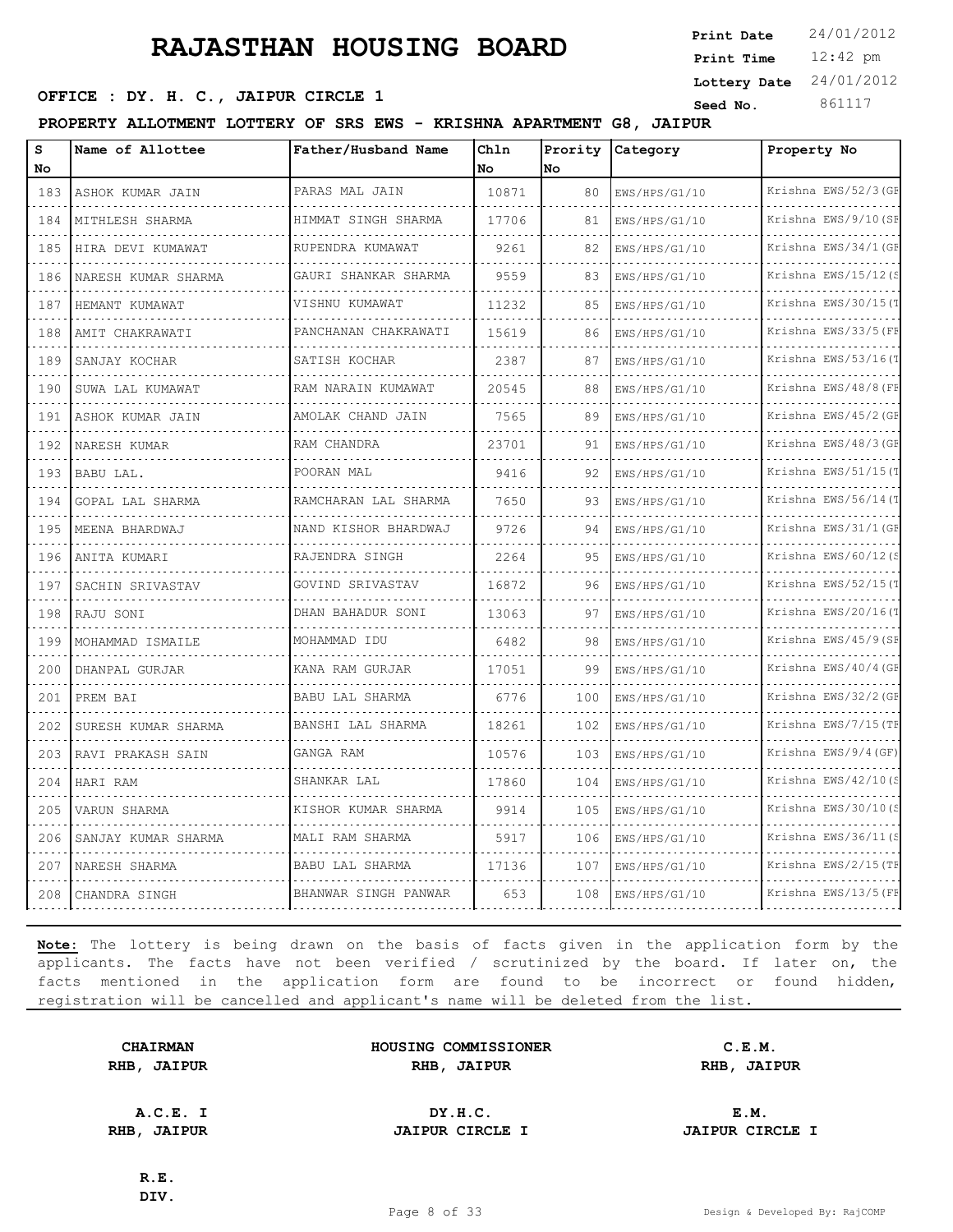12:42 pm **Print Time Print Date**  $24/01/2012$ **Lottery Date** 24/01/2012

### **SEED OFFICE : DY. H. C., JAIPUR CIRCLE 1 Seed No.** 861117

**PROPERTY ALLOTMENT LOTTERY OF SRS EWS - KRISHNA APARTMENT G8, JAIPUR**

| s<br>No        | Name of Allottee    | Father/Husband Name       | Chln<br>No. | Prority<br><b>No</b> | Category      | Property No              |
|----------------|---------------------|---------------------------|-------------|----------------------|---------------|--------------------------|
| 183            | ASHOK KUMAR JAIN    | PARAS MAL JAIN            | 10871       | 80                   | EWS/HPS/G1/10 | Krishna EWS/52/3 (GF     |
| .<br>184       | MITHLESH SHARMA     | HIMMAT SINGH SHARMA       | 17706       | 81                   | EWS/HPS/G1/10 | Krishna EWS/9/10(SF      |
| 185            | HIRA DEVI KUMAWAT   | .<br>RUPENDRA KUMAWAT     | 9261        | 82                   | EWS/HPS/G1/10 | Krishna EWS/34/1 (GF     |
| 186            | NARESH KUMAR SHARMA | GAURI SHANKAR SHARMA      | 9559        | 83                   | EWS/HPS/G1/10 | Krishna EWS/15/12(S      |
| .<br>187       | HEMANT KUMAWAT      | .<br>VISHNU KUMAWAT       | 11232       | 85                   | EWS/HPS/G1/10 | .<br>Krishna EWS/30/15(1 |
| 188            | AMIT CHAKRAWATI     | PANCHANAN CHAKRAWATI      | 15619       | 86                   | EWS/HPS/G1/10 | Krishna EWS/33/5 (FE     |
| 189            | SANJAY KOCHAR       | SATISH KOCHAR             | 2387        | 87                   | EWS/HPS/G1/10 | Krishna EWS/53/16(T      |
| i di di<br>190 | SUWA LAL KUMAWAT    | RAM NARAIN KUMAWAT        | 20545       | 88                   | EWS/HPS/G1/10 | Krishna EWS/48/8(FE      |
| 191            | ASHOK KUMAR JAIN    | AMOLAK CHAND JAIN         | 7565        | 89                   | EWS/HPS/G1/10 | Krishna EWS/45/2 (GE     |
| 192            | NARESH KUMAR        | RAM CHANDRA<br>.          | 23701       | 91                   | EWS/HPS/G1/10 | Krishna EWS/48/3 (GE     |
| 193            | BABU LAL.           | POORAN MAL                | 9416        | 92                   | EWS/HPS/G1/10 | Krishna EWS/51/15(T      |
| 194            | GOPAL LAL SHARMA    | RAMCHARAN LAL SHARMA      | 7650        | 93                   | EWS/HPS/G1/10 | Krishna EWS/56/14(T      |
| 195<br>.       | MEENA BHARDWAJ      | NAND KISHOR BHARDWAJ<br>. | 9726        | 94                   | EWS/HPS/G1/10 | Krishna EWS/31/1(GE      |
| 196            | ANITA KUMARI        | RAJENDRA SINGH            | 2264        | 95                   | EWS/HPS/G1/10 | Krishna EWS/60/12(S      |
| 197            | SACHIN SRIVASTAV    | GOVIND SRIVASTAV          | 16872       | 96                   | EWS/HPS/G1/10 | Krishna EWS/52/15(T      |
| 198            | RAJU SONI           | DHAN BAHADUR SONI         | 13063       | 97                   | EWS/HPS/G1/10 | Krishna EWS/20/16(1      |
| 199            | MOHAMMAD ISMAILE    | MOHAMMAD IDU              | 6482        | 98                   | EWS/HPS/G1/10 | Krishna EWS/45/9 (SE     |
| 200            | DHANPAL GURJAR      | KANA RAM GURJAR           | 17051       | 99                   | EWS/HPS/G1/10 | Krishna EWS/40/4 (GE     |
| 201            | PREM BAI            | <b>BABU LAL SHARMA</b>    | 6776        | 100                  | EWS/HPS/G1/10 | Krishna EWS/32/2(GF      |
| 202            | SURESH KUMAR SHARMA | BANSHI LAL SHARMA         | 18261       | 102                  | EWS/HPS/G1/10 | Krishna EWS/7/15(TH      |
| 203            | RAVI PRAKASH SAIN   | GANGA RAM                 | 10576       | 103                  | EWS/HPS/G1/10 | Krishna EWS/9/4 (GF)     |
| 204            | HARI RAM            | SHANKAR LAL               | 17860       | 104                  | EWS/HPS/G1/10 | Krishna EWS/42/10(S      |
| 205            | VARUN SHARMA        | KISHOR KUMAR SHARMA       | 9914        | 105                  | EWS/HPS/G1/10 | Krishna EWS/30/10(S      |
| 206            | SANJAY KUMAR SHARMA | MALI RAM SHARMA           | 5917        | 106                  | EWS/HPS/G1/10 | Krishna EWS/36/11(S      |
| 207            | NARESH SHARMA       | <b>BABU LAL SHARMA</b>    | 17136       | 107                  | EWS/HPS/G1/10 | Krishna EWS/2/15 (TE     |
| 208            | CHANDRA SINGH       | BHANWAR SINGH PANWAR      | 653         | 108                  | EWS/HPS/G1/10 | Krishna EWS/13/5 (FE     |

**Note:** The lottery is being drawn on the basis of facts given in the application form by the applicants. The facts have not been verified / scrutinized by the board. If later on, the facts mentioned in the application form are found to be incorrect or found hidden, registration will be cancelled and applicant's name will be deleted from the list.

|      | <b>CHAIRMAN</b> |
|------|-----------------|
| RHB, | <b>JAIPUR</b>   |

| <b>CHAIRMAN</b>   | HOUSING COMMISSIONER | C.E.M.               |  |
|-------------------|----------------------|----------------------|--|
| <b>IB, JAIPUR</b> | RHB<br><b>JAIPUR</b> | RHB<br><b>JAIPUR</b> |  |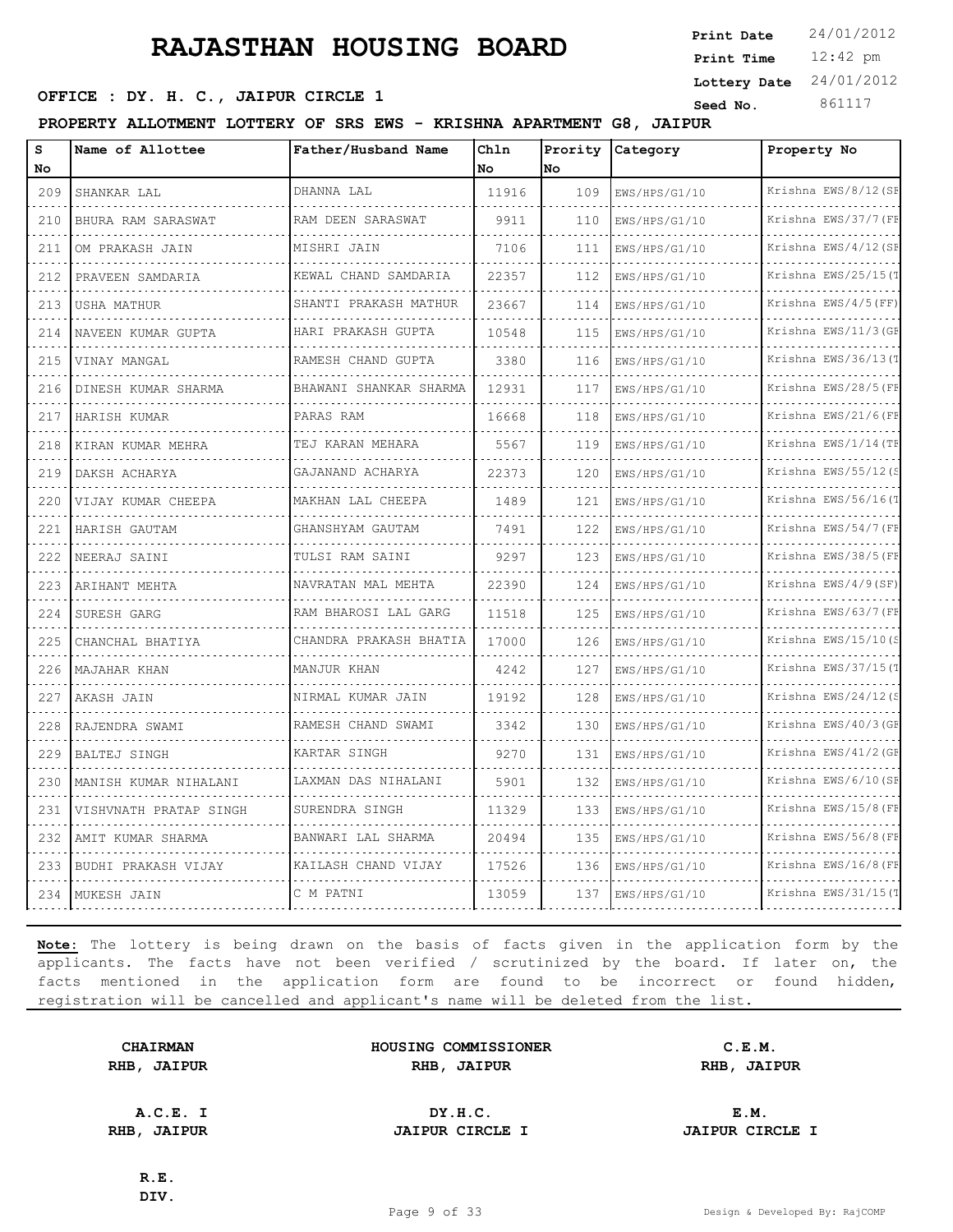12:42 pm **Print Time Print Date**  $24/01/2012$ **Lottery Date** 24/01/2012

### **SEED OFFICE : DY. H. C., JAIPUR CIRCLE 1 Seed No.** 861117

**PROPERTY ALLOTMENT LOTTERY OF SRS EWS - KRISHNA APARTMENT G8, JAIPUR**

| S<br>No                            | Name of Allottee        | Father/Husband Name     | Chln<br>No | Prority<br>lno | Category      | Property No               |
|------------------------------------|-------------------------|-------------------------|------------|----------------|---------------|---------------------------|
| 209                                | SHANKAR LAL             | DHANNA LAL              | 11916      | 109            | EWS/HPS/G1/10 | Krishna EWS/8/12 (SF      |
| لتنبذ<br>210                       | .<br>BHURA RAM SARASWAT | RAM DEEN SARASWAT       | 9911       | 110            | EWS/HPS/G1/10 | .<br>Krishna EWS/37/7 (FF |
| 211                                | OM PRAKASH JAIN         | MISHRI JAIN             | 7106       | 111            | EWS/HPS/G1/10 | Krishna EWS/4/12 (SE      |
| 212                                | PRAVEEN SAMDARIA        | KEWAL CHAND SAMDARIA    | 22357      | 112            | EWS/HPS/G1/10 | Krishna EWS/25/15(T       |
| $\sim$ $\sim$ $\sim$<br>213        | USHA MATHUR             | SHANTI PRAKASH MATHUR   | 23667      | 114            | EWS/HPS/G1/10 | Krishna EWS/4/5(FF)       |
| 214                                | NAVEEN KUMAR GUPTA      | HARI PRAKASH GUPTA      | 10548      | 115            | EWS/HPS/G1/10 | Krishna EWS/11/3 (GE      |
| 215                                | VINAY MANGAL            | RAMESH CHAND GUPTA      | 3380       | 116            | EWS/HPS/G1/10 | Krishna EWS/36/13(T       |
| .<br>216                           | DINESH KUMAR SHARMA     | BHAWANI SHANKAR SHARMA  | 12931      | 117            | EWS/HPS/G1/10 | Krishna EWS/28/5 (FE      |
| 217                                | HARISH KUMAR            | PARAS RAM               | 16668      | 118            | EWS/HPS/G1/10 | Krishna EWS/21/6(FF       |
| 218<br>.                           | KIRAN KUMAR MEHRA       | TEJ KARAN MEHARA        | 5567       | 119            | EWS/HPS/G1/10 | Krishna EWS/1/14(TE       |
| 219                                | DAKSH ACHARYA           | GAJANAND ACHARYA        | 22373      | 120            | EWS/HPS/G1/10 | Krishna EWS/55/12(S       |
| 220                                | VIJAY KUMAR CHEEPA      | MAKHAN LAL CHEEPA<br>.  | 1489       | 121            | EWS/HPS/G1/10 | Krishna EWS/56/16(T       |
| 221<br>.                           | HARISH GAUTAM           | GHANSHYAM GAUTAM        | 7491       | 122            | EWS/HPS/G1/10 | Krishna EWS/54/7(FE       |
| 222<br>$\sim$ $\sim$ $\sim$        | NEERAJ SAINI            | TULSI RAM SAINI         | 9297       | 123            | EWS/HPS/G1/10 | Krishna EWS/38/5 (FE      |
| 223                                | ARIHANT MEHTA           | NAVRATAN MAL MEHTA<br>. | 22390      | 124            | EWS/HPS/G1/10 | Krishna EWS/4/9(SF)       |
| 224                                | SURESH GARG             | RAM BHAROSI LAL GARG    | 11518      | 125            | EWS/HPS/G1/10 | Krishna EWS/63/7(FF       |
| 225<br>$\sim$ $\sim$ $\sim$ $\sim$ | CHANCHAL BHATIYA        | CHANDRA PRAKASH BHATIA  | 17000      | 126            | EWS/HPS/G1/10 | Krishna EWS/15/10(S       |
| 226                                | MAJAHAR KHAN            | MANJUR KHAN             | 42.42      | 127            | EWS/HPS/G1/10 | Krishna EWS/37/15(T       |
| 227                                | AKASH JAIN              | NIRMAL KUMAR JAIN       | 19192      | 128            | EWS/HPS/G1/10 | Krishna EWS/24/12(S       |
| 228<br>$\sim$ $\sim$ $\sim$ $\sim$ | RAJENDRA SWAMI          | RAMESH CHAND SWAMI      | 3342       | 130            | EWS/HPS/G1/10 | Krishna EWS/40/3(GE       |
| 229                                | <b>BALTEJ SINGH</b>     | KARTAR SINGH            | 9270       | 131            | EWS/HPS/G1/10 | Krishna EWS/41/2 (GE      |
| 230                                | MANISH KUMAR NIHALANI   | LAXMAN DAS NIHALANI     | 5901       | 132            | EWS/HPS/G1/10 | Krishna EWS/6/10 (SE      |
| 231                                | VISHVNATH PRATAP SINGH  | SURENDRA SINGH          | 11329      | 133            | EWS/HPS/G1/10 | Krishna EWS/15/8 (FE      |
| 232                                | AMIT KUMAR SHARMA       | BANWARI LAL SHARMA      | 20494      | 135            | EWS/HPS/G1/10 | Krishna EWS/56/8 (FF      |
| 233                                | BUDHI PRAKASH VIJAY     | KAILASH CHAND VIJAY     | 17526      | 136            | EWS/HPS/G1/10 | Krishna EWS/16/8 (FI      |
| 234                                | MUKESH JAIN             | C M PATNI               | 13059      | 137            | EWS/HPS/G1/10 | Krishna EWS/31/15(T       |

**Note:** The lottery is being drawn on the basis of facts given in the application form by the applicants. The facts have not been verified / scrutinized by the board. If later on, the facts mentioned in the application form are found to be incorrect or found hidden, registration will be cancelled and applicant's name will be deleted from the list.

|      | <b>CHAIRMAN</b> |
|------|-----------------|
| RHB, | <b>JAIPUR</b>   |

| <b>CHAIRMAN</b>   | HOUSING COMMISSIONER | C.E.M.               |  |
|-------------------|----------------------|----------------------|--|
| <b>IB, JAIPUR</b> | RHB<br><b>JAIPUR</b> | RHB<br><b>JAIPUR</b> |  |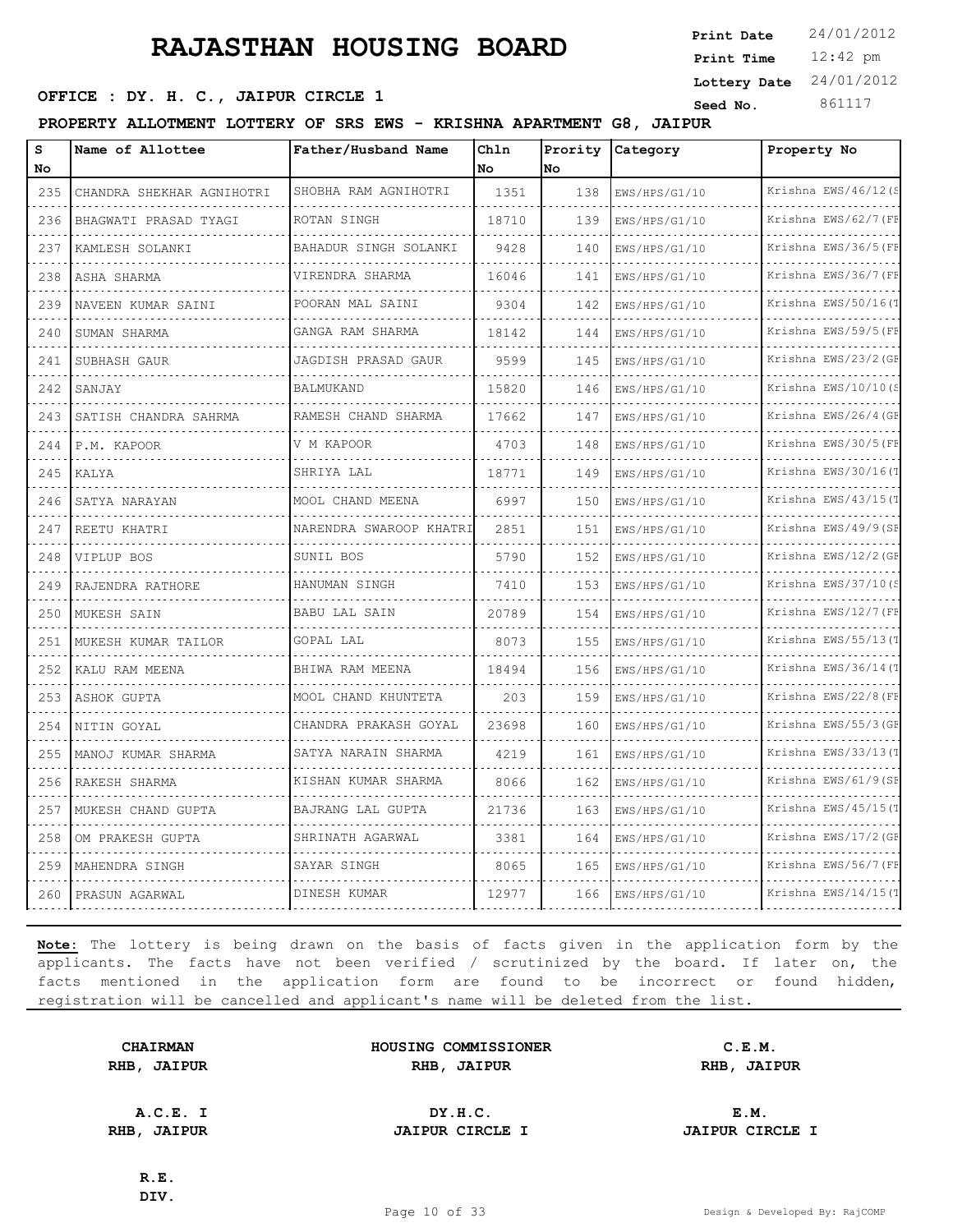**SEED OFFICE : DY. H. C., JAIPUR CIRCLE 1 Seed No.** 861117

**PROPERTY ALLOTMENT LOTTERY OF SRS EWS - KRISHNA APARTMENT G8, JAIPUR**

| s<br>No                            | Name of Allottee          | Father/Husband Name     | Chln<br>No | Prority<br>lno | Category      | Property No               |
|------------------------------------|---------------------------|-------------------------|------------|----------------|---------------|---------------------------|
| 235                                | CHANDRA SHEKHAR AGNIHOTRI | SHOBHA RAM AGNIHOTRI    | 1351       | 138            | EWS/HPS/G1/10 | Krishna EWS/46/12 (S      |
| 236                                | BHAGWATI PRASAD TYAGI     | ROTAN SINGH             | 18710      | 139            | EWS/HPS/G1/10 | .<br>Krishna EWS/62/7 (FF |
| 237                                | KAMLESH SOLANKI           | BAHADUR SINGH SOLANKI   | 9428       | 140            | EWS/HPS/G1/10 | Krishna EWS/36/5 (FF      |
| 238                                | ASHA SHARMA               | VIRENDRA SHARMA         | 16046      | 141            | EWS/HPS/G1/10 | Krishna EWS/36/7 (FF      |
| 239                                | NAVEEN KUMAR SAINI        | POORAN MAL SAINI        | 9304       | 142            | EWS/HPS/G1/10 | Krishna EWS/50/16(T       |
| 240                                | SUMAN SHARMA              | GANGA RAM SHARMA        | 18142      | 144            | EWS/HPS/G1/10 | Krishna EWS/59/5 (FF      |
| 241                                | SUBHASH GAUR              | JAGDISH PRASAD GAUR     | 9599       | 145            | EWS/HPS/G1/10 | Krishna EWS/23/2 (GE      |
| $\sim$ $\sim$ $\sim$ $\sim$<br>242 | SANJAY                    | <b>BALMUKAND</b>        | 15820      | 146            | EWS/HPS/G1/10 | Krishna EWS/10/10(S       |
| 243                                | SATISH CHANDRA SAHRMA     | RAMESH CHAND SHARMA     | 17662      | 147            | EWS/HPS/G1/10 | Krishna EWS/26/4 (GF      |
| 244                                | P.M. KAPOOR               | V M KAPOOR              | 4703       | 148            | EWS/HPS/G1/10 | Krishna EWS/30/5 (FF      |
| 245                                | KALYA                     | SHRIYA LAL              | 18771      | 149            | EWS/HPS/G1/10 | Krishna EWS/30/16(T       |
| 246                                | SATYA NARAYAN             | MOOL CHAND MEENA        | 6997       | 150            | EWS/HPS/G1/10 | Krishna EWS/43/15(T       |
| 247                                | REETU KHATRI              | NARENDRA SWAROOP KHATRI | 2851       | 151            | EWS/HPS/G1/10 | Krishna EWS/49/9(SF       |
| $\sim$ $\sim$ $\sim$ $\sim$<br>248 | VIPLUP BOS                | SUNIL BOS               | 5790       | 1.52           | EWS/HPS/G1/10 | Krishna EWS/12/2 (GF      |
| 249                                | RAJENDRA RATHORE          | HANUMAN SINGH           | 7410       | 153            | EWS/HPS/G1/10 | Krishna EWS/37/10(S       |
| 250                                | MUKESH SAIN               | <b>BABU LAL SAIN</b>    | 20789      | 154            | EWS/HPS/G1/10 | Krishna EWS/12/7 (FF      |
| 251                                | MUKESH KUMAR TAILOR       | GOPAL LAL               | 8073       | 155            | EWS/HPS/G1/10 | Krishna EWS/55/13(1       |
| 252                                | KALU RAM MEENA            | BHIWA RAM MEENA         | 18494      | 156            | EWS/HPS/G1/10 | Krishna EWS/36/14(T       |
| 253                                | ASHOK GUPTA               | MOOL CHAND KHUNTETA     | 203        | 159            | EWS/HPS/G1/10 | Krishna EWS/22/8 (FF      |
| 254                                | NITIN GOYAL               | CHANDRA PRAKASH GOYAL   | 23698      | 160            | EWS/HPS/G1/10 | Krishna EWS/55/3 (GF      |
| 255                                | MANOJ KUMAR SHARMA        | SATYA NARAIN SHARMA     | 4219       | 161            | EWS/HPS/G1/10 | Krishna EWS/33/13(T       |
| 256                                | RAKESH SHARMA             | KISHAN KUMAR SHARMA     | 8066       | 162            | EWS/HPS/G1/10 | Krishna EWS/61/9(SF       |
| 257                                | MUKESH CHAND GUPTA        | BAJRANG LAL GUPTA       | 21736      | 163            | EWS/HPS/G1/10 | Krishna EWS/45/15(1       |
| 258                                | OM PRAKESH GUPTA          | SHRINATH AGARWAL        | 3381       | 164            | EWS/HPS/G1/10 | Krishna EWS/17/2 (GE      |
| 259                                | MAHENDRA SINGH            | SAYAR SINGH             | 8065       | 165            | EWS/HPS/G1/10 | Krishna EWS/56/7 (FF      |
| 260                                | PRASUN AGARWAL            | DINESH KUMAR            | 12977      | 166            | EWS/HPS/G1/10 | Krishna EWS/14/15 $($     |

**Note:** The lottery is being drawn on the basis of facts given in the application form by the applicants. The facts have not been verified / scrutinized by the board. If later on, the facts mentioned in the application form are found to be incorrect or found hidden, registration will be cancelled and applicant's name will be deleted from the list.

**CHAIRMAN HOUSING COMMISSIONER C.E.M. RHB, JAIPUR RHB, JAIPUR RHB, JAIPUR**

**A.C.E. I DY.H.C. E.M. RHB, JAIPUR JAIPUR CIRCLE I JAIPUR CIRCLE I**

**R.E. DIV.**

12:42 pm **Print Time**

**Print Date**  $24/01/2012$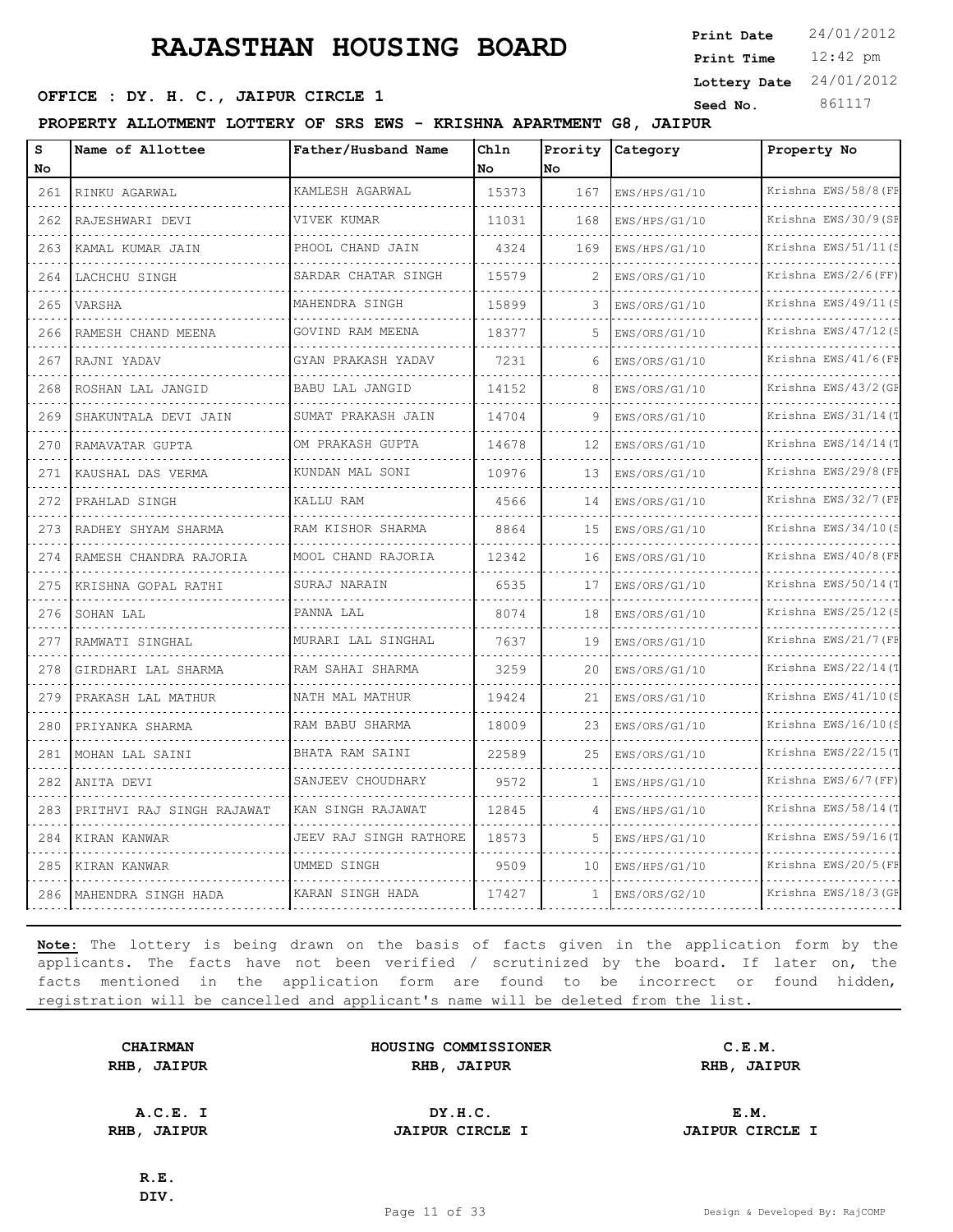**SEED OFFICE : DY. H. C., JAIPUR CIRCLE 1 Seed No.** 861117

**PROPERTY ALLOTMENT LOTTERY OF SRS EWS - KRISHNA APARTMENT G8, JAIPUR**

| S                                                | Name of Allottee          | Father/Husband Name     | Chln      | Prority | Category      | Property No          |
|--------------------------------------------------|---------------------------|-------------------------|-----------|---------|---------------|----------------------|
| No                                               |                           |                         | <b>No</b> | lno.    |               |                      |
| 261                                              | RINKU AGARWAL             | KAMLESH AGARWAL         | 15373     | 167     | EWS/HPS/G1/10 | Krishna EWS/58/8 (FF |
| 262                                              | RAJESHWARI DEVI           | VIVEK KUMAR             | 11031     | 168     | EWS/HPS/G1/10 | Krishna EWS/30/9(SF  |
| 263                                              | KAMAL KUMAR JAIN          | PHOOL CHAND JAIN        | 4324      | 169     | EWS/HPS/G1/10 | Krishna EWS/51/11(S  |
| 264                                              | LACHCHU SINGH             | SARDAR CHATAR SINGH     | 15579     | 2       | EWS/ORS/G1/10 | Krishna EWS/2/6(FF)  |
| 265                                              | <b>VARSHA</b>             | MAHENDRA SINGH          | 15899     | 3       | EWS/ORS/G1/10 | Krishna EWS/49/11(S  |
| 266                                              | RAMESH CHAND MEENA        | GOVIND RAM MEENA        | 18377     | 5       | EWS/ORS/G1/10 | Krishna EWS/47/12(S  |
| 267                                              | RAJNI YADAV               | GYAN PRAKASH YADAV<br>. | 7231      | 6       | EWS/ORS/G1/10 | Krishna EWS/41/6(FF  |
| 268                                              | ROSHAN LAL JANGID         | BABU LAL JANGID         | 14152     | 8       | EWS/ORS/G1/10 | Krishna EWS/43/2 (GE |
| 269                                              | SHAKUNTALA DEVI JAIN      | SUMAT PRAKASH JAIN      | 14704     | 9       | EWS/ORS/G1/10 | Krishna EWS/31/14(T  |
| 270                                              | RAMAVATAR GUPTA           | OM PRAKASH GUPTA        | 14678     | 12      | EWS/ORS/G1/10 | Krishna EWS/14/14 (T |
| 271                                              | KAUSHAL DAS VERMA         | KUNDAN MAL SONI         | 10976     | 13      | EWS/ORS/G1/10 | Krishna EWS/29/8 (FF |
| 272                                              | PRAHLAD SINGH             | KALLU RAM               | 4566      | 14      | EWS/ORS/G1/10 | Krishna EWS/32/7 (FF |
| 273                                              | RADHEY SHYAM SHARMA       | RAM KISHOR SHARMA       | 8864      | 1.5     | EWS/ORS/G1/10 | Krishna EWS/34/10(S  |
| 274                                              | RAMESH CHANDRA RAJORIA    | MOOL CHAND RAJORIA      | 12342     | 16      | EWS/ORS/G1/10 | Krishna EWS/40/8 (FF |
| 275                                              | KRISHNA GOPAL RATHI       | SURAJ NARAIN            | 6535      | 17      | EWS/ORS/G1/10 | Krishna EWS/50/14(T  |
| 276                                              | SOHAN LAL                 | PANNA LAL               | 8074      | 18      | EWS/ORS/G1/10 | Krishna EWS/25/12(S  |
| 277                                              | RAMWATI SINGHAL           | MURARI LAL SINGHAL      | 7637      | 19      | EWS/ORS/G1/10 | Krishna EWS/21/7 (FF |
| 278                                              | GIRDHARI LAL SHARMA       | RAM SAHAI SHARMA        | 3259      | 20      | EWS/ORS/G1/10 | Krishna EWS/22/14(T  |
| 279                                              | PRAKASH LAL MATHUR        | NATH MAL MATHUR         | 19424     | 21      | EWS/ORS/G1/10 | Krishna EWS/41/10(S  |
| 280                                              | PRIYANKA SHARMA           | RAM BABU SHARMA         | 18009     | 23      | EWS/ORS/G1/10 | Krishna EWS/16/10(S  |
| 281                                              | MOHAN LAL SAINI           | BHATA RAM SAINI         | 22589     | 25      | EWS/ORS/G1/10 | Krishna EWS/22/15(T  |
| 282<br>$\omega$ , $\omega$ , $\omega$ , $\omega$ | ANITA DEVI                | SANJEEV CHOUDHARY       | 9572      | -1      | EWS/HPS/G1/10 | Krishna EWS/6/7(FF)  |
| 283                                              | PRITHVI RAJ SINGH RAJAWAT | KAN SINGH RAJAWAT       | 12845     | 4       | EWS/HPS/G1/10 | Krishna EWS/58/14(1  |
| 284                                              | KIRAN KANWAR              | JEEV RAJ SINGH RATHORE  | 18573     | 5       | EWS/HPS/G1/10 | Krishna EWS/59/16(T  |
| 285                                              | KIRAN KANWAR              | UMMED SINGH             | 9509      | 10      | EWS/HPS/G1/10 | Krishna EWS/20/5 (FF |
| 286                                              | MAHENDRA SINGH HADA       | KARAN SINGH HADA        | 17427     | 1       | EWS/ORS/G2/10 | Krishna EWS/18/3 (GF |

**Note:** The lottery is being drawn on the basis of facts given in the application form by the applicants. The facts have not been verified / scrutinized by the board. If later on, the facts mentioned in the application form are found to be incorrect or found hidden, registration will be cancelled and applicant's name will be deleted from the list.

**CHAIRMAN HOUSING COMMISSIONER C.E.M. RHB, JAIPUR RHB, JAIPUR RHB, JAIPUR**

**A.C.E. I DY.H.C. E.M. RHB, JAIPUR JAIPUR CIRCLE I JAIPUR CIRCLE I**

**R.E. DIV.**

12:42 pm **Print Time Print Date**  $24/01/2012$ **Lottery Date** 24/01/2012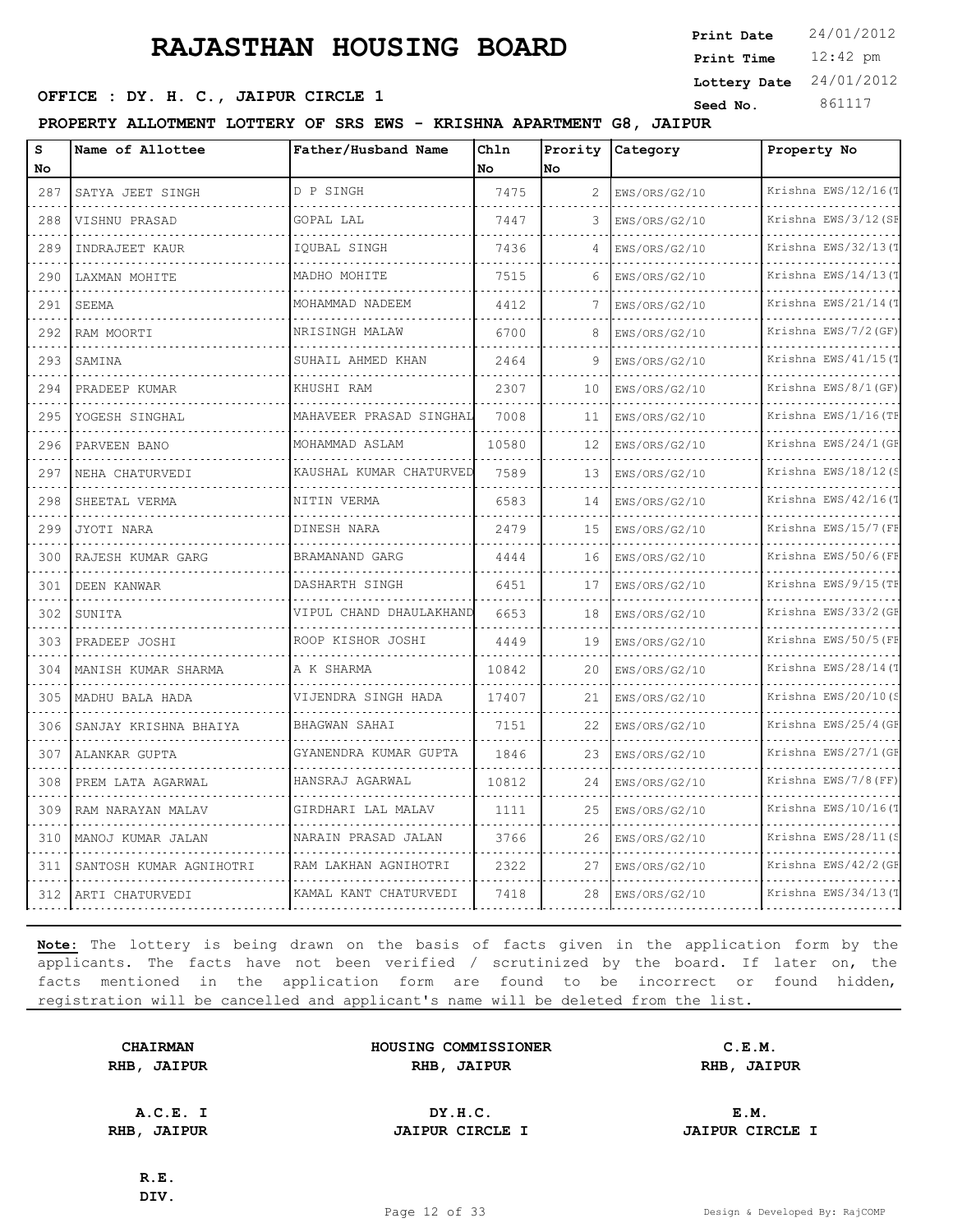**SEED OFFICE : DY. H. C., JAIPUR CIRCLE 1 Seed No.** 861117

**PROPERTY ALLOTMENT LOTTERY OF SRS EWS - KRISHNA APARTMENT G8, JAIPUR**

| s<br>No | Name of Allottee        | Father/Husband Name          | Chln<br>No | Prority<br>No | Category      | Property No          |
|---------|-------------------------|------------------------------|------------|---------------|---------------|----------------------|
| 287     | SATYA JEET SINGH        | D P SINGH                    | 7475       | 2             | EWS/ORS/G2/10 | Krishna EWS/12/16(T  |
| 288     | VISHNU PRASAD           | GOPAL LAL                    | 7447       | 3             | EWS/ORS/G2/10 | Krishna EWS/3/12(SF  |
| 289     | INDRAJEET KAUR          | IOUBAL SINGH                 | 7436       | 4             | EWS/ORS/G2/10 | Krishna EWS/32/13(T  |
| 290     | LAXMAN MOHITE           | MADHO MOHITE                 | 7515       | 6             | EWS/ORS/G2/10 | Krishna EWS/14/13(T  |
| 291     | SEEMA                   | MOHAMMAD NADEEM              | 4412       | 7             | EWS/ORS/G2/10 | Krishna EWS/21/14(T  |
| 292     | RAM MOORTI              | NRISINGH MALAW               | 6700       | 8             | EWS/ORS/G2/10 | Krishna EWS/7/2 (GF) |
| 293     | SAMINA                  | SUHAIL AHMED KHAN            | 2464       | 9             | EWS/ORS/G2/10 | Krishna EWS/41/15(T  |
| 294     | PRADEEP KUMAR           | KHUSHI RAM                   | 2307       | 10            | EWS/ORS/G2/10 | Krishna EWS/8/1(GF)  |
| 295     | YOGESH SINGHAL          | MAHAVEER PRASAD SINGHAL      | 7008       | 11            | EWS/ORS/G2/10 | Krishna EWS/1/16(TF  |
| 296     | PARVEEN BANO            | MOHAMMAD ASLAM               | 10580      | 12            | EWS/ORS/G2/10 | Krishna EWS/24/1 (GF |
| 297     | NEHA CHATURVEDI         | .<br>KAUSHAL KUMAR CHATURVEI | 7589       | 13            | EWS/ORS/G2/10 | Krishna EWS/18/12(S  |
| 298     | SHEETAL VERMA           | NITIN VERMA                  | 6583       | 14            | EWS/ORS/G2/10 | Krishna EWS/42/16(T  |
| 299     | JYOTI NARA              | DINESH NARA                  | 2479       | 15            | EWS/ORS/G2/10 | Krishna EWS/15/7 (FF |
| 300     | RAJESH KUMAR GARG       | BRAMANAND GARG               | 4444       | 16            | EWS/ORS/G2/10 | Krishna EWS/50/6(FF  |
| 301     | DEEN KANWAR             | DASHARTH SINGH               | 6451       | 17            | EWS/ORS/G2/10 | Krishna EWS/9/15 (TF |
| 302     | SUNITA                  | VIPUL CHAND DHAULAKHAND      | 6653       | 18            | EWS/ORS/G2/10 | Krishna EWS/33/2 (GF |
| 303     | PRADEEP JOSHI           | ROOP KISHOR JOSHI            | 4449       | 19            | EWS/ORS/G2/10 | Krishna EWS/50/5 (FF |
| 304     | MANISH KUMAR SHARMA     | A K SHARMA                   | 10842      | 20            | EWS/ORS/G2/10 | Krishna EWS/28/14(T  |
| 305     | MADHU BALA HADA         | VIJENDRA SINGH HADA          | 17407      | 21            | EWS/ORS/G2/10 | Krishna EWS/20/10(S  |
| 306     | SANJAY KRISHNA BHAIYA   | BHAGWAN SAHAI                | 7151       | 22            | EWS/ORS/G2/10 | Krishna EWS/25/4 (GF |
| 307     | ALANKAR GUPTA           | GYANENDRA KUMAR GUPTA        | 1846       | 23            | EWS/ORS/G2/10 | Krishna EWS/27/1 (GF |
| 308     | PREM LATA AGARWAL       | HANSRAJ AGARWAL              | 10812      | 24            | EWS/ORS/G2/10 | Krishna EWS/7/8(FF)  |
| 309     | RAM NARAYAN MALAV       | GIRDHARI LAL MALAV           | 1111       | 25            | EWS/ORS/G2/10 | Krishna EWS/10/16(T  |
| 310     | MANOJ KUMAR JALAN       | NARAIN PRASAD JALAN          | 3766       | 26            | EWS/ORS/G2/10 | Krishna EWS/28/11(S  |
| 311     | SANTOSH KUMAR AGNIHOTRI | RAM LAKHAN AGNIHOTRI         | 2322       | 27            | EWS/ORS/G2/10 | Krishna EWS/42/2 (GF |
| 312     | ARTI CHATURVEDI         | KAMAL KANT CHATURVEDI        | 7418       | 28            | EWS/ORS/G2/10 | Krishna EWS/34/13(T  |

**Note:** The lottery is being drawn on the basis of facts given in the application form by the applicants. The facts have not been verified / scrutinized by the board. If later on, the facts mentioned in the application form are found to be incorrect or found hidden, registration will be cancelled and applicant's name will be deleted from the list.

| <b>CHAIRMAN</b> |               |  |  |
|-----------------|---------------|--|--|
| RHB,            | <b>JAIPUR</b> |  |  |

| <b>CHAIRMAN</b>   | HOUSING COMMISSIONER | C.E.M.               |  |
|-------------------|----------------------|----------------------|--|
| <b>IB, JAIPUR</b> | RHB<br><b>JAIPUR</b> | RHB<br><b>JAIPUR</b> |  |

**A.C.E. I DY.H.C. E.M. RHB, JAIPUR JAIPUR CIRCLE I JAIPUR CIRCLE I**

12:42 pm **Print Time**

**Print Date**  $24/01/2012$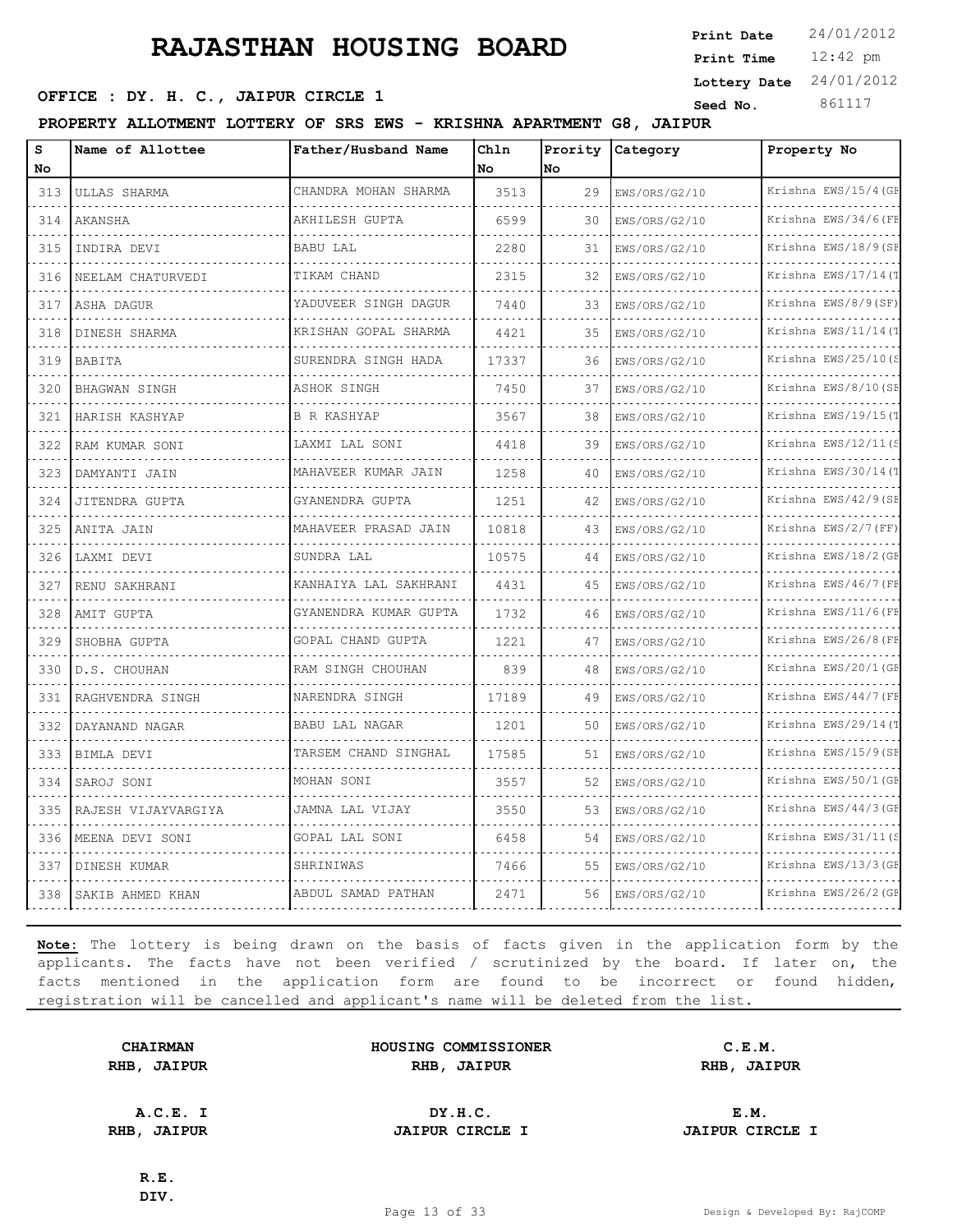**SEED OFFICE : DY. H. C., JAIPUR CIRCLE 1 Seed No.** 861117

**PROPERTY ALLOTMENT LOTTERY OF SRS EWS - KRISHNA APARTMENT G8, JAIPUR**

| S<br>No        | Name of Allottee     | Father/Husband Name        | Chln<br>No | Prority<br>lNo. | Category           | Property No               |
|----------------|----------------------|----------------------------|------------|-----------------|--------------------|---------------------------|
| 313            | ULLAS SHARMA         | CHANDRA MOHAN SHARMA       | 3513       | 29              | EWS/ORS/G2/10      | Krishna EWS/15/4 (GF      |
| 314            | AKANSHA              | AKHILESH GUPTA             | 6599       | 30              | .<br>EWS/ORS/G2/10 | .<br>Krishna EWS/34/6(FF  |
| 315            | INDIRA DEVI          | <b>BABU LAL</b>            | 2280       | 31              | EWS/ORS/G2/10      | Krishna EWS/18/9(SF       |
| 316            | NEELAM CHATURVEDI    | TIKAM CHAND                | 2315       | 32              | EWS/ORS/G2/10      | Krishna EWS/17/14(T       |
| 317            | ASHA DAGUR           | YADUVEER SINGH DAGUR       | 7440       | 33              | .<br>EWS/ORS/G2/10 | .<br>Krishna EWS/8/9(SF)  |
| 318            | DINESH SHARMA        | KRISHAN GOPAL SHARMA       | 4421       | 35              | EWS/ORS/G2/10      | Krishna EWS/11/14(T       |
| 319            | BABITA               | SURENDRA SINGH HADA        | 17337      | 36              | EWS/ORS/G2/10      | Krishna EWS/25/10(S       |
| 320            | <b>BHAGWAN SINGH</b> | ASHOK SINGH                | 7450       | 37              | EWS/ORS/G2/10      | Krishna EWS/8/10(SF       |
| 321            | HARISH KASHYAP       | <b>B R KASHYAP</b>         | 3567       | 38              | EWS/ORS/G2/10      | Krishna EWS/19/15(1       |
| 322            | RAM KUMAR SONI       | LAXMI LAL SONI             | 4418       | 39              | EWS/ORS/G2/10      | Krishna EWS/12/11 $($     |
| 323            | DAMYANTI JAIN        | MAHAVEER KUMAR JAIN<br>.   | 1258       | 40              | EWS/ORS/G2/10      | .<br>Krishna EWS/30/14(T  |
| 324            | JITENDRA GUPTA       | GYANENDRA GUPTA            | 1251       | 42              | EWS/ORS/G2/10      | Krishna EWS/42/9(SF       |
| 325            | ANITA JAIN           | MAHAVEER PRASAD JAIN       | 10818      | 43              | EWS/ORS/G2/10      | Krishna EWS/2/7 (FF)<br>. |
| 326            | LAXMI DEVI           | SUNDRA LAL                 | 10575      | 44              | .<br>EWS/ORS/G2/10 | Krishna EWS/18/2 (GF      |
| 327            | RENU SAKHRANI        | KANHAIYA LAL SAKHRANI      | 4431       | 45              | EWS/ORS/G2/10      | Krishna EWS/46/7 (FF      |
| 328            | AMIT GUPTA           | GYANENDRA KUMAR GUPTA<br>. | 1732       | 46              | EWS/ORS/G2/10      | Krishna EWS/11/6(FH<br>.  |
| 329            | SHOBHA GUPTA         | GOPAL CHAND GUPTA          | 1221       | 47              | EWS/ORS/G2/10      | Krishna EWS/26/8 (FF      |
| 330            | D.S. CHOUHAN         | RAM SINGH CHOUHAN          | 839        | 48              | EWS/ORS/G2/10      | Krishna EWS/20/1 (GF      |
| 331            | RAGHVENDRA SINGH     | NARENDRA SINGH<br>.        | 17189      | 49              | EWS/ORS/G2/10      | Krishna EWS/44/7 (FI<br>. |
| 332            | DAYANAND NAGAR       | BABU LAL NAGAR             | 1201       | 50              | EWS/ORS/G2/10      | Krishna EWS/29/14(T       |
| 333            | BIMLA DEVI           | TARSEM CHAND SINGHAL       | 17585      | 51              | EWS/ORS/G2/10      | Krishna EWS/15/9(SF       |
| 334<br>د د د د | SAROJ SONI           | MOHAN SONI<br><u>.</u>     | 3557       | 52              | EWS/ORS/G2/10      | Krishna EWS/50/1 (GE<br>. |
| 335            | RAJESH VIJAYVARGIYA  | JAMNA LAL VIJAY            | 3550       | 53              | EWS/ORS/G2/10      | Krishna EWS/44/3 (GF      |
| 336            | MEENA DEVI SONI      | GOPAL LAL SONI             | 6458       | 54              | EWS/ORS/G2/10      | Krishna EWS/31/11(S       |
| 337            | DINESH KUMAR         | SHRINIWAS                  | 7466       | 55              | EWS/ORS/G2/10      | Krishna EWS/13/3 (GE      |
| 338            | SAKIB AHMED KHAN     | ABDUL SAMAD PATHAN         | 2471       | 56              | EWS/ORS/G2/10      | Krishna EWS/26/2 (GE      |

**Note:** The lottery is being drawn on the basis of facts given in the application form by the applicants. The facts have not been verified / scrutinized by the board. If later on, the facts mentioned in the application form are found to be incorrect or found hidden, registration will be cancelled and applicant's name will be deleted from the list.

**CHAIRMAN HOUSING COMMISSIONER C.E.M. RHB, JAIPUR RHB, JAIPUR RHB, JAIPUR**

**A.C.E. I DY.H.C. E.M. RHB, JAIPUR JAIPUR CIRCLE I JAIPUR CIRCLE I**

**R.E. DIV.**

12:42 pm **Print Time Print Date**  $24/01/2012$ **Lottery Date** 24/01/2012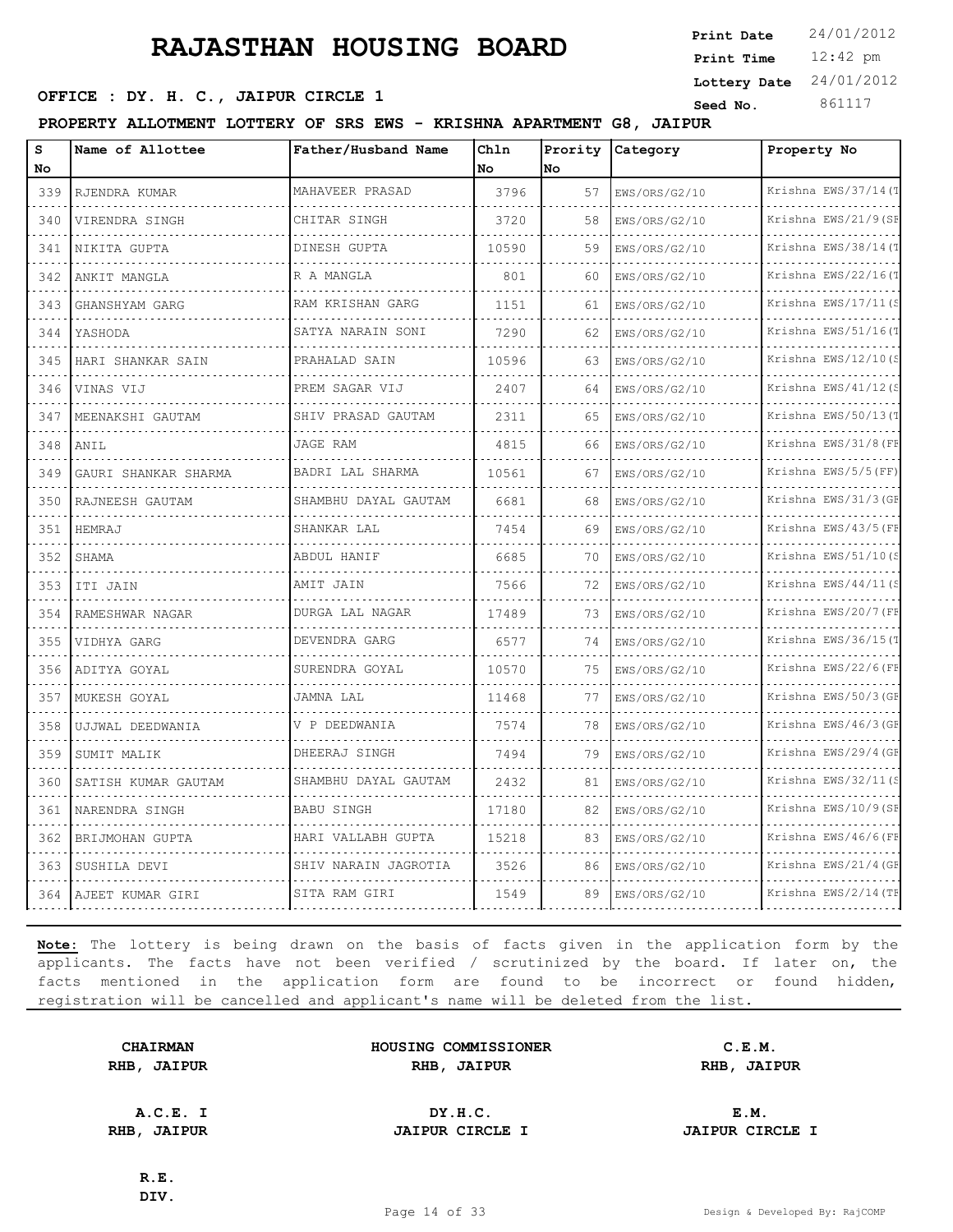**SEED OFFICE : DY. H. C., JAIPUR CIRCLE 1 Seed No.** 861117

**PROPERTY ALLOTMENT LOTTERY OF SRS EWS - KRISHNA APARTMENT G8, JAIPUR**

| s<br>No                            | Name of Allottee                          | Father/Husband Name  | Chln<br>No | Prority<br>No | Category           | Property No                     |
|------------------------------------|-------------------------------------------|----------------------|------------|---------------|--------------------|---------------------------------|
| 339                                | RJENDRA KUMAR                             | MAHAVEER PRASAD      | 3796       | 57            | EWS/ORS/G2/10      | Krishna EWS/37/14(T             |
| 340                                | deses socialists social<br>VIRENDRA SINGH | CHITAR SINGH         | 3720       | 58            | .<br>EWS/ORS/G2/10 | .<br>Krishna EWS/21/9(SF        |
| 341                                | NIKITA GUPTA                              | DINESH GUPTA         | 10590      | 59            | EWS/ORS/G2/10      | Krishna EWS/38/14(T             |
| 342                                | ANKIT MANGLA                              | R A MANGLA           | 801        | 60            | EWS/ORS/G2/10      | Krishna EWS/22/16(1             |
| $\sim$ $\sim$ $\sim$ $\sim$<br>343 | GHANSHYAM GARG<br>.                       | RAM KRISHAN GARG     | 1151       | 61            | EWS/ORS/G2/10      | Krishna EWS/17/11(S             |
| 344                                | YASHODA                                   | SATYA NARAIN SONI    | 7290       | 62            | EWS/ORS/G2/10      | Krishna EWS/51/16(T             |
| 345                                | HARI SHANKAR SAIN                         | PRAHALAD SAIN        | 10596      | 63            | EWS/ORS/G2/10      | Krishna EWS/12/10(S             |
| 346                                | VINAS VIJ                                 | PREM SAGAR VIJ       | 2407       | 64            | EWS/ORS/G2/10      | Krishna EWS/41/12(S             |
| 347                                | MEENAKSHI GAUTAM                          | SHIV PRASAD GAUTAM   | 2311       | 65            | EWS/ORS/G2/10      | Krishna EWS/50/13(T             |
| $\cdots$<br>348                    | ANIL                                      | JAGE RAM             | 4815       | 66            | EWS/ORS/G2/10      | Krishna EWS/31/8 (FF            |
| 349                                | GAURI SHANKAR SHARMA                      | BADRI LAL SHARMA     | 10561      | 67            | EWS/ORS/G2/10      | Krishna EWS/5/5(FF)             |
| 350                                | RAJNEESH GAUTAM                           | SHAMBHU DAYAL GAUTAM | 6681       | 68            | EWS/ORS/G2/10      | Krishna EWS/31/3 (GF            |
| 351                                | HEMRAJ                                    | SHANKAR LAL          | 7454       | 69            | EWS/ORS/G2/10      | Krishna EWS/43/5 (FF            |
| 352                                | SHAMA                                     | ABDUL HANIF          | 6685       | 70            | EWS/ORS/G2/10      | Krishna EWS/51/10(S             |
| 353                                | ITI JAIN                                  | AMIT JAIN            | 7566       | 72            | EWS/ORS/G2/10      | Krishna EWS/44/11(S             |
| 354                                | RAMESHWAR NAGAR<br>.                      | DURGA LAL NAGAR<br>. | 17489      | 73            | EWS/ORS/G2/10      | Krishna EWS/20/7 (FF<br>.       |
| $\sim$ $\sim$ $\sim$ $\sim$<br>355 | VIDHYA GARG                               | DEVENDRA GARG        | 6577       | 74            | EWS/ORS/G2/10      | Krishna EWS/36/15(T             |
| 356                                | ADITYA GOYAL                              | SURENDRA GOYAL       | 10570      | 75            | EWS/ORS/G2/10      | Krishna EWS/22/6(FF             |
| 357                                | MUKESH GOYAL                              | JAMNA LAL            | 11468      | 77            | EWS/ORS/G2/10      | Krishna EWS/50/3 (GF            |
| 358                                | UJJWAL DEEDWANIA                          | V P DEEDWANIA        | 7574       | 78            | EWS/ORS/G2/10      | Krishna EWS/46/3 (GE            |
| 359                                | SUMIT MALIK                               | DHEERAJ SINGH        | 7494       | 79            | EWS/ORS/G2/10      | Krishna EWS/29/4 (GF            |
| 360                                | SATISH KUMAR GAUTAM                       | SHAMBHU DAYAL GAUTAM | 2432       | 81            | EWS/ORS/G2/10      | Krishna EWS/32/11(S             |
| 361                                | NARENDRA SINGH                            | BABU SINGH           | 17180      | 82            | EWS/ORS/G2/10      | Krishna EWS/10/9(SF<br><u>.</u> |
| $\sim$ $\sim$ $\sim$ $\sim$<br>362 | BRIJMOHAN GUPTA                           | HARI VALLABH GUPTA   | 15218      | 83            | EWS/ORS/G2/10      | Krishna EWS/46/6(FF             |
| 363                                | SUSHILA DEVI                              | SHIV NARAIN JAGROTIA | 3526       | 86            | EWS/ORS/G2/10      | Krishna EWS/21/4 (GE            |
| 364                                | AJEET KUMAR GIRI                          | SITA RAM GIRI        | 1549       | 89            | EWS/ORS/G2/10      | Krishna EWS/2/14 (TH            |

**Note:** The lottery is being drawn on the basis of facts given in the application form by the applicants. The facts have not been verified / scrutinized by the board. If later on, the facts mentioned in the application form are found to be incorrect or found hidden, registration will be cancelled and applicant's name will be deleted from the list.

|      | <b>CHAIRMAN</b> |
|------|-----------------|
| RHB, | <b>JAIPUR</b>   |

| <b>CHAIRMAN</b>   | HOUSING COMMISSIONER | C.E.M.               |  |
|-------------------|----------------------|----------------------|--|
| <b>IB, JAIPUR</b> | RHB<br><b>JAIPUR</b> | RHB<br><b>JAIPUR</b> |  |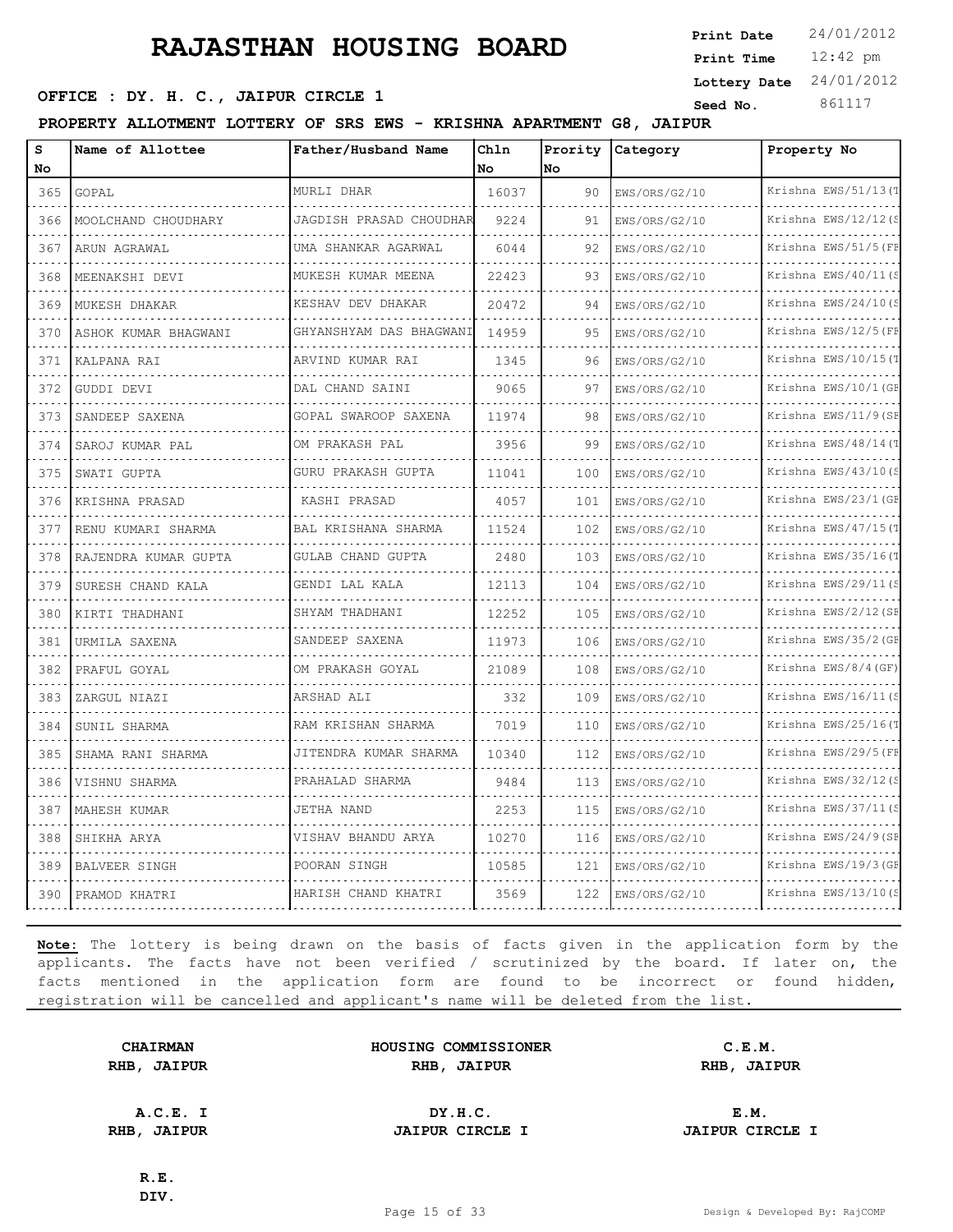12:42 pm **Print Time Print Date**  $24/01/2012$ **Lottery Date** 24/01/2012

### **SEED OFFICE : DY. H. C., JAIPUR CIRCLE 1 Seed No.** 861117

**PROPERTY ALLOTMENT LOTTERY OF SRS EWS - KRISHNA APARTMENT G8, JAIPUR**

| s<br>No                     | Name of Allottee     | Father/Husband Name     | Chln<br>No. | Prority<br><b>No</b> | Category      | Property No          |
|-----------------------------|----------------------|-------------------------|-------------|----------------------|---------------|----------------------|
| 365                         | GOPAL                | MURLI DHAR              | 16037       | 90                   | EWS/ORS/G2/10 | Krishna EWS/51/13(1  |
| 366                         | MOOLCHAND CHOUDHARY  | JAGDISH PRASAD CHOUDHAR | 9224        | 91                   | EWS/ORS/G2/10 | Krishna EWS/12/12(S  |
| 367                         | ARUN AGRAWAL         | UMA SHANKAR AGARWAL     | 6044        | 92                   | EWS/ORS/G2/10 | Krishna EWS/51/5 (FF |
| 368                         | MEENAKSHI DEVI       | MUKESH KUMAR MEENA      | 22423       | 93                   | EWS/ORS/G2/10 | Krishna EWS/40/11(S  |
| $\sim$ $\sim$ $\sim$<br>369 | MUKESH DHAKAR        | KESHAV DEV DHAKAR       | 20472       | 94                   | EWS/ORS/G2/10 | Krishna EWS/24/10(S  |
| 370                         | ASHOK KUMAR BHAGWANI | GHYANSHYAM DAS BHAGWANI | 14959       | 95                   | EWS/ORS/G2/10 | Krishna EWS/12/5 (FF |
| 371                         | KALPANA RAI          | ARVIND KUMAR RAI        | 1345        | 96                   | EWS/ORS/G2/10 | Krishna EWS/10/15(7  |
| .<br>372                    | .<br>GUDDI DEVI      | DAL CHAND SAINI         | 9065        | 97                   | EWS/ORS/G2/10 | Krishna EWS/10/1 (GE |
| 373                         | SANDEEP SAXENA       | GOPAL SWAROOP SAXENA    | 11974       | 98                   | EWS/ORS/G2/10 | Krishna EWS/11/9(SE  |
| 374                         | SAROJ KUMAR PAL      | OM PRAKASH PAL          | 3956        | 99                   | EWS/ORS/G2/10 | Krishna EWS/48/14(T  |
| 375                         | SWATI GUPTA          | GURU PRAKASH GUPTA      | 11041       | 100                  | EWS/ORS/G2/10 | Krishna EWS/43/10(S  |
| 376                         | KRISHNA PRASAD       | KASHI PRASAD            | 4057        | 101                  | EWS/ORS/G2/10 | Krishna EWS/23/1 (GE |
| 377                         | RENU KUMARI SHARMA   | BAL KRISHANA SHARMA     | 11524       | 102                  | EWS/ORS/G2/10 | Krishna EWS/47/15(T  |
| 378                         | RAJENDRA KUMAR GUPTA | GULAB CHAND GUPTA       | 2480        | 103                  | EWS/ORS/G2/10 | Krishna EWS/35/16(T  |
| 379                         | SURESH CHAND KALA    | GENDI LAL KALA          | 12113       | 104                  | EWS/ORS/G2/10 | Krishna EWS/29/11(S  |
| 380                         | KIRTI THADHANI       | SHYAM THADHANI          | 12252       | 105                  | EWS/ORS/G2/10 | Krishna EWS/2/12(SF  |
| $\sim 10$<br>381            | URMILA SAXENA        | SANDEEP SAXENA          | 11973       | 106                  | EWS/ORS/G2/10 | Krishna EWS/35/2 (GF |
| 382                         | PRAFUL GOYAL         | OM PRAKASH GOYAL        | 21089       | 108                  | EWS/ORS/G2/10 | Krishna EWS/8/4 (GF) |
| 383                         | ZARGUL NIAZI         | ARSHAD ALI              | 332         | 109                  | EWS/ORS/G2/10 | Krishna EWS/16/11(S  |
| $\sim$ $\sim$ $\sim$<br>384 | SUNIL SHARMA         | RAM KRISHAN SHARMA      | 7019        | 110                  | EWS/ORS/G2/10 | Krishna EWS/25/16(T  |
| 385                         | SHAMA RANI SHARMA    | JITENDRA KUMAR SHARMA   | 10340       | 112                  | EWS/ORS/G2/10 | Krishna EWS/29/5 (FF |
| 386                         | VISHNU SHARMA        | PRAHALAD SHARMA         | 9484        | 113                  | EWS/ORS/G2/10 | Krishna EWS/32/12(S  |
| 387                         | MAHESH KUMAR         | JETHA NAND              | 2253        | 115                  | EWS/ORS/G2/10 | Krishna EWS/37/11(S  |
| 388                         | SHIKHA ARYA          | VISHAV BHANDU ARYA      | 10270       | 116                  | EWS/ORS/G2/10 | Krishna EWS/24/9(SE  |
| 389                         | <b>BALVEER SINGH</b> | POORAN SINGH            | 10585       | 121                  | EWS/ORS/G2/10 | Krishna EWS/19/3 (GE |
| 390                         | PRAMOD KHATRI        | HARISH CHAND KHATRI     | 3569        | 122                  | EWS/ORS/G2/10 | Krishna EWS/13/10(S  |

**Note:** The lottery is being drawn on the basis of facts given in the application form by the applicants. The facts have not been verified / scrutinized by the board. If later on, the facts mentioned in the application form are found to be incorrect or found hidden, registration will be cancelled and applicant's name will be deleted from the list.

**CHAIRMAN HOUSING COMMISSIONER C.E.M. RHB, JAIPUR RHB, JAIPUR RHB, JAIPUR**

**A.C.E. I DY.H.C. E.M. RHB, JAIPUR JAIPUR CIRCLE I JAIPUR CIRCLE I**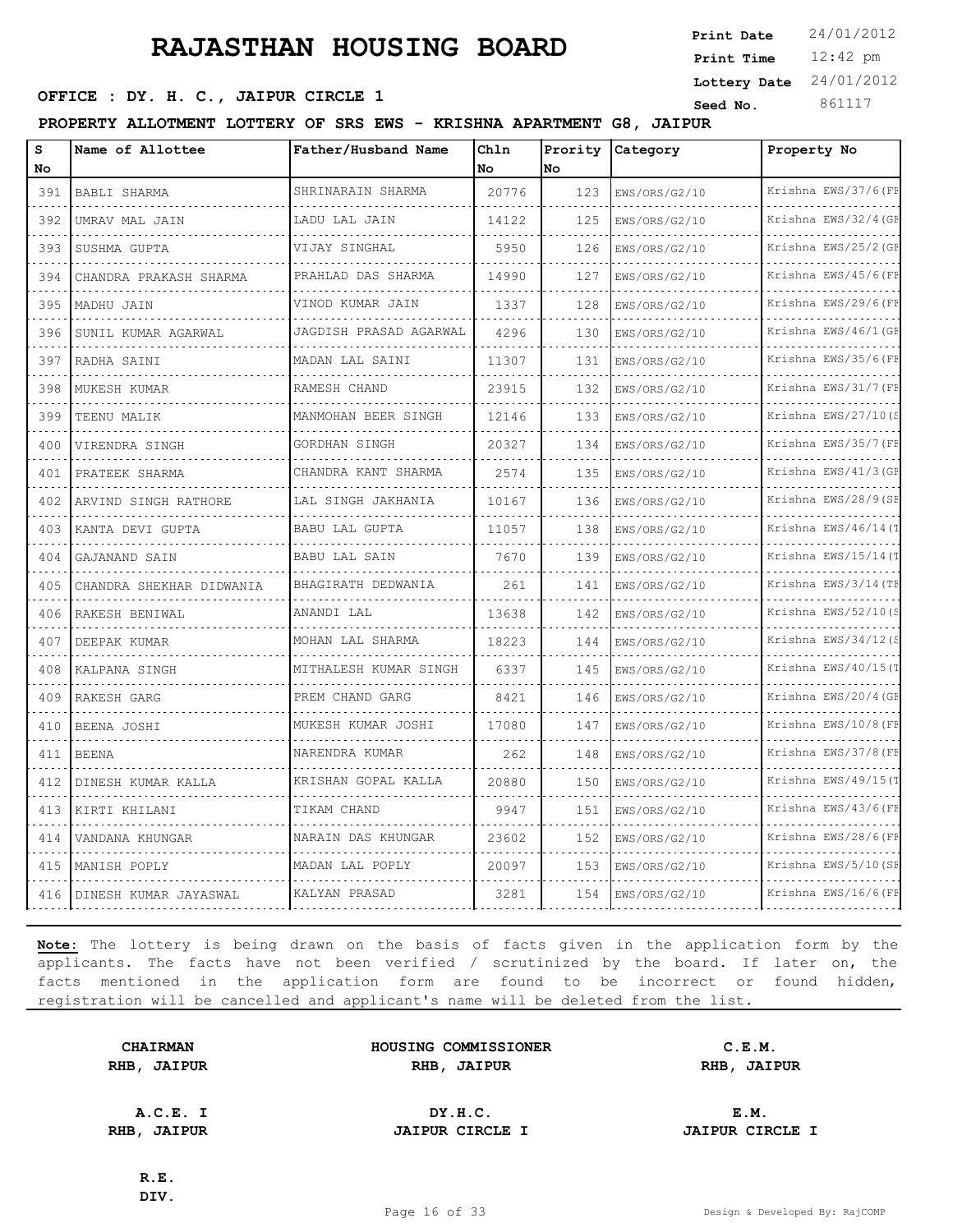**SEED OFFICE : DY. H. C., JAIPUR CIRCLE 1 Seed No.** 861117

**PROPERTY ALLOTMENT LOTTERY OF SRS EWS - KRISHNA APARTMENT G8, JAIPUR**

| S                                  | Name of Allottee         | Father/Husband Name    | Chln  | Prority   | Category      | Property No          |
|------------------------------------|--------------------------|------------------------|-------|-----------|---------------|----------------------|
| No                                 |                          |                        | No    | <b>No</b> |               |                      |
| 391                                | BABLI SHARMA             | SHRINARAIN SHARMA      | 20776 | 123       | EWS/ORS/G2/10 | Krishna EWS/37/6 (FF |
| 392                                | UMRAV MAL JAIN           | LADU LAL JAIN          | 14122 | 125       | EWS/ORS/G2/10 | Krishna EWS/32/4 (GE |
| 393                                | SUSHMA GUPTA             | VIJAY SINGHAL          | 5950  | 126       | EWS/ORS/G2/10 | Krishna EWS/25/2 (GF |
| 394                                | CHANDRA PRAKASH SHARMA   | PRAHLAD DAS SHARMA     | 14990 | 127       | EWS/ORS/G2/10 | Krishna EWS/45/6(FF  |
| 395                                | MADHU JAIN               | VINOD KUMAR JAIN       | 1337  | 128       | EWS/ORS/G2/10 | Krishna EWS/29/6(FB  |
| 396                                | SUNIL KUMAR AGARWAL      | JAGDISH PRASAD AGARWAL | 4296  | 130       | EWS/ORS/G2/10 | Krishna EWS/46/1 (GF |
| 397                                | RADHA SAINI              | MADAN LAL SAINI        | 11307 | 131       | EWS/ORS/G2/10 | Krishna EWS/35/6 (FF |
| 398                                | MUKESH KUMAR             | RAMESH CHAND           | 23915 | 132       | EWS/ORS/G2/10 | Krishna EWS/31/7 (FI |
| 399                                | TEENU MALIK              | MANMOHAN BEER SINGH    | 12146 | 133       | EWS/ORS/G2/10 | Krishna EWS/27/10(S  |
| 400                                | VIRENDRA SINGH           | GORDHAN SINGH          | 20327 | 134       | EWS/ORS/G2/10 | Krishna EWS/35/7 (FF |
| 401                                | PRATEEK SHARMA           | CHANDRA KANT SHARMA    | 2574  | 135       | EWS/ORS/G2/10 | Krishna EWS/41/3 (GE |
| 402                                | ARVIND SINGH RATHORE     | LAL SINGH JAKHANIA     | 10167 | 136       | EWS/ORS/G2/10 | Krishna EWS/28/9 (SF |
| 403                                | KANTA DEVI GUPTA         | BABU LAL GUPTA         | 11057 | 138       | EWS/ORS/G2/10 | Krishna EWS/46/14(T  |
| 404                                | GAJANAND SAIN            | <b>BABU LAL SAIN</b>   | 7670  | 139       | EWS/ORS/G2/10 | Krishna EWS/15/14(1  |
| 405                                | CHANDRA SHEKHAR DIDWANIA | BHAGIRATH DEDWANIA     | 261   | 141       | EWS/ORS/G2/10 | Krishna EWS/3/14 (TH |
| 406                                | RAKESH BENIWAL           | ANANDI LAL             | 13638 | 142       | EWS/ORS/G2/10 | Krishna EWS/52/10(S  |
| 407                                | DEEPAK KUMAR             | MOHAN LAL SHARMA       | 18223 | 144       | EWS/ORS/G2/10 | Krishna EWS/34/12(S  |
| 408                                | KALPANA SINGH            | MITHALESH KUMAR SINGH  | 6337  | 145       | EWS/ORS/G2/10 | Krishna EWS/40/15(1  |
| 409                                | RAKESH GARG              | PREM CHAND GARG        | 8421  | 146       | EWS/ORS/G2/10 | Krishna EWS/20/4 (GF |
| 410                                | BEENA JOSHI              | MUKESH KUMAR JOSHI     | 17080 | 147       | EWS/ORS/G2/10 | Krishna EWS/10/8 (FF |
| 411<br>$\sim$ $\sim$ $\sim$        | <b>BEENA</b>             | NARENDRA KUMAR         | 262   | 148       | EWS/ORS/G2/10 | Krishna EWS/37/8 (FF |
| 412                                | DINESH KUMAR KALLA       | KRISHAN GOPAL KALLA    | 20880 | 150       | EWS/ORS/G2/10 | Krishna EWS/49/15(1  |
| 413<br>$\sim$ $\sim$ $\sim$ $\sim$ | KIRTI KHILANI            | TIKAM CHAND            | 9947  | 151       | EWS/ORS/G2/10 | Krishna EWS/43/6(FF  |
| 414                                | VANDANA KHUNGAR          | NARAIN DAS KHUNGAR     | 23602 | 1.52      | EWS/ORS/G2/10 | Krishna EWS/28/6(FF  |
| 415                                | MANISH POPLY             | MADAN LAL POPLY        | 20097 | 153       | EWS/ORS/G2/10 | Krishna EWS/5/10(SF  |
| 416                                | DINESH KUMAR JAYASWAL    | KALYAN PRASAD          | 3281  | 154       | EWS/ORS/G2/10 | Krishna EWS/16/6(FF  |

**Note:** The lottery is being drawn on the basis of facts given in the application form by the applicants. The facts have not been verified / scrutinized by the board. If later on, the facts mentioned in the application form are found to be incorrect or found hidden, registration will be cancelled and applicant's name will be deleted from the list.

|      | <b>CHAIRMAN</b> |
|------|-----------------|
| RHB, | <b>JAIPUR</b>   |

**HOUSING COMMISSIONER C.E.M. RHB, JAIPUR RHB, JAIPUR RHB, JAIPUR**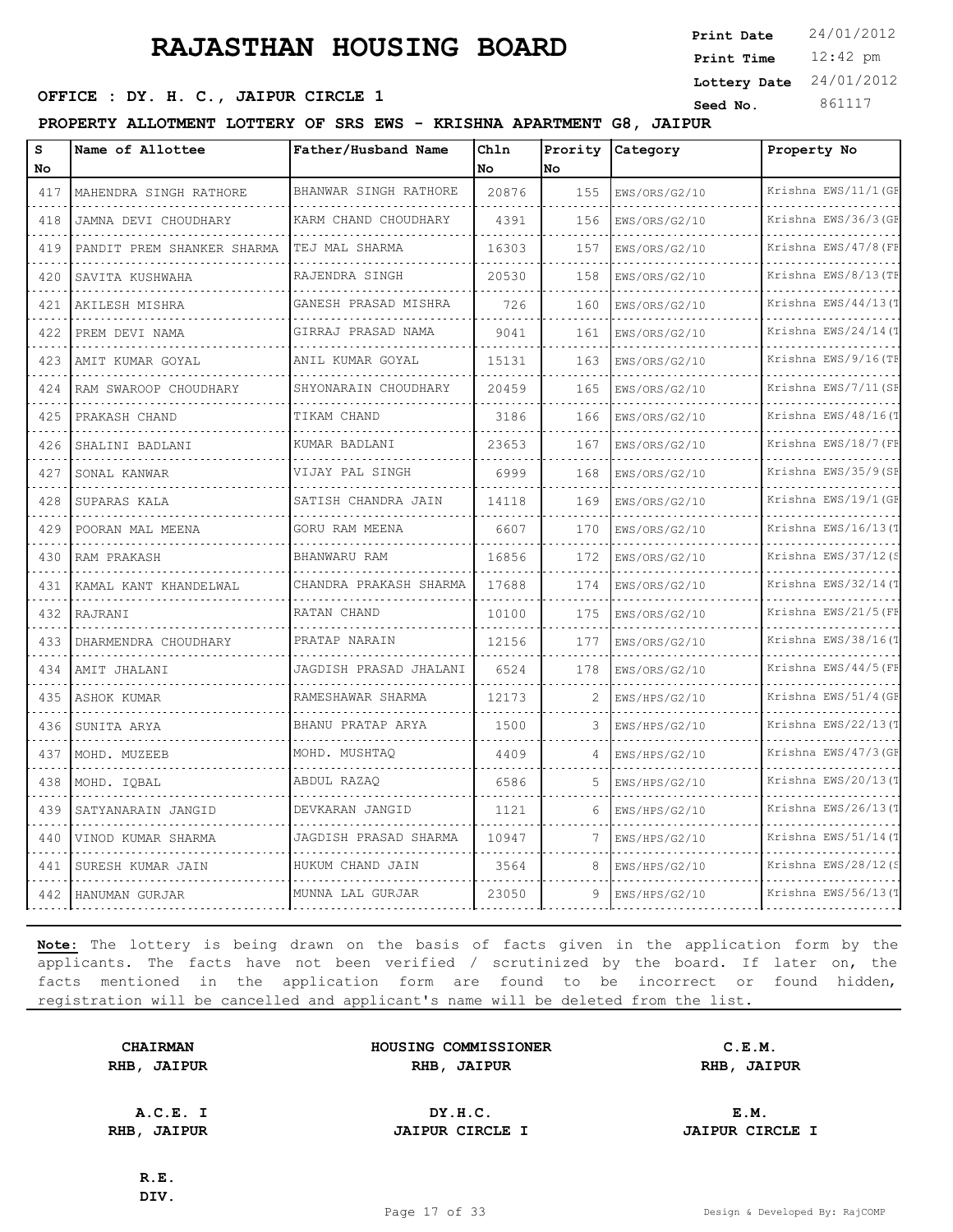**SEED OFFICE : DY. H. C., JAIPUR CIRCLE 1 Seed No.** 861117

**PROPERTY ALLOTMENT LOTTERY OF SRS EWS - KRISHNA APARTMENT G8, JAIPUR**

| s<br>No                            | Name of Allottee           | Father/Husband Name          | Chln<br>No. | Prority<br>lNo. | Category           | Property No                    |
|------------------------------------|----------------------------|------------------------------|-------------|-----------------|--------------------|--------------------------------|
| 417                                | MAHENDRA SINGH RATHORE     | BHANWAR SINGH RATHORE        | 20876       | 155             | EWS/ORS/G2/10      | Krishna EWS/11/1 (GF           |
| $\sim$ $\sim$ $\sim$ $\sim$<br>418 | JAMNA DEVI CHOUDHARY       | KARM CHAND CHOUDHARY         | 4391        | 156             | .<br>EWS/ORS/G2/10 | .<br>Krishna EWS/36/3 (GF<br>. |
| 419                                | PANDIT PREM SHANKER SHARMA | TEJ MAL SHARMA               | 16303       | 157             | .<br>EWS/ORS/G2/10 | Krishna EWS/47/8 (FF           |
| 420                                | SAVITA KUSHWAHA            | RAJENDRA SINGH               | 20530       | 158             | EWS/ORS/G2/10      | Krishna EWS/8/13 (TH           |
| 421                                | .<br>AKILESH MISHRA        | GANESH PRASAD MISHRA         | 726         | 160             | EWS/ORS/G2/10      | .<br>Krishna EWS/44/13(T       |
| 422                                | .<br>PREM DEVI NAMA        | .<br>GIRRAJ PRASAD NAMA<br>. | 9041        | 161             | EWS/ORS/G2/10      | Krishna EWS/24/14(T            |
| 423                                | AMIT KUMAR GOYAL           | ANIL KUMAR GOYAL             | 15131       | 163             | EWS/ORS/G2/10      | Krishna EWS/9/16(TF            |
| 424                                | RAM SWAROOP CHOUDHARY      | SHYONARAIN CHOUDHARY         | 20459       | 165             | EWS/ORS/G2/10      | Krishna EWS/7/11 (SF           |
| 425                                | PRAKASH CHAND              | TIKAM CHAND                  | 3186        | 166             | EWS/ORS/G2/10      | Krishna EWS/48/16(T            |
| 426                                | SHALINI BADLANI            | KUMAR BADLANI                | 23653       | 167             | EWS/ORS/G2/10      | Krishna EWS/18/7 (FB           |
| $-1 - 1$<br>427                    | SONAL KANWAR               | VIJAY PAL SINGH              | 6999        | 168             | EWS/ORS/G2/10      | Krishna EWS/35/9(SF            |
| 428                                | SUPARAS KALA               | SATISH CHANDRA JAIN          | 14118       | 169             | EWS/ORS/G2/10      | Krishna EWS/19/1 (GF           |
| 429                                | POORAN MAL MEENA           | GORU RAM MEENA               | 6607        | 170             | EWS/ORS/G2/10      | Krishna EWS/16/13(T            |
| $\sim$ $\sim$ $\sim$ $\sim$<br>430 | RAM PRAKASH                | BHANWARU RAM                 | 16856       | 172             | EWS/ORS/G2/10      | Krishna EWS/37/12(S            |
| 431                                | KAMAL KANT KHANDELWAL      | CHANDRA PRAKASH SHARMA       | 17688       | 174             | EWS/ORS/G2/10      | Krishna EWS/32/14(T            |
| 432                                | RAJRANI                    | RATAN CHAND                  | 10100       | 175             | EWS/ORS/G2/10      | Krishna EWS/21/5 (FF           |
| $-1 - 1$<br>433                    | DHARMENDRA CHOUDHARY       | PRATAP NARAIN                | 12156       | 177             | EWS/ORS/G2/10      | Krishna EWS/38/16(T            |
| 434                                | AMIT JHALANI               | JAGDISH PRASAD JHALANI       | 6524        | 178             | EWS/ORS/G2/10      | Krishna EWS/44/5 (FF           |
| 435                                | ASHOK KUMAR                | RAMESHAWAR SHARMA            | 12173       | 2               | EWS/HPS/G2/10      | Krishna EWS/51/4 (GF           |
| 436                                | SUNITA ARYA                | BHANU PRATAP ARYA            | 1500        | 3               | EWS/HPS/G2/10      | Krishna EWS/22/13(1            |
| 437                                | MOHD. MUZEEB               | MOHD. MUSHTAO                | 4409        | 4               | EWS/HPS/G2/10      | Krishna EWS/47/3 (GF           |
| 438                                | MOHD. IQBAL                | ABDUL RAZAQ                  | 6586        | .5              | EWS/HPS/G2/10      | Krishna EWS/20/13(T            |
| 439                                | SATYANARAIN JANGID         | DEVKARAN JANGID              | 1121        | 6               | EWS/HPS/G2/10      | Krishna EWS/26/13(1            |
| 440                                | VINOD KUMAR SHARMA         | JAGDISH PRASAD SHARMA        | 10947       | 7               | EWS/HPS/G2/10      | Krishna EWS/51/14(T            |
| 441                                | SURESH KUMAR JAIN          | HUKUM CHAND JAIN             | 3564        | 8               | EWS/HPS/G2/10      | Krishna EWS/28/12(S            |
| 442                                | HANUMAN GURJAR             | MUNNA LAL GURJAR             | 23050       | 9               | EWS/HPS/G2/10      | Krishna EWS/56/13(             |

**Note:** The lottery is being drawn on the basis of facts given in the application form by the applicants. The facts have not been verified / scrutinized by the board. If later on, the facts mentioned in the application form are found to be incorrect or found hidden, registration will be cancelled and applicant's name will be deleted from the list.

**CHAIRMAN HOUSING COMMISSIONER C.E.M. RHB, JAIPUR RHB, JAIPUR RHB, JAIPUR**

**A.C.E. I DY.H.C. E.M. RHB, JAIPUR JAIPUR CIRCLE I JAIPUR CIRCLE I**

**R.E. DIV.** 12:42 pm **Print Time**

**Print Date**  $24/01/2012$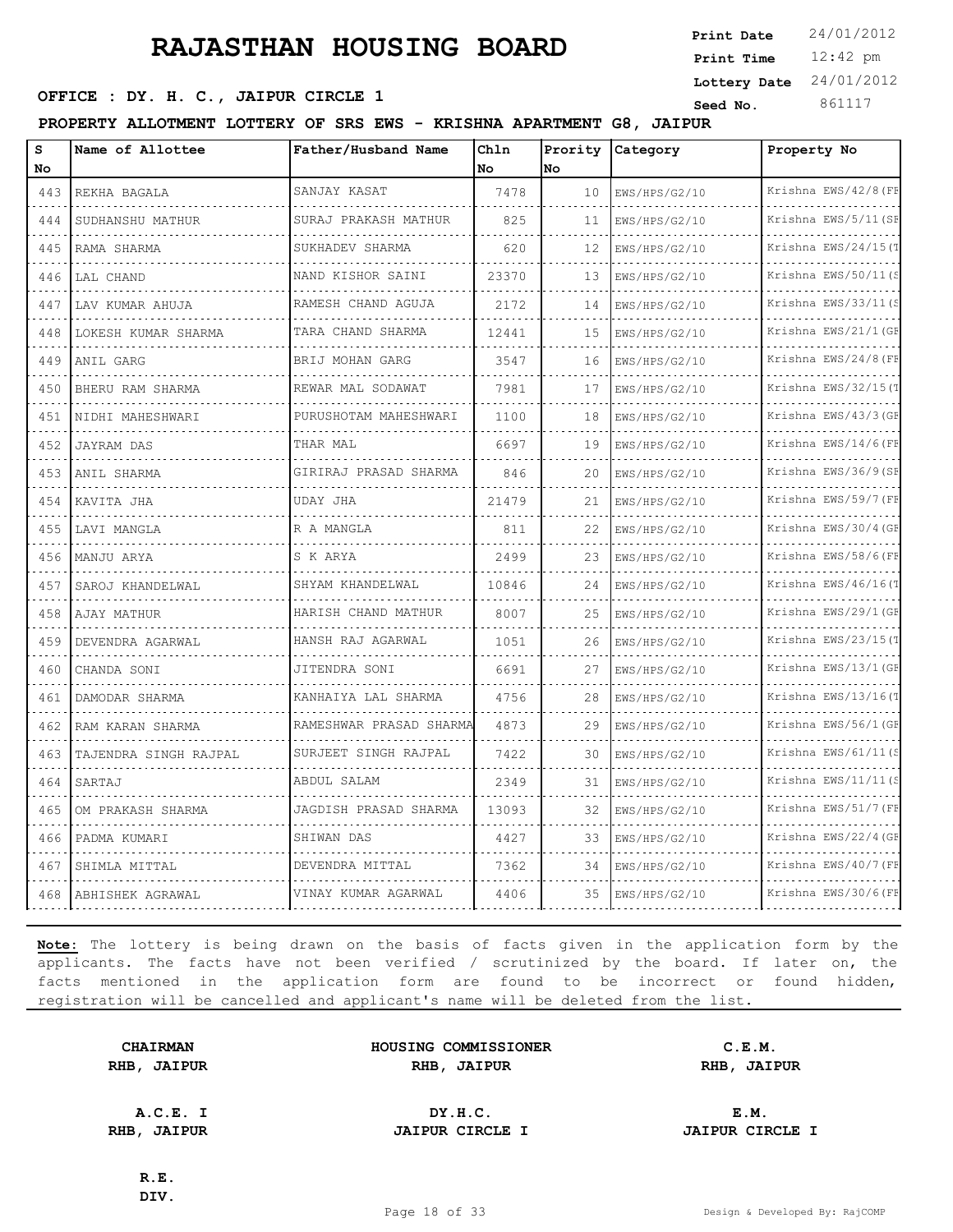12:42 pm **Print Time Print Date**  $24/01/2012$ **SERICE : DY. H. C., JAIPUR CIRCLE 1 Seed No.** 861117 **Lottery Date** 24/01/2012

**PROPERTY ALLOTMENT LOTTERY OF SRS EWS - KRISHNA APARTMENT G8, JAIPUR**

| S<br>No                               | Name of Allottee      | Father/Husband Name     | Chln<br>No | Prority<br>lno | Category      | Property No               |
|---------------------------------------|-----------------------|-------------------------|------------|----------------|---------------|---------------------------|
| 443                                   | REKHA BAGALA          | SANJAY KASAT            | 7478       | 10             | EWS/HPS/G2/10 | Krishna EWS/42/8 (FE      |
| $\sim$ $\sim$ $\sim$<br>444           | SUDHANSHU MATHUR      | SURAJ PRAKASH MATHUR    | 825        | 11             | EWS/HPS/G2/10 | .<br>Krishna EWS/5/11 (SE |
| 445                                   | RAMA SHARMA           | SUKHADEV SHARMA         | 620        | 12             | EWS/HPS/G2/10 | Krishna EWS/24/15(T       |
| 446                                   | LAL CHAND             | NAND KISHOR SAINI       | 23370      | 13             | EWS/HPS/G2/10 | Krishna EWS/50/11(S       |
| $\sim 100$<br>447                     | LAV KUMAR AHUJA       | RAMESH CHAND AGUJA      | 2172       | 14             | EWS/HPS/G2/10 | Krishna EWS/33/11(S       |
| 448                                   | LOKESH KUMAR SHARMA   | TARA CHAND SHARMA       | 12441      | 15             | EWS/HPS/G2/10 | Krishna EWS/21/1 (GE      |
| 449                                   | ANIL GARG             | BRIJ MOHAN GARG         | 3547       | 16             | EWS/HPS/G2/10 | Krishna EWS/24/8 (FE      |
| $\alpha$ , $\alpha$ , $\alpha$<br>450 | BHERU RAM SHARMA      | REWAR MAL SODAWAT       | 7981       | 17             | EWS/HPS/G2/10 | Krishna EWS/32/15(T       |
| 451                                   | NIDHI MAHESHWARI      | PURUSHOTAM MAHESHWARI   | 1100       | 18             | EWS/HPS/G2/10 | Krishna EWS/43/3 (GE      |
| 452                                   | <b>JAYRAM DAS</b>     | THAR MAL                | 6697       | 19             | EWS/HPS/G2/10 | Krishna EWS/14/6(FE       |
| $\sim$ $\sim$ $\sim$ $\sim$<br>453    | ANIL SHARMA           | GIRIRAJ PRASAD SHARMA   | 846        | 20             | EWS/HPS/G2/10 | Krishna EWS/36/9(SE       |
| 454                                   | KAVITA JHA            | UDAY JHA                | 21479      | 21             | EWS/HPS/G2/10 | Krishna EWS/59/7 (FF      |
| 455                                   | LAVI MANGLA           | R A MANGLA              | 811        | 22             | EWS/HPS/G2/10 | Krishna EWS/30/4 (GE      |
| $\sim$ $\sim$ $\sim$ $\sim$<br>456    | MANJU ARYA            | S K ARYA                | 2499       | 23             | EWS/HPS/G2/10 | .<br>Krishna EWS/58/6(FE  |
| 457                                   | SAROJ KHANDELWAL      | SHYAM KHANDELWAL        | 10846      | 2.4            | EWS/HPS/G2/10 | Krishna EWS/46/16(T       |
| 458                                   | AJAY MATHUR           | HARISH CHAND MATHUR     | 8007       | 25             | EWS/HPS/G2/10 | Krishna EWS/29/1(GE       |
| $\sim$ $\sim$ $\sim$ $\sim$<br>459    | DEVENDRA AGARWAL      | HANSH RAJ AGARWAL       | 1051       | 26             | EWS/HPS/G2/10 | Krishna EWS/23/15(T       |
| 460                                   | CHANDA SONI           | JITENDRA SONI           | 6691       | 27             | EWS/HPS/G2/10 | Krishna EWS/13/1 (GE      |
| 461                                   | DAMODAR SHARMA        | KANHAIYA LAL SHARMA     | 4756       | 28             | EWS/HPS/G2/10 | Krishna EWS/13/16(T       |
| 462                                   | RAM KARAN SHARMA      | RAMESHWAR PRASAD SHARMA | 4873       | 29             | EWS/HPS/G2/10 | Krishna EWS/56/1 (GE      |
| 463                                   | TAJENDRA SINGH RAJPAL | SURJEET SINGH RAJPAL    | 7422       | 30             | EWS/HPS/G2/10 | Krishna EWS/61/11(S       |
| 464                                   | SARTAJ                | ABDUL SALAM             | 2349       | 31             | EWS/HPS/G2/10 | Krishna EWS/11/11(:       |
| 465<br>$  -$                          | OM PRAKASH SHARMA     | JAGDISH PRASAD SHARMA   | 13093      | 32             | EWS/HPS/G2/10 | Krishna EWS/51/7 (FF      |
| 466                                   | PADMA KUMARI          | SHIWAN DAS              | 4427       | 33             | EWS/HPS/G2/10 | Krishna EWS/22/4 (GE      |
| 467                                   | SHIMLA MITTAL         | DEVENDRA MITTAL         | 7362       | 34             | EWS/HPS/G2/10 | Krishna EWS/40/7 (FE      |
| 468                                   | ABHISHEK AGRAWAL      | VINAY KUMAR AGARWAL     | 4406       | 35             | EWS/HPS/G2/10 | Krishna EWS/30/6(FF       |

**Note:** The lottery is being drawn on the basis of facts given in the application form by the applicants. The facts have not been verified / scrutinized by the board. If later on, the facts mentioned in the application form are found to be incorrect or found hidden, registration will be cancelled and applicant's name will be deleted from the list.

|      | <b>CHAIRMAN</b> |
|------|-----------------|
| RHB, | <b>JAIPUR</b>   |

| <b>CHAIRMAN</b>   | HOUSING COMMISSIONER | C.E.M.               |  |
|-------------------|----------------------|----------------------|--|
| <b>IB, JAIPUR</b> | RHB<br><b>JAIPUR</b> | RHB<br><b>JAIPUR</b> |  |

**A.C.E. I DY.H.C. E.M. RHB, JAIPUR JAIPUR CIRCLE I JAIPUR CIRCLE I**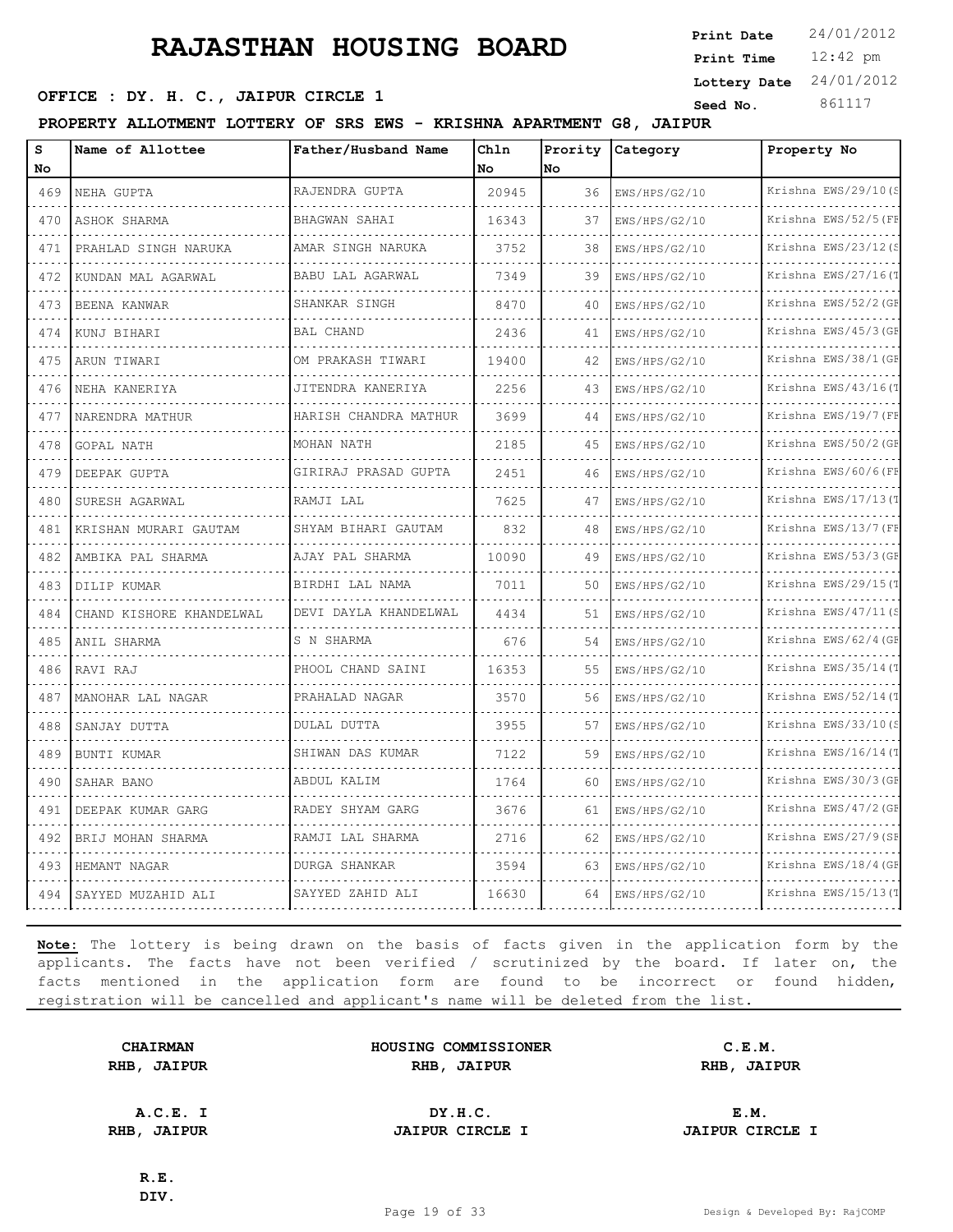**SEED OFFICE : DY. H. C., JAIPUR CIRCLE 1 Seed No.** 861117

**PROPERTY ALLOTMENT LOTTERY OF SRS EWS - KRISHNA APARTMENT G8, JAIPUR**

| s        | Name of Allottee         | Father/Husband Name    | Chln  | Prority | Category      | Property No              |
|----------|--------------------------|------------------------|-------|---------|---------------|--------------------------|
| No       |                          |                        | No.   | Nο      |               |                          |
| 469      | NEHA GUPTA               | RAJENDRA GUPTA         | 20945 | 36      | EWS/HPS/G2/10 | Krishna EWS/29/10(S      |
| 470      | ASHOK SHARMA             | BHAGWAN SAHAI          | 16343 | 37      | EWS/HPS/G2/10 | Krishna EWS/52/5 (FF     |
| 471      | PRAHLAD SINGH NARUKA     | AMAR SINGH NARUKA      | 3752  | 38      | EWS/HPS/G2/10 | Krishna EWS/23/12(S      |
| 472      | KUNDAN MAL AGARWAL       | BABU LAL AGARWAL       | 7349  | 39      | EWS/HPS/G2/10 | Krishna EWS/27/16(T      |
| 473      | BEENA KANWAR             | SHANKAR SINGH          | 8470  | 40      | EWS/HPS/G2/10 | Krishna EWS/52/2 (GE     |
| 474      | KUNJ BIHARI              | <b>BAL CHAND</b>       | 2436  | 41      | EWS/HPS/G2/10 | Krishna EWS/45/3 (GE     |
| 475      | ARUN TIWARI              | OM PRAKASH TIWARI<br>. | 19400 | 42      | EWS/HPS/G2/10 | Krishna EWS/38/1 (GF     |
| 476      | NEHA KANERIYA            | JITENDRA KANERIYA      | 2256  | 43      | EWS/HPS/G2/10 | Krishna EWS/43/16(1      |
| 477<br>. | NARENDRA MATHUR          | HARISH CHANDRA MATHUR  | 3699  | 44      | EWS/HPS/G2/10 | Krishna EWS/19/7 (FE     |
| 478      | GOPAL NATH               | MOHAN NATH             | 2185  | 45      | EWS/HPS/G2/10 | Krishna EWS/50/2 (GE     |
| 479      | DEEPAK GUPTA             | GIRIRAJ PRASAD GUPTA   | 2451  | 46      | EWS/HPS/G2/10 | Krishna EWS/60/6(FE      |
| 480      | SURESH AGARWAL           | RAMJI LAL              | 7625  | 47      | EWS/HPS/G2/10 | Krishna EWS/17/13(T      |
| 481<br>. | KRISHAN MURARI GAUTAM    | SHYAM BIHARI GAUTAM    | 832   | 48      | EWS/HPS/G2/10 | Krishna EWS/13/7 (FF     |
| 482      | AMBIKA PAL SHARMA        | AJAY PAL SHARMA        | 10090 | 49      | EWS/HPS/G2/10 | Krishna EWS/53/3(GE      |
| 483      | DILIP KUMAR              | BIRDHI LAL NAMA        | 7011  | 50      | EWS/HPS/G2/10 | Krishna EWS/29/15(T      |
| 484      | CHAND KISHORE KHANDELWAL | DEVI DAYLA KHANDELWAL  | 4434  | 51      | EWS/HPS/G2/10 | Krishna EWS/47/11(S      |
| 485      | ANIL SHARMA              | S N SHARMA             | 676   | 54      | EWS/HPS/G2/10 | Krishna EWS/62/4 (GE     |
| 486      | RAVI RAJ                 | PHOOL CHAND SAINI      | 16353 | 55      | EWS/HPS/G2/10 | Krishna EWS/35/14(T      |
| 487      | MANOHAR LAL NAGAR        | PRAHALAD NAGAR<br>.    | 3570  | 56      | EWS/HPS/G2/10 | Krishna EWS/52/14(T<br>. |
| 488      | SANJAY DUTTA             | DULAL DUTTA            | 3955  | 57      | EWS/HPS/G2/10 | Krishna EWS/33/10(S      |
| 489      | BUNTI KUMAR              | SHIWAN DAS KUMAR       | 7122  | 59      | EWS/HPS/G2/10 | Krishna EWS/16/14(T      |
| 490      | SAHAR BANO               | ABDUL KALIM            | 1764  | 60      | EWS/HPS/G2/10 | Krishna EWS/30/3(GE<br>. |
| 491      | DEEPAK KUMAR GARG        | RADEY SHYAM GARG       | 3676  | 61      | EWS/HPS/G2/10 | Krishna EWS/47/2 (GE     |
| 492      | BRIJ MOHAN SHARMA        | RAMJI LAL SHARMA       | 2716  | 62      | EWS/HPS/G2/10 | Krishna EWS/27/9(SE      |
| 493      | HEMANT NAGAR             | DURGA SHANKAR<br>.     | 3594  | 63      | EWS/HPS/G2/10 | Krishna EWS/18/4 (GE     |
| 494      | SAYYED MUZAHID ALI       | SAYYED ZAHID ALI       | 16630 | 64      | EWS/HPS/G2/10 | Krishna EWS/15/13(T      |

**Note:** The lottery is being drawn on the basis of facts given in the application form by the applicants. The facts have not been verified / scrutinized by the board. If later on, the facts mentioned in the application form are found to be incorrect or found hidden, registration will be cancelled and applicant's name will be deleted from the list.

**CHAIRMAN HOUSING COMMISSIONER C.E.M. RHB, JAIPUR RHB, JAIPUR RHB, JAIPUR**

**A.C.E. I DY.H.C. E.M. RHB, JAIPUR JAIPUR CIRCLE I JAIPUR CIRCLE I**

**R.E. DIV.**

Page 19 of 33 Design & Developed By: RajCOMP

12:42 pm **Print Time**

**Print Date**  $24/01/2012$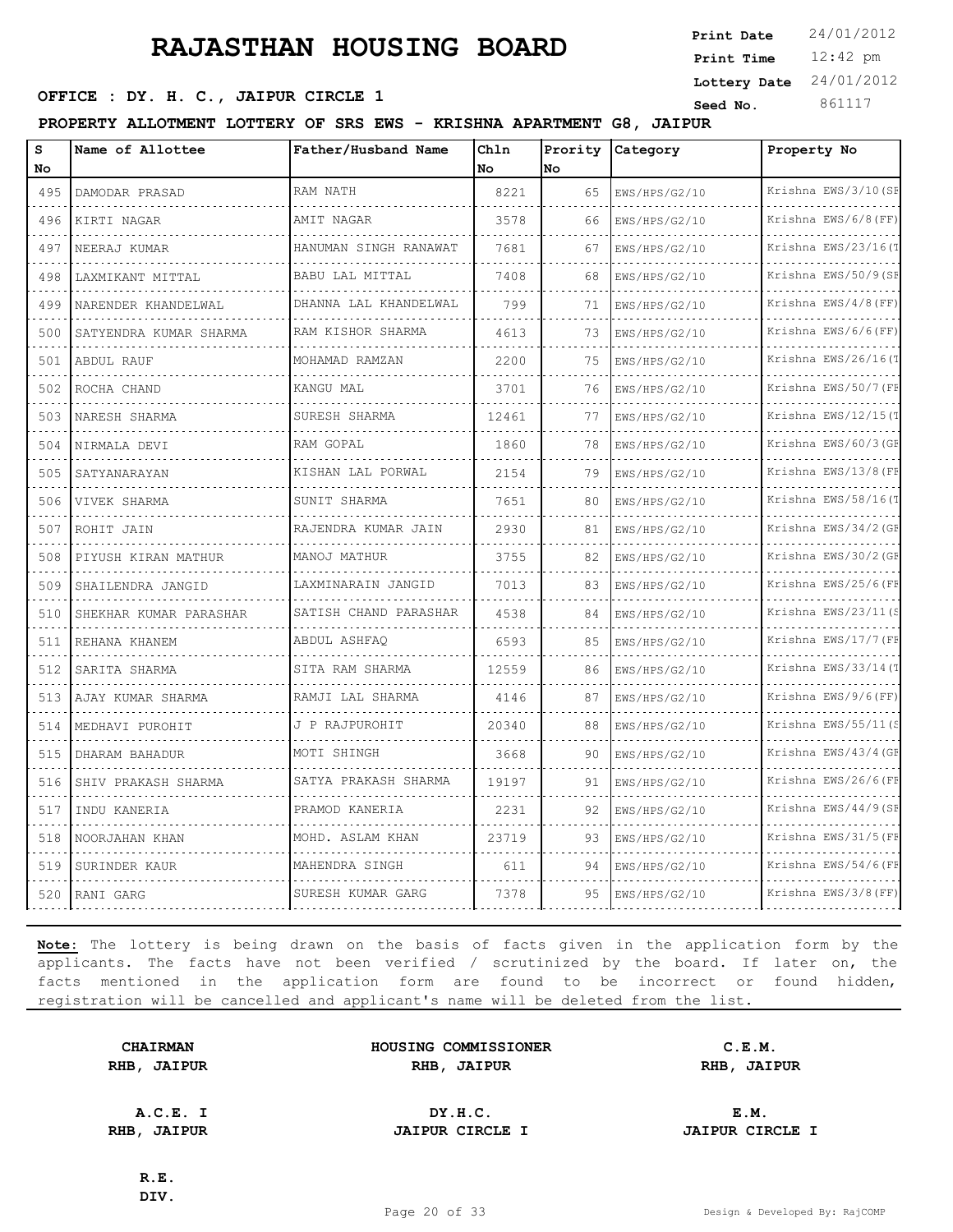12:42 pm **Print Time Print Date**  $24/01/2012$ **Lottery Date** 24/01/2012

### **SEED OFFICE : DY. H. C., JAIPUR CIRCLE 1 Seed No.** 861117

**PROPERTY ALLOTMENT LOTTERY OF SRS EWS - KRISHNA APARTMENT G8, JAIPUR**

| s<br>No                     | Name of Allottee       | Father/Husband Name      | Chln<br><b>No</b> | Prority<br>No | Category      | Property No               |
|-----------------------------|------------------------|--------------------------|-------------------|---------------|---------------|---------------------------|
| 495                         | DAMODAR PRASAD         | RAM NATH                 | 8221              | 65            | EWS/HPS/G2/10 | Krishna EWS/3/10 (SF      |
| 496                         | KIRTI NAGAR            | AMIT NAGAR               | 3578              | 66            | EWS/HPS/G2/10 | Krishna EWS/6/8(FF)       |
| 497                         | NEERAJ KUMAR           | HANUMAN SINGH RANAWAT    | 7681              | 67            | EWS/HPS/G2/10 | Krishna EWS/23/16(T       |
| 498                         | LAXMIKANT MITTAL       | BABU LAL MITTAL          | 7408              | 68            | EWS/HPS/G2/10 | Krishna EWS/50/9(SE       |
| $\sim$ $\sim$ $\sim$<br>499 | NARENDER KHANDELWAL    | DHANNA LAL KHANDELWAL    | 799               | 71            | EWS/HPS/G2/10 | Krishna EWS/4/8 (FF)      |
| 500                         | SATYENDRA KUMAR SHARMA | RAM KISHOR SHARMA        | 4613              | 73            | EWS/HPS/G2/10 | Krishna EWS/6/6(FF)       |
| 501                         | ABDUL RAUF             | MOHAMAD RAMZAN           | 2200              | 75            | EWS/HPS/G2/10 | Krishna EWS/26/16(1       |
| 502                         | ROCHA CHAND            | KANGU MAL                | 3701              | 76            | EWS/HPS/G2/10 | Krishna EWS/50/7 (FE      |
| 503                         | NARESH SHARMA          | SURESH SHARMA            | 12461             | 77            | EWS/HPS/G2/10 | Krishna EWS/12/15(T       |
| 504                         | NIRMALA DEVI           | RAM GOPAL                | 1860              | 78            | EWS/HPS/G2/10 | Krishna EWS/60/3 (GE<br>. |
| 505                         | SATYANARAYAN           | KISHAN LAL PORWAL        | 2154              | 79            | EWS/HPS/G2/10 | Krishna EWS/13/8 (FE      |
| 506                         | VIVEK SHARMA           | SUNIT SHARMA             | 7651              | 80            | EWS/HPS/G2/10 | Krishna EWS/58/16(1       |
| 507                         | ROHIT JAIN             | RAJENDRA KUMAR JAIN<br>. | 2930              | 81            | EWS/HPS/G2/10 | Krishna EWS/34/2 (GE      |
| 508                         | PIYUSH KIRAN MATHUR    | MANOJ MATHUR             | 3755              | 82            | EWS/HPS/G2/10 | Krishna EWS/30/2 (GE      |
| 509                         | SHAILENDRA JANGID      | LAXMINARAIN JANGID       | 7013              | 83            | EWS/HPS/G2/10 | Krishna EWS/25/6(FB       |
| 510                         | SHEKHAR KUMAR PARASHAR | SATISH CHAND PARASHAR    | 4538              | 84            | EWS/HPS/G2/10 | Krishna EWS/23/11(S<br>.  |
| $\sim$ $\sim$ $\sim$<br>511 | REHANA KHANEM          | ABDUL ASHFAQ             | 6593              | 85            | EWS/HPS/G2/10 | Krishna EWS/17/7 (FF      |
| 512                         | SARITA SHARMA          | SITA RAM SHARMA          | 12559             | 86            | EWS/HPS/G2/10 | Krishna EWS/33/14(T       |
| 513                         | AJAY KUMAR SHARMA      | RAMJI LAL SHARMA         | 4146              | 87            | EWS/HPS/G2/10 | Krishna EWS/9/6(FF)       |
| 514                         | MEDHAVI PUROHIT        | J P RAJPUROHIT           | 20340             | 88            | EWS/HPS/G2/10 | Krishna EWS/55/11(S       |
| 515                         | DHARAM BAHADUR         | MOTI SHINGH              | 3668              | 90            | EWS/HPS/G2/10 | Krishna EWS/43/4 (GE      |
| 516                         | SHIV PRAKASH SHARMA    | SATYA PRAKASH SHARMA     | 19197             | 91            | EWS/HPS/G2/10 | Krishna EWS/26/6(FF       |
| 517                         | INDU KANERIA           | PRAMOD KANERIA           | 2231              | 92            | EWS/HPS/G2/10 | Krishna EWS/44/9(SE       |
| 518                         | NOORJAHAN KHAN         | MOHD. ASLAM KHAN         | 23719             | 93            | EWS/HPS/G2/10 | Krishna EWS/31/5 (FE      |
| 519                         | SURINDER KAUR          | MAHENDRA SINGH           | 611               | 94            | EWS/HPS/G2/10 | Krishna EWS/54/6(FF       |
| 520                         | RANI GARG              | SURESH KUMAR GARG        | 7378              | 95            | EWS/HPS/G2/10 | Krishna EWS/3/8 (FF)      |

**Note:** The lottery is being drawn on the basis of facts given in the application form by the applicants. The facts have not been verified / scrutinized by the board. If later on, the facts mentioned in the application form are found to be incorrect or found hidden, registration will be cancelled and applicant's name will be deleted from the list.

|      | <b>CHAIRMAN</b> |
|------|-----------------|
| RHB, | <b>JAIPUR</b>   |

**HOUSING COMMISSIONER C.E.M. RHB, JAIPUR RHB, JAIPUR RHB, JAIPUR**

**A.C.E. I DY.H.C. E.M. RHB, JAIPUR JAIPUR CIRCLE I JAIPUR CIRCLE I**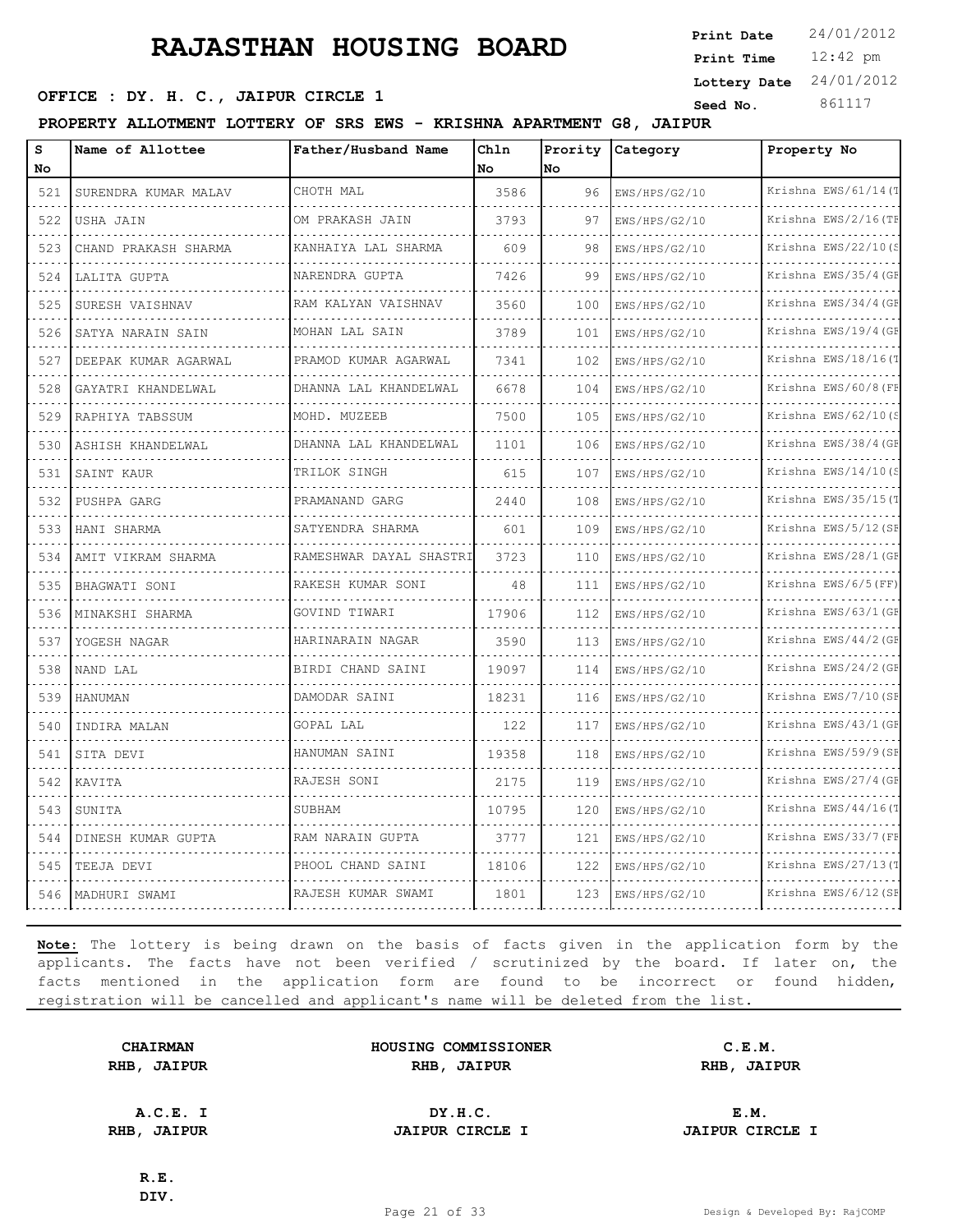**SEED OFFICE : DY. H. C., JAIPUR CIRCLE 1 Seed No.** 861117

**PROPERTY ALLOTMENT LOTTERY OF SRS EWS - KRISHNA APARTMENT G8, JAIPUR**

| S<br><b>No</b> | Name of Allottee          | Father/Husband Name       | Chln<br>No | Prority<br>No | Category           | Property No               |
|----------------|---------------------------|---------------------------|------------|---------------|--------------------|---------------------------|
| 521            | SURENDRA KUMAR MALAV      | CHOTH MAL                 | 3586       | 96            | EWS/HPS/G2/10      | Krishna EWS/61/14 (T      |
| 522            | USHA JAIN                 | OM PRAKASH JAIN           | 3793       | 97            | EWS/HPS/G2/10      | Krishna EWS/2/16(TF       |
| 523            | CHAND PRAKASH SHARMA      | KANHAIYA LAL SHARMA       | 609        | 98            | EWS/HPS/G2/10      | Krishna EWS/22/10(S       |
| 524            | LALITA GUPTA              | NARENDRA GUPTA            | 7426       | 99            | EWS/HPS/G2/10      | Krishna EWS/35/4 (GF      |
| 525            | SURESH VAISHNAV           | RAM KALYAN VAISHNAV       | 3560       | 100           | EWS/HPS/G2/10      | Krishna EWS/34/4 (GF      |
| 526            | SATYA NARAIN SAIN<br>.    | MOHAN LAL SAIN            | 3789       | 101           | EWS/HPS/G2/10<br>. | Krishna EWS/19/4 (GF<br>. |
| 527            | DEEPAK KUMAR AGARWAL<br>. | PRAMOD KUMAR AGARWAL<br>. | 7341       | 102           | EWS/HPS/G2/10      | Krishna EWS/18/16(T       |
| 528            | GAYATRI KHANDELWAL        | DHANNA LAL KHANDELWAL     | 6678       | 104           | EWS/HPS/G2/10      | Krishna EWS/60/8 (FF      |
| 529            | RAPHIYA TABSSUM           | MOHD. MUZEEB              | 7500       | 105           | EWS/HPS/G2/10      | Krishna EWS/62/10(S       |
| 530            | ASHISH KHANDELWAL         | DHANNA LAL KHANDELWAL     | 1101       | 106           | EWS/HPS/G2/10      | Krishna EWS/38/4 (GF      |
| 531            | SAINT KAUR                | TRILOK SINGH              | 615        | 107           | EWS/HPS/G2/10      | Krishna EWS/14/10(S       |
| 532            | PUSHPA GARG               | PRAMANAND GARG            | 2440       | 108           | EWS/HPS/G2/10      | Krishna EWS/35/15(T       |
| 533            | HANI SHARMA               | SATYENDRA SHARMA          | 601        | 109           | EWS/HPS/G2/10      | Krishna EWS/5/12 (SF      |
| 534            | AMIT VIKRAM SHARMA        | RAMESHWAR DAYAL SHASTRI   | 3723       | 110           | EWS/HPS/G2/10      | Krishna EWS/28/1 (GF      |
| 535            | BHAGWATI SONI             | RAKESH KUMAR SONI         | 48         | 111           | EWS/HPS/G2/10      | Krishna EWS/6/5(FF)       |
| 536            | MINAKSHI SHARMA           | GOVIND TIWARI             | 17906      | 112           | EWS/HPS/G2/10      | Krishna EWS/63/1 (GF      |
| 537            | YOGESH NAGAR              | HARINARAIN NAGAR          | 3590       | 113           | EWS/HPS/G2/10      | Krishna EWS/44/2 (GF      |
| 538            | NAND LAL                  | BIRDI CHAND SAINI         | 19097      | 114           | EWS/HPS/G2/10      | Krishna EWS/24/2 (GF      |
| 539            | <b>HANUMAN</b>            | DAMODAR SAINI             | 18231      | 116           | EWS/HPS/G2/10      | Krishna EWS/7/10 (SF      |
| 540            | INDIRA MALAN              | GOPAL LAL                 | 122        | 117           | EWS/HPS/G2/10      | Krishna EWS/43/1 (GF      |
| 541            | SITA DEVI                 | HANUMAN SAINI             | 19358      | 118           | EWS/HPS/G2/10      | Krishna EWS/59/9(SF       |
| 542            | KAVITA                    | RAJESH SONI               | 2175       | 119           | EWS/HPS/G2/10<br>. | Krishna EWS/27/4 (GF<br>. |
| 543            | SUNITA                    | SUBHAM                    | 10795      | 120           | EWS/HPS/G2/10      | Krishna EWS/44/16(T       |
| 544            | DINESH KUMAR GUPTA        | RAM NARAIN GUPTA          | 3777       | 121           | EWS/HPS/G2/10      | Krishna EWS/33/7 (FE      |
| 545            | TEEJA DEVI                | PHOOL CHAND SAINI         | 18106      | 122           | EWS/HPS/G2/10      | Krishna EWS/27/13(1       |
| 546            | MADHURI SWAMI             | RAJESH KUMAR SWAMI        | 1801       | 123           | EWS/HPS/G2/10      | Krishna EWS/6/12 (SF      |

**Note:** The lottery is being drawn on the basis of facts given in the application form by the applicants. The facts have not been verified / scrutinized by the board. If later on, the facts mentioned in the application form are found to be incorrect or found hidden, registration will be cancelled and applicant's name will be deleted from the list.

**CHAIRMAN HOUSING COMMISSIONER C.E.M. RHB, JAIPUR RHB, JAIPUR RHB, JAIPUR**

**A.C.E. I DY.H.C. E.M. RHB, JAIPUR JAIPUR CIRCLE I JAIPUR CIRCLE I**

**R.E. DIV.**

12:42 pm **Print Time Print Date**  $24/01/2012$ **Lottery Date** 24/01/2012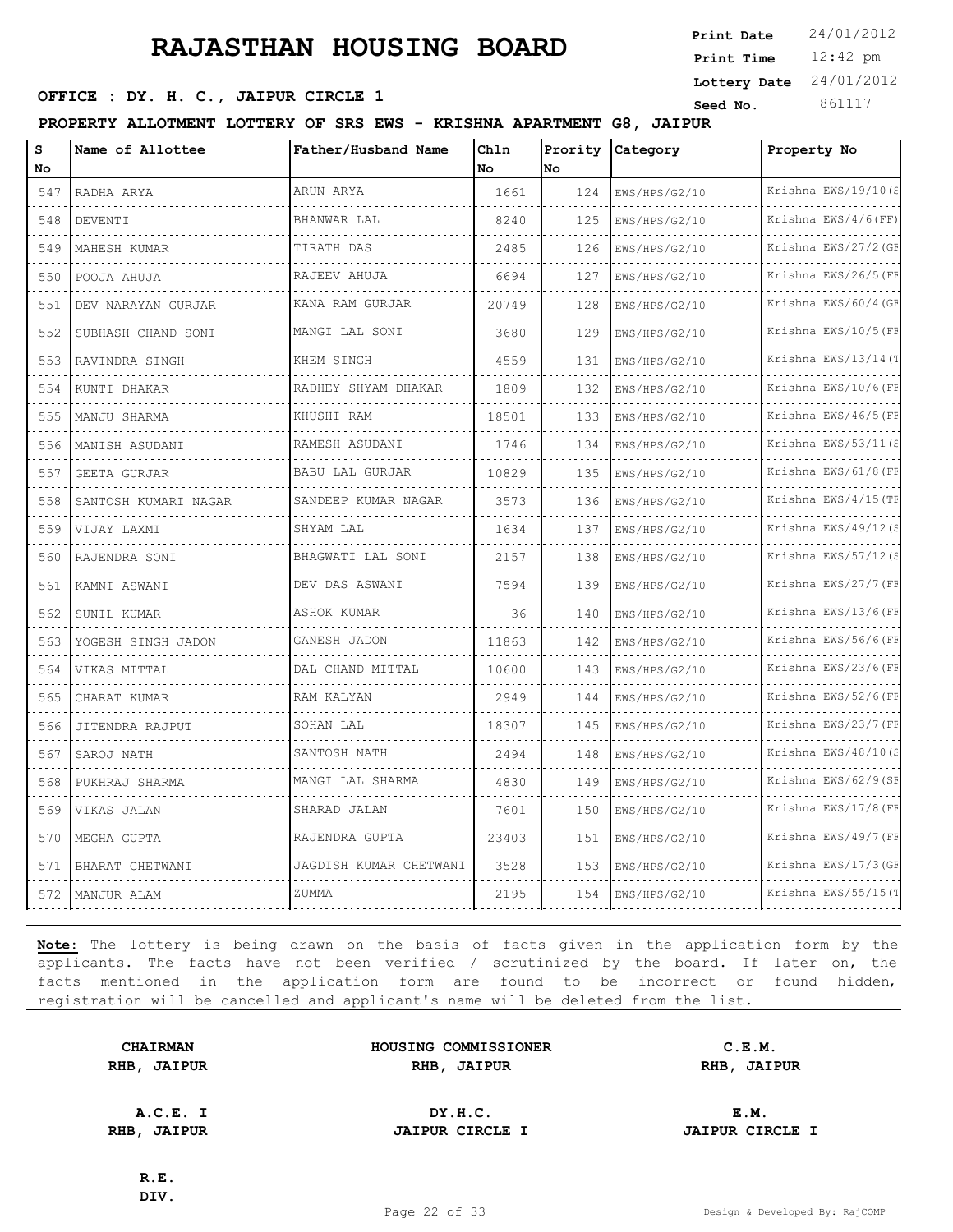12:42 pm **Print Time Print Date**  $24/01/2012$ **Lottery Date** 24/01/2012

### **SEED OFFICE : DY. H. C., JAIPUR CIRCLE 1 Seed No.** 861117

**PROPERTY ALLOTMENT LOTTERY OF SRS EWS - KRISHNA APARTMENT G8, JAIPUR**

| s<br>No      | Name of Allottee        | Father/Husband Name    | Chln<br><b>No</b> | Prority<br>No | Category           | Property No                 |
|--------------|-------------------------|------------------------|-------------------|---------------|--------------------|-----------------------------|
| 547          | RADHA ARYA              | ARUN ARYA              | 1661              | 124           | EWS/HPS/G2/10      | Krishna EWS/19/10(S         |
| .<br>548     | DEVENTI                 | BHANWAR LAL            | 8240              | 125           | .<br>EWS/HPS/G2/10 | .<br>Krishna $EWS/4/6$ (FF) |
| 549          | MAHESH KUMAR            | TIRATH DAS             | 2485              | 126           | EWS/HPS/G2/10      | Krishna EWS/27/2 (GE        |
| 550          | POOJA AHUJA             | RAJEEV AHUJA           | 6694              | 127           | EWS/HPS/G2/10      | Krishna EWS/26/5(FF         |
| 551          | .<br>DEV NARAYAN GURJAR | .<br>KANA RAM GURJAR   | 20749             | 128           | .<br>EWS/HPS/G2/10 | .<br>Krishna EWS/60/4 (GE   |
| 552          | SUBHASH CHAND SONI      | MANGI LAL SONI         | 3680              | 129           | EWS/HPS/G2/10      | Krishna EWS/10/5 (FE        |
| 553          | RAVINDRA SINGH          | KHEM SINGH             | 4559              | 131           | EWS/HPS/G2/10      | Krishna EWS/13/14(T         |
| 554          | KUNTI DHAKAR            | RADHEY SHYAM DHAKAR    | 1809              | 132           | EWS/HPS/G2/10      | Krishna EWS/10/6(FE         |
| 555          | MANJU SHARMA            | KHUSHI RAM             | 18501             | 133           | EWS/HPS/G2/10      | Krishna EWS/46/5(FF         |
| 556          | MANISH ASUDANI          | RAMESH ASUDANI         | 1746              | 134           | EWS/HPS/G2/10      | Krishna EWS/53/11(S         |
| .<br>557     | <b>GEETA GURJAR</b>     | BABU LAL GURJAR        | 10829             | 135           | EWS/HPS/G2/10      | .<br>Krishna EWS/61/8 (FF   |
| 558          | SANTOSH KUMARI NAGAR    | SANDEEP KUMAR NAGAR    | 3573              | 136           | EWS/HPS/G2/10      | Krishna EWS/4/15 (TE        |
| 559          | VIJAY LAXMI             | SHYAM LAL              | 1634              | 137           | EWS/HPS/G2/10      | Krishna EWS/49/12(S<br>.    |
| .<br>560     | RAJENDRA SONI           | BHAGWATI LAL SONI      | 2157              | 138           | EWS/HPS/G2/10      | Krishna EWS/57/12(S         |
| 561          | KAMNI ASWANI            | DEV DAS ASWANI         | 7594              | 139           | EWS/HPS/G2/10      | Krishna EWS/27/7 (FF<br>.   |
| 562          | SUNIL KUMAR             | ASHOK KUMAR            | 36                | 140           | EWS/HPS/G2/10      | Krishna EWS/13/6(FE         |
| 563          | YOGESH SINGH JADON      | GANESH JADON           | 11863             | 142           | EWS/HPS/G2/10      | Krishna EWS/56/6(FE         |
| 564          | VIKAS MITTAL            | DAL CHAND MITTAL       | 10600             | 143           | EWS/HPS/G2/10      | Krishna EWS/23/6(FE         |
| 565          | CHARAT KUMAR            | RAM KALYAN             | 2949              | 144           | EWS/HPS/G2/10      | Krishna EWS/52/6(FE         |
| 566          | JITENDRA RAJPUT         | SOHAN LAL              | 18307             | 145           | EWS/HPS/G2/10      | Krishna EWS/23/7 (FF        |
| $  -$<br>567 | SAROJ NATH              | SANTOSH NATH           | 2494              | 148           | EWS/HPS/G2/10      | Krishna EWS/48/10(S         |
| 568          | PUKHRAJ SHARMA          | MANGI LAL SHARMA       | 4830              | 149           | EWS/HPS/G2/10      | Krishna EWS/62/9(SF         |
| 569          | VIKAS JALAN             | SHARAD JALAN           | 7601              | 150           | EWS/HPS/G2/10      | Krishna EWS/17/8 (FE        |
| 570          | MEGHA GUPTA             | RAJENDRA GUPTA         | 23403             | 151           | EWS/HPS/G2/10      | Krishna EWS/49/7 (FF        |
| 571          | BHARAT CHETWANI         | JAGDISH KUMAR CHETWANI | 3528              | 153           | EWS/HPS/G2/10      | Krishna EWS/17/3 (GE        |
| 572          | MANJUR ALAM             | ZUMMA                  | 2195              | 154           | EWS/HPS/G2/10      | Krishna EWS/55/15(T         |

**Note:** The lottery is being drawn on the basis of facts given in the application form by the applicants. The facts have not been verified / scrutinized by the board. If later on, the facts mentioned in the application form are found to be incorrect or found hidden, registration will be cancelled and applicant's name will be deleted from the list.

|      | <b>CHAIRMAN</b> |
|------|-----------------|
| RHB, | <b>JAIPUR</b>   |

**HOUSING COMMISSIONER C.E.M. RHB, JAIPUR RHB, JAIPUR RHB, JAIPUR**

**A.C.E. I DY.H.C. E.M. RHB, JAIPUR JAIPUR CIRCLE I JAIPUR CIRCLE I**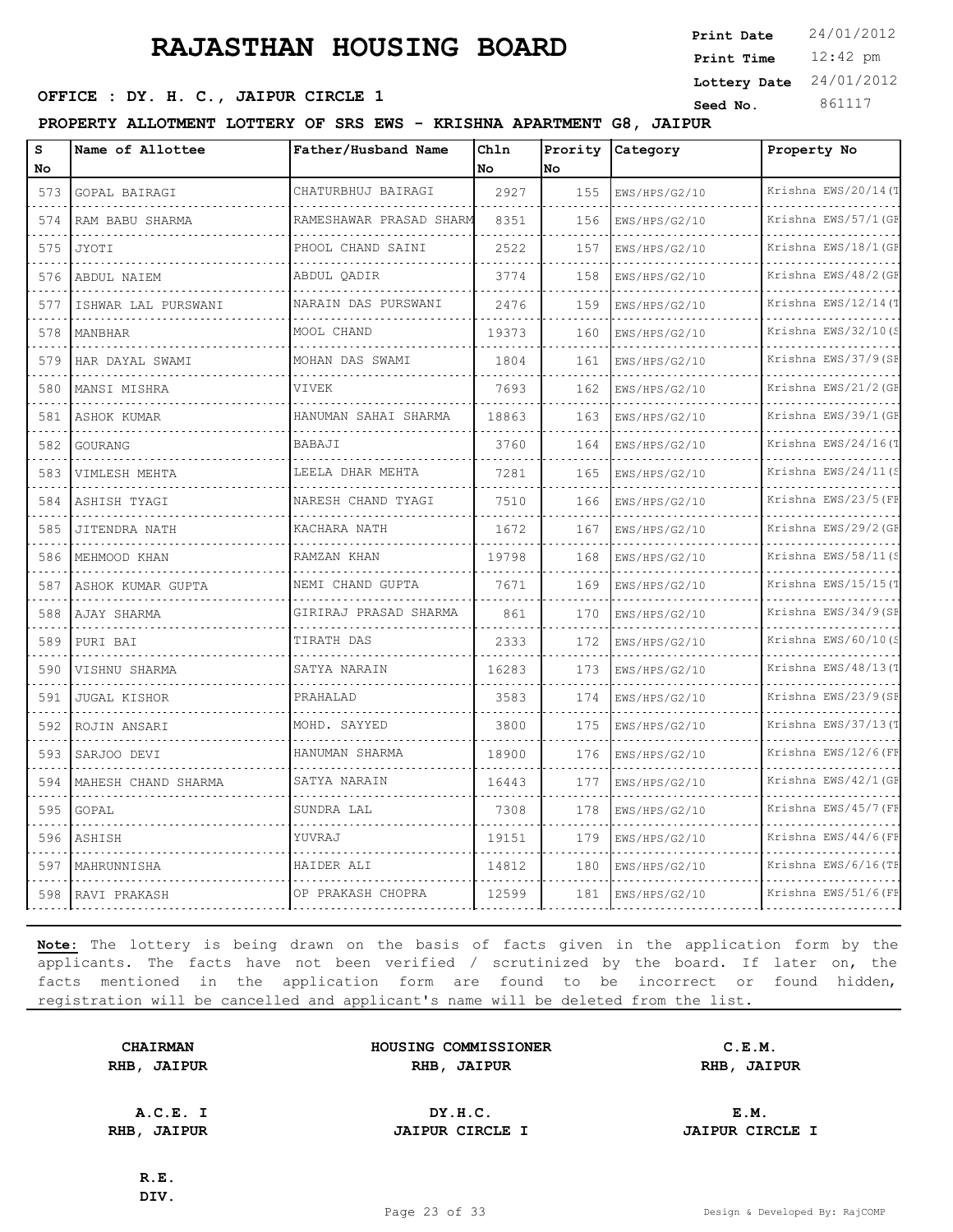12:42 pm **Print Time Print Date**  $24/01/2012$ **Lottery Date** 24/01/2012

### **SEED OFFICE : DY. H. C., JAIPUR CIRCLE 1 Seed No.** 861117

**PROPERTY ALLOTMENT LOTTERY OF SRS EWS - KRISHNA APARTMENT G8, JAIPUR**

| s<br>No      | Name of Allottee    | Father/Husband Name     | Chln<br>No | Prority<br>No | Category                                  | Property No               |
|--------------|---------------------|-------------------------|------------|---------------|-------------------------------------------|---------------------------|
| 573          | GOPAL BAIRAGI       | CHATURBHUJ BAIRAGI      | 2927       | 155           | EWS/HPS/G2/10                             | Krishna EWS/20/14 (T      |
| 574          | RAM BABU SHARMA     | RAMESHAWAR PRASAD SHARM | 8351       | 156           | EWS/HPS/G2/10                             | Krishna EWS/57/1 (GF      |
| 575          | <b>JYOTI</b>        | PHOOL CHAND SAINI       | 2522       | 157           | EWS/HPS/G2/10                             | Krishna EWS/18/1 (GF      |
| 576          | ABDUL NAIEM         | ABDUL OADIR             | 3774       | 158           | EWS/HPS/G2/10                             | Krishna EWS/48/2 (GE      |
| 577          | ISHWAR LAL PURSWANI | NARAIN DAS PURSWANI     | 2476       | 159           | EWS/HPS/G2/10                             | Krishna EWS/12/14(T       |
| 578          | MANBHAR             | MOOL CHAND              | 19373      | 160           | EWS/HPS/G2/10                             | Krishna EWS/32/10(S       |
| 579          | HAR DAYAL SWAMI     | MOHAN DAS SWAMI         | 1804       | 161           | EWS/HPS/G2/10                             | Krishna EWS/37/9(SE       |
| a a a<br>580 | MANSI MISHRA        | VIVEK                   | 7693       | 162           | EWS/HPS/G2/10                             | Krishna EWS/21/2 (GE      |
| 581          | ASHOK KUMAR         | HANUMAN SAHAI SHARMA    | 18863      | 163           | EWS/HPS/G2/10                             | Krishna EWS/39/1 (GE      |
| 582          | GOURANG             | BABAJI                  | 3760       | 164           | EWS/HPS/G2/10                             | Krishna EWS/24/16(T       |
| .<br>583     | VIMLESH MEHTA       | LEELA DHAR MEHTA        | 7281       | 165           | .<br>EWS/HPS/G2/10                        | .<br>Krishna EWS/24/11(S  |
| 584          | ASHISH TYAGI        | NARESH CHAND TYAGI      | 7510       | 166           | EWS/HPS/G2/10                             | Krishna EWS/23/5 (FE      |
| 585          | JITENDRA NATH       | KACHARA NATH            | 1672       | 167           | EWS/HPS/G2/10                             | Krishna EWS/29/2 (GE      |
| 586          | .<br>MEHMOOD KHAN   | .<br>RAMZAN KHAN        | 19798      | 168           | and a state of the state<br>EWS/HPS/G2/10 | .<br>Krishna EWS/58/11(S  |
| 587          | ASHOK KUMAR GUPTA   | NEMI CHAND GUPTA        | 7671       | 169           | EWS/HPS/G2/10                             | Krishna EWS/15/15(T       |
| 588          | AJAY SHARMA         | GIRIRAJ PRASAD SHARMA   | 861        | 170           | EWS/HPS/G2/10                             | Krishna EWS/34/9(SE       |
| 589          | PURI BAI            | TIRATH DAS              | 2333       | 172           | EWS/HPS/G2/10                             | .<br>Krishna EWS/60/10(S  |
| 590          | VISHNU SHARMA       | SATYA NARAIN            | 16283      | 173           | EWS/HPS/G2/10                             | Krishna EWS/48/13(1       |
| 591          | <b>JUGAL KISHOR</b> | PRAHALAD                | 3583       | 174           | EWS/HPS/G2/10                             | Krishna EWS/23/9(SF       |
| .<br>592     | ROJIN ANSARI        | MOHD. SAYYED            | 3800       | 175           | EWS/HPS/G2/10                             | .<br>Krishna EWS/37/13(T  |
| 593          | SARJOO DEVI         | HANUMAN SHARMA          | 18900      | 176           | EWS/HPS/G2/10                             | Krishna EWS/12/6(FE       |
| 594          | MAHESH CHAND SHARMA | SATYA NARAIN            | 16443      | 177           | EWS/HPS/G2/10                             | Krishna EWS/42/1 (GF      |
| .<br>595     | GOPAL               | SUNDRA LAL              | 7308       | 178           | EWS/HPS/G2/10                             | .<br>Krishna EWS/45/7 (FF |
| 596          | ASHISH              | YUVRAJ                  | 19151      | 179           | EWS/HPS/G2/10                             | Krishna EWS/44/6(FE       |
| 597          | MAHRUNNISHA         | HAIDER ALI              | 14812      | 180           | EWS/HPS/G2/10                             | Krishna EWS/6/16(TH       |
| 598          | RAVI PRAKASH        | OP PRAKASH CHOPRA       | 12599      | 181           | EWS/HPS/G2/10                             | Krishna EWS/51/6(FF       |

**Note:** The lottery is being drawn on the basis of facts given in the application form by the applicants. The facts have not been verified / scrutinized by the board. If later on, the facts mentioned in the application form are found to be incorrect or found hidden, registration will be cancelled and applicant's name will be deleted from the list.

|      | <b>CHAIRMAN</b> |
|------|-----------------|
| RHB, | <b>JAIPUR</b>   |

| <b>CHAIRMAN</b>   | HOUSING COMMISSIONER | C.E.M.               |  |
|-------------------|----------------------|----------------------|--|
| <b>IB, JAIPUR</b> | RHB<br><b>JAIPUR</b> | RHB<br><b>JAIPUR</b> |  |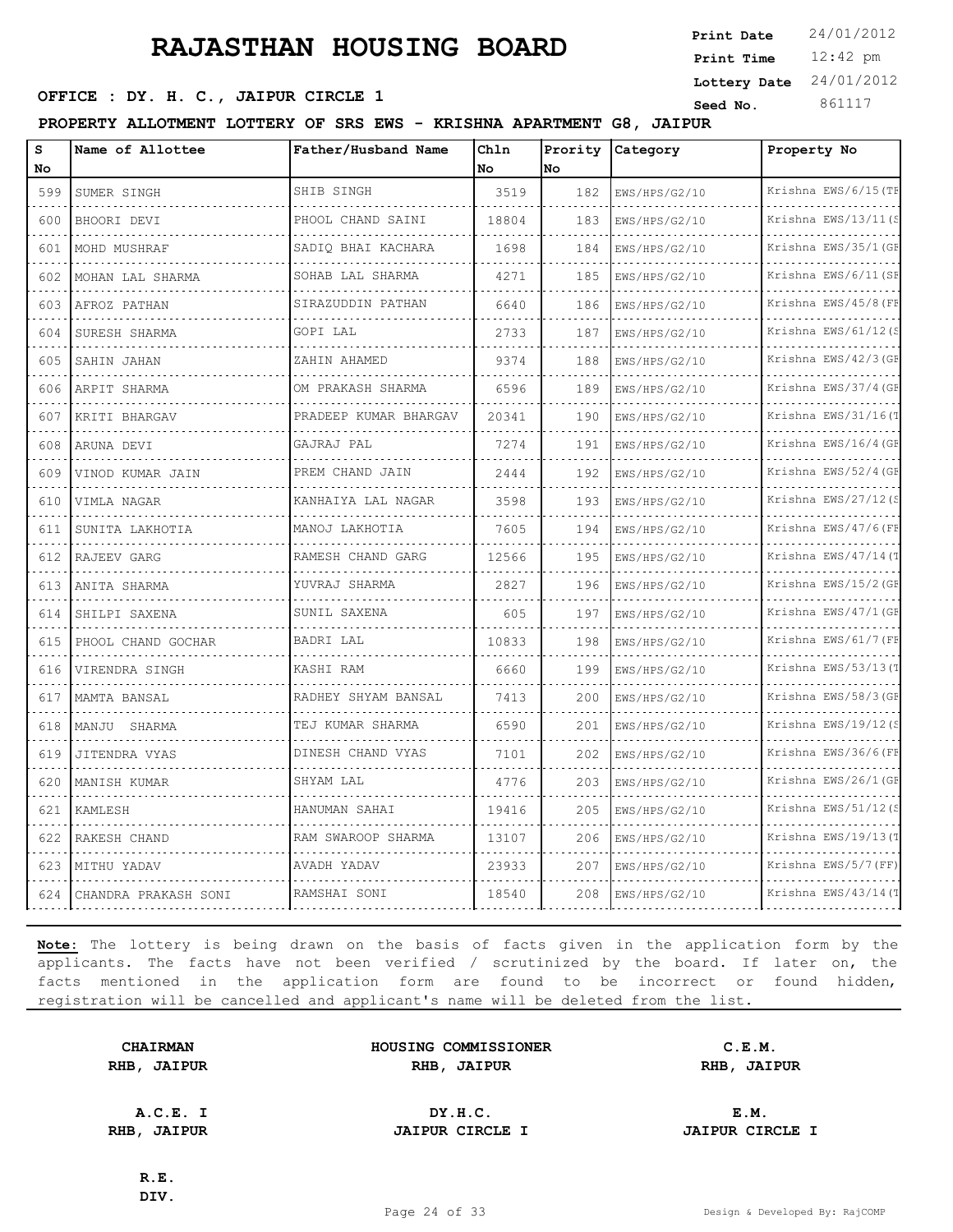12:42 pm **Print Time Print Date**  $24/01/2012$ **Lottery Date** 24/01/2012

### **SEED OFFICE : DY. H. C., JAIPUR CIRCLE 1 Seed No.** 861117

**PROPERTY ALLOTMENT LOTTERY OF SRS EWS - KRISHNA APARTMENT G8, JAIPUR**

| $\mathbf{s}$<br>No | Name of Allottee     | Father/Husband Name   | Chln<br>No. | Prority<br>No | Category      | Property No               |
|--------------------|----------------------|-----------------------|-------------|---------------|---------------|---------------------------|
| 599                | SUMER SINGH          | SHIB SINGH            | 3519        | 182           | EWS/HPS/G2/10 | Krishna EWS/6/15 (TF      |
| 600                | BHOORI DEVI          | PHOOL CHAND SAINI     | 18804       | 183           | EWS/HPS/G2/10 | Krishna EWS/13/11(S       |
| 601                | MOHD MUSHRAF         | SADIO BHAI KACHARA    | 1698        | 184           | EWS/HPS/G2/10 | Krishna EWS/35/1 (GF      |
| 602                | MOHAN LAL SHARMA     | SOHAB LAL SHARMA      | 4271        | 185           | EWS/HPS/G2/10 | Krishna EWS/6/11(SE       |
| 603                | AFROZ PATHAN         | SIRAZUDDIN PATHAN     | 6640        | 186           | EWS/HPS/G2/10 | .<br>Krishna EWS/45/8 (FE |
| 604                | SURESH SHARMA        | GOPI LAL              | 2733        | 187           | EWS/HPS/G2/10 | Krishna EWS/61/12(S       |
| 605                | SAHIN JAHAN          | ZAHIN AHAMED          | 9374        | 188           | EWS/HPS/G2/10 | Krishna EWS/42/3 (GE      |
| 606                | ARPIT SHARMA         | OM PRAKASH SHARMA     | 6596        | 189           | EWS/HPS/G2/10 | Krishna EWS/37/4(GE       |
| 607                | KRITI BHARGAV        | PRADEEP KUMAR BHARGAV | 20341       | 190           | EWS/HPS/G2/10 | Krishna EWS/31/16(T       |
| 608                | ARUNA DEVI           | GAJRAJ PAL            | 7274        | 191           | EWS/HPS/G2/10 | Krishna EWS/16/4 (GE      |
| 609                | VINOD KUMAR JAIN     | .<br>PREM CHAND JAIN  | 2444        | 192           | EWS/HPS/G2/10 | .<br>Krishna EWS/52/4 (GF |
| 610                | VIMLA NAGAR          | KANHAIYA LAL NAGAR    | 3598        | 193           | EWS/HPS/G2/10 | Krishna EWS/27/12(S       |
| 611                | SUNITA LAKHOTIA      | MANOJ LAKHOTIA        | 7605        | 194           | EWS/HPS/G2/10 | Krishna EWS/47/6(FE       |
| .<br>612           | RAJEEV GARG          | RAMESH CHAND GARG     | 12566       | 195           | EWS/HPS/G2/10 | Krishna EWS/47/14(T       |
| 613                | ANITA SHARMA         | YUVRAJ SHARMA         | 2827        | 196           | EWS/HPS/G2/10 | Krishna EWS/15/2(GE       |
| 614                | .<br>SHILPI SAXENA   | SUNIL SAXENA          | 605         | 197           | EWS/HPS/G2/10 | Krishna EWS/47/1 (GE      |
| .<br>615           | PHOOL CHAND GOCHAR   | BADRI LAL             | 10833       | 198           | EWS/HPS/G2/10 | .<br>Krishna EWS/61/7 (FF |
| 616                | VIRENDRA SINGH       | KASHI RAM             | 6660        | 199           | EWS/HPS/G2/10 | Krishna EWS/53/13(T       |
| 617                | MAMTA BANSAL         | RADHEY SHYAM BANSAL   | 7413        | 200           | EWS/HPS/G2/10 | Krishna EWS/58/3(GE       |
| 618                | MANJU SHARMA         | TEJ KUMAR SHARMA      | 6590        | 201           | EWS/HPS/G2/10 | Krishna EWS/19/12(S       |
| 619                | JITENDRA VYAS        | DINESH CHAND VYAS     | 7101        | 202           | EWS/HPS/G2/10 | Krishna EWS/36/6(FE       |
| 620                | MANISH KUMAR         | SHYAM LAL             | 4776        | 203           | EWS/HPS/G2/10 | Krishna EWS/26/1 (GE      |
| 621                | KAMLESH              | HANUMAN SAHAI         | 19416       | 205           | EWS/HPS/G2/10 | Krishna EWS/51/12(S       |
| 622                | RAKESH CHAND         | RAM SWAROOP SHARMA    | 13107       | 206           | EWS/HPS/G2/10 | Krishna EWS/19/13(1       |
| 623                | MITHU YADAV          | AVADH YADAV           | 23933       | 207           | EWS/HPS/G2/10 | Krishna EWS/5/7 (FF)      |
| 624                | CHANDRA PRAKASH SONI | RAMSHAI SONI          | 18540       | 208           | EWS/HPS/G2/10 | Krishna EWS/43/14(T       |

**Note:** The lottery is being drawn on the basis of facts given in the application form by the applicants. The facts have not been verified / scrutinized by the board. If later on, the facts mentioned in the application form are found to be incorrect or found hidden, registration will be cancelled and applicant's name will be deleted from the list.

|      | <b>CHAIRMAN</b> |
|------|-----------------|
| RHB, | <b>JAIPUR</b>   |

**HOUSING COMMISSIONER C.E.M. RHB, JAIPUR RHB, JAIPUR RHB, JAIPUR**

**A.C.E. I DY.H.C. E.M. RHB, JAIPUR JAIPUR CIRCLE I JAIPUR CIRCLE I**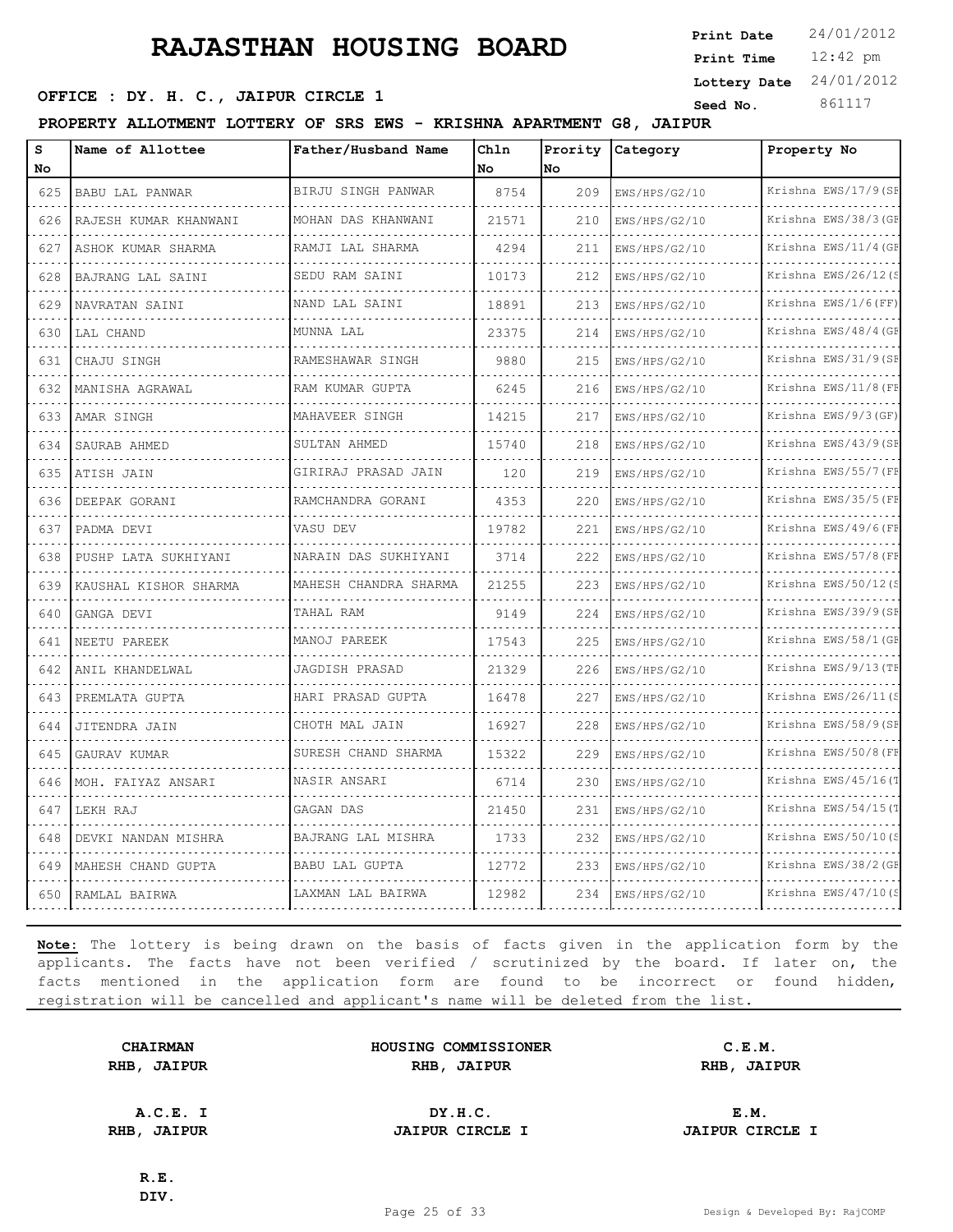12:42 pm **Print Time Print Date**  $24/01/2012$ **Lottery Date** 24/01/2012

### **SEED OFFICE : DY. H. C., JAIPUR CIRCLE 1 Seed No.** 861117

**PROPERTY ALLOTMENT LOTTERY OF SRS EWS - KRISHNA APARTMENT G8, JAIPUR**

| S<br>No                            | Name of Allottee         | Father/Husband Name      | Chln<br>No. | Prority<br>lNo. | Category                              | Property No               |
|------------------------------------|--------------------------|--------------------------|-------------|-----------------|---------------------------------------|---------------------------|
| 625                                | BABU LAL PANWAR          | BIRJU SINGH PANWAR       | 8754        | 209             | EWS/HPS/G2/10                         | Krishna EWS/17/9 (SF      |
| 626                                | RAJESH KUMAR KHANWANI    | MOHAN DAS KHANWANI       | 21571       | 210             | EWS/HPS/G2/10                         | Krishna EWS/38/3(GF       |
| 627                                | .<br>ASHOK KUMAR SHARMA  | RAMJI LAL SHARMA         | 4294        | 211             | EWS/HPS/G2/10                         | Krishna EWS/11/4 (GF      |
| 628                                | BAJRANG LAL SAINI        | SEDU RAM SAINI           | 10173       | 212             | EWS/HPS/G2/10                         | Krishna EWS/26/12(S       |
| 629                                | NAVRATAN SAINI           | .<br>NAND LAL SAINI      | 18891       | 213             | diamond and analysis<br>EWS/HPS/G2/10 | .<br>Krishna EWS/1/6(FF)  |
| 630                                | LAL CHAND                | MUNNA LAL                | 23375       | 214             | EWS/HPS/G2/10                         | Krishna EWS/48/4 (GE      |
| 631                                | CHAJU SINGH              | RAMESHAWAR SINGH         | 9880        | 215             | EWS/HPS/G2/10                         | Krishna EWS/31/9(SE       |
| 632                                | MANISHA AGRAWAL          | RAM KUMAR GUPTA          | 6245        | 216             | EWS/HPS/G2/10                         | Krishna EWS/11/8(FE       |
| 633                                | AMAR SINGH               | MAHAVEER SINGH           | 14215       | 217             | EWS/HPS/G2/10                         | Krishna EWS/9/3 (GF)      |
| 634                                | SAURAB AHMED             | SULTAN AHMED             | 15740       | 218             | EWS/HPS/G2/10                         | Krishna EWS/43/9 (SF      |
| 635                                | ATISH JAIN               | .<br>GIRIRAJ PRASAD JAIN | 120         | 219             | EWS/HPS/G2/10                         | .<br>Krishna EWS/55/7 (FF |
| 636                                | DEEPAK GORANI            | .<br>RAMCHANDRA GORANI   | 4353        | 220             | EWS/HPS/G2/10                         | Krishna EWS/35/5 (FE      |
| 637                                | PADMA DEVI               | VASU DEV                 | 19782       | 221             | EWS/HPS/G2/10                         | Krishna EWS/49/6(FF       |
| $\sim$ $\sim$ $\sim$ $\sim$<br>638 | PUSHP LATA SUKHIYANI     | NARAIN DAS SUKHIYANI     | 3714        | 222             | EWS/HPS/G2/10                         | .<br>Krishna EWS/57/8(FF  |
| 639                                | KAUSHAL KISHOR SHARMA    | MAHESH CHANDRA SHARMA    | 21255       | 223             | EWS/HPS/G2/10                         | Krishna EWS/50/12(S       |
| 640                                | GANGA DEVI               | TAHAL RAM                | 9149        | 224             | EWS/HPS/G2/10                         | Krishna EWS/39/9(SE       |
| $\sim$ $\sim$ $\sim$<br>641        | NEETU PAREEK             | MANOJ PAREEK             | 17543       | 225             | EWS/HPS/G2/10                         | Krishna EWS/58/1 (GF      |
| 642                                | ANIL KHANDELWAL          | JAGDISH PRASAD           | 21329       | 226             | EWS/HPS/G2/10                         | Krishna EWS/9/13 (TE<br>. |
| 643                                | PREMLATA GUPTA           | HARI PRASAD GUPTA        | 16478       | 227             | EWS/HPS/G2/10                         | Krishna EWS/26/11(S       |
| 644                                | JITENDRA JAIN            | CHOTH MAL JAIN           | 16927       | 228             | EWS/HPS/G2/10                         | Krishna EWS/58/9(SE       |
| 645                                | GAURAV KUMAR             | SURESH CHAND SHARMA      | 15322       | 229             | EWS/HPS/G2/10                         | Krishna EWS/50/8 (FE<br>. |
| 646                                | MOH. FAIYAZ ANSARI       | .<br>NASIR ANSARI        | 6714        | 230             | EWS/HPS/G2/10                         | Krishna EWS/45/16(T       |
| 647                                | LEKH RAJ                 | GAGAN DAS                | 21450       | 231             | EWS/HPS/G2/10                         | Krishna EWS/54/15(1       |
| 648                                | DEVKI NANDAN MISHRA<br>. | BAJRANG LAL MISHRA       | 1733        | 232             | EWS/HPS/G2/10                         | Krishna EWS/50/10(S       |
| 649                                | MAHESH CHAND GUPTA       | <b>BABU LAL GUPTA</b>    | 12772       | 233             | EWS/HPS/G2/10                         | Krishna EWS/38/2 (GE      |
| 650                                | RAMLAL BAIRWA            | LAXMAN LAL BAIRWA        | 12982       | 234             | EWS/HPS/G2/10                         | Krishna EWS/47/10(S       |

**Note:** The lottery is being drawn on the basis of facts given in the application form by the applicants. The facts have not been verified / scrutinized by the board. If later on, the facts mentioned in the application form are found to be incorrect or found hidden, registration will be cancelled and applicant's name will be deleted from the list.

|      | <b>CHAIRMAN</b> |
|------|-----------------|
| RHB, | <b>JAIPUR</b>   |

**HOUSING COMMISSIONER C.E.M. RHB, JAIPUR RHB, JAIPUR RHB, JAIPUR**

**A.C.E. I DY.H.C. E.M. RHB, JAIPUR JAIPUR CIRCLE I JAIPUR CIRCLE I**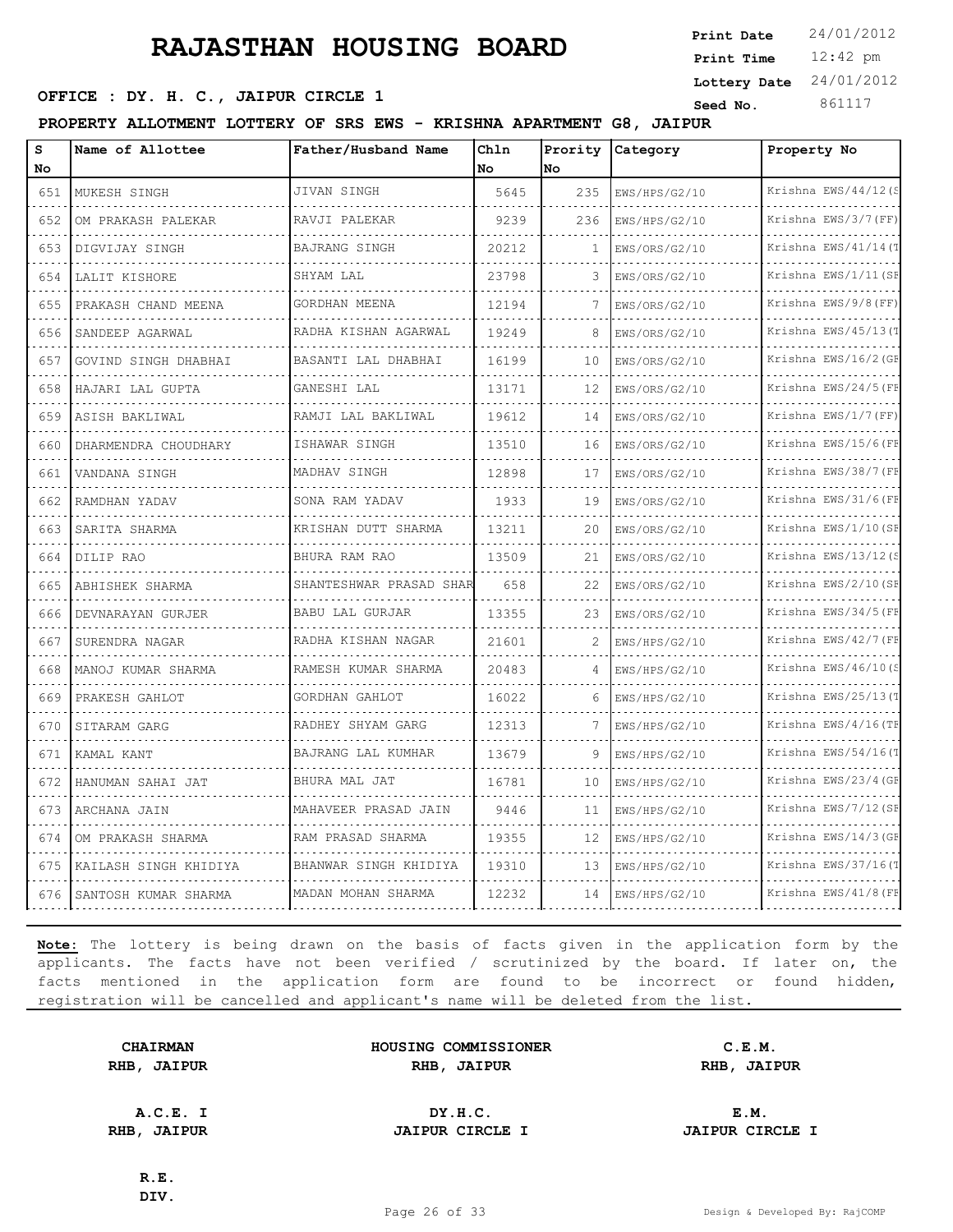12:42 pm **Print Time Print Date**  $24/01/2012$ **Lottery Date** 24/01/2012

### **SEED OFFICE : DY. H. C., JAIPUR CIRCLE 1 Seed No.** 861117

**PROPERTY ALLOTMENT LOTTERY OF SRS EWS - KRISHNA APARTMENT G8, JAIPUR**

| s<br>No  | Name of Allottee      | Father/Husband Name     | Chln<br>No | Prority<br>No            | Category      | Property No              |
|----------|-----------------------|-------------------------|------------|--------------------------|---------------|--------------------------|
| 651      | MUKESH SINGH          | JIVAN SINGH             | 5645       | 235                      | EWS/HPS/G2/10 | Krishna EWS/44/12(S      |
| 652      | OM PRAKASH PALEKAR    | RAVJI PALEKAR           | 9239       | 236                      | EWS/HPS/G2/10 | Krishna EWS/3/7 (FF)     |
| 653      | DIGVIJAY SINGH        | BAJRANG SINGH           | 20212      | -1                       | EWS/ORS/G2/10 | Krishna EWS/41/14(T      |
| 654      | LALIT KISHORE         | SHYAM LAL               | 23798      | 3                        | EWS/ORS/G2/10 | Krishna EWS/1/11(SE      |
| 655      | PRAKASH CHAND MEENA   | GORDHAN MEENA           | 12194      | 7                        | EWS/ORS/G2/10 | .<br>Krishna EWS/9/8(FF) |
| 656      | SANDEEP AGARWAL       | RADHA KISHAN AGARWAL    | 19249      | 8                        | EWS/ORS/G2/10 | Krishna EWS/45/13(T      |
| 657      | GOVIND SINGH DHABHAI  | BASANTI LAL DHABHAI     | 16199      | 10                       | EWS/ORS/G2/10 | Krishna EWS/16/2 (GE     |
| 658      | HAJARI LAL GUPTA      | GANESHI LAL             | 13171      | 12                       | EWS/ORS/G2/10 | Krishna EWS/24/5(FF      |
| 659      | ASISH BAKLIWAL        | RAMJI LAL BAKLIWAL      | 19612      | 14                       | EWS/ORS/G2/10 | Krishna EWS/1/7(FF)      |
| 660      | DHARMENDRA CHOUDHARY  | ISHAWAR SINGH           | 13510      | 16                       | EWS/ORS/G2/10 | Krishna EWS/15/6(FE      |
| .<br>661 | VANDANA SINGH         | MADHAV SINGH            | 12898      | 17                       | EWS/ORS/G2/10 | Krishna EWS/38/7 (FF     |
| 662      | RAMDHAN YADAV         | SONA RAM YADAV          | 1933       | 19                       | EWS/ORS/G2/10 | Krishna EWS/31/6(FF      |
| 663      | SARITA SHARMA         | KRISHAN DUTT SHARMA     | 13211      | 20                       | EWS/ORS/G2/10 | Krishna EWS/1/10(SE      |
| 664      | DILIP RAO             | BHURA RAM RAO           | 13509      | 21                       | EWS/ORS/G2/10 | .<br>Krishna EWS/13/12(S |
| 665      | ABHISHEK SHARMA       | SHANTESHWAR PRASAD SHAR | 658        | 22                       | EWS/ORS/G2/10 | Krishna EWS/2/10(SE      |
| 666      | DEVNARAYAN GURJER     | BABU LAL GURJAR         | 13355      | 23                       | EWS/ORS/G2/10 | Krishna EWS/34/5 (FE     |
| 667      | SURENDRA NAGAR        | RADHA KISHAN NAGAR      | 21601      | $\overline{\mathcal{L}}$ | EWS/HPS/G2/10 | Krishna EWS/42/7 (FE     |
| 668      | MANOJ KUMAR SHARMA    | RAMESH KUMAR SHARMA     | 20483      | 4                        | EWS/HPS/G2/10 | Krishna EWS/46/10(S      |
| 669      | PRAKESH GAHLOT        | GORDHAN GAHLOT          | 16022      | 6                        | EWS/HPS/G2/10 | Krishna EWS/25/13(1      |
| 670      | SITARAM GARG          | RADHEY SHYAM GARG       | 12313      |                          | EWS/HPS/G2/10 | Krishna EWS/4/16(TE      |
| 671      | KAMAL KANT            | BAJRANG LAL KUMHAR      | 13679      | 9                        | EWS/HPS/G2/10 | Krishna EWS/54/16(T      |
| 672      | HANUMAN SAHAI JAT     | BHURA MAL JAT           | 16781      | 10                       | EWS/HPS/G2/10 | Krishna EWS/23/4 (GE     |
| 673      | ARCHANA JAIN          | MAHAVEER PRASAD JAIN    | 9446       | 11                       | EWS/HPS/G2/10 | Krishna EWS/7/12(SE      |
| 674      | OM PRAKASH SHARMA     | RAM PRASAD SHARMA       | 19355      | 12                       | EWS/HPS/G2/10 | Krishna EWS/14/3(GE      |
| 675      | KAILASH SINGH KHIDIYA | BHANWAR SINGH KHIDIYA   | 19310      | 13                       | EWS/HPS/G2/10 | Krishna EWS/37/16(T      |
| 676      | SANTOSH KUMAR SHARMA  | MADAN MOHAN SHARMA      | 12232      | 14                       | EWS/HPS/G2/10 | Krishna EWS/41/8 (FE     |

**Note:** The lottery is being drawn on the basis of facts given in the application form by the applicants. The facts have not been verified / scrutinized by the board. If later on, the facts mentioned in the application form are found to be incorrect or found hidden, registration will be cancelled and applicant's name will be deleted from the list.

|      | <b>CHAIRMAN</b> |
|------|-----------------|
| RHB, | <b>JAIPUR</b>   |

**HOUSING COMMISSIONER C.E.M. RHB, JAIPUR RHB, JAIPUR RHB, JAIPUR**

**A.C.E. I DY.H.C. E.M. RHB, JAIPUR JAIPUR CIRCLE I JAIPUR CIRCLE I**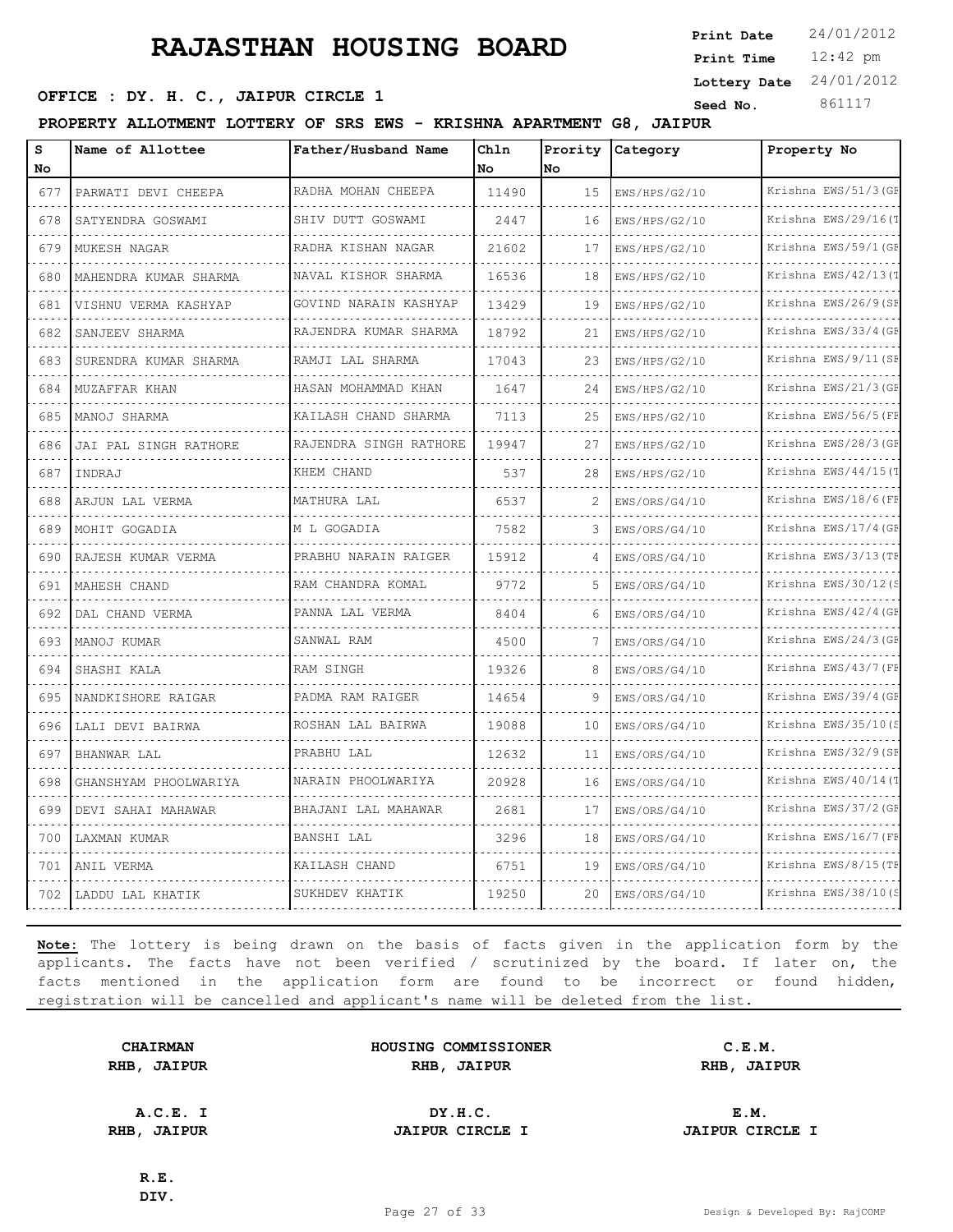12:42 pm **Print Time Print Date**  $24/01/2012$ **Lottery Date** 24/01/2012

### **SEED OFFICE : DY. H. C., JAIPUR CIRCLE 1 Seed No.** 861117

**PROPERTY ALLOTMENT LOTTERY OF SRS EWS - KRISHNA APARTMENT G8, JAIPUR**

| s<br>No | Name of Allottee          | Father/Husband Name    | Chln<br>No | Prority<br>No  | Category      | Property No          |
|---------|---------------------------|------------------------|------------|----------------|---------------|----------------------|
| 677     | PARWATI DEVI CHEEPA       | RADHA MOHAN CHEEPA     | 11490      | 15             | EWS/HPS/G2/10 | Krishna EWS/51/3 (GF |
| 678     | SATYENDRA GOSWAMI         | SHIV DUTT GOSWAMI      | 2447       | 16             | EWS/HPS/G2/10 | Krishna EWS/29/16(T  |
| 679     | MUKESH NAGAR              | RADHA KISHAN NAGAR     | 21602      | 17             | EWS/HPS/G2/10 | Krishna EWS/59/1 (GF |
| 680     | MAHENDRA KUMAR SHARMA     | NAVAL KISHOR SHARMA    | 16536      | 18             | EWS/HPS/G2/10 | Krishna EWS/42/13(1  |
| 681     | .<br>VISHNU VERMA KASHYAP | GOVIND NARAIN KASHYAP  | 13429      | 19             | EWS/HPS/G2/10 | Krishna EWS/26/9(SE  |
| 682     | SANJEEV SHARMA            | RAJENDRA KUMAR SHARMA  | 18792      | 21             | EWS/HPS/G2/10 | Krishna EWS/33/4 (GF |
| 683     | SURENDRA KUMAR SHARMA     | RAMJI LAL SHARMA       | 17043      | 23             | EWS/HPS/G2/10 | Krishna EWS/9/11 (SE |
| 684     | MUZAFFAR KHAN             | HASAN MOHAMMAD KHAN    | 1647       | 24             | EWS/HPS/G2/10 | Krishna EWS/21/3(GE  |
| 685     | MANOJ SHARMA              | KAILASH CHAND SHARMA   | 7113       | 25             | EWS/HPS/G2/10 | Krishna EWS/56/5 (FE |
| 686     | JAI PAL SINGH RATHORE     | RAJENDRA SINGH RATHORE | 19947      | 27             | EWS/HPS/G2/10 | Krishna EWS/28/3(GE  |
| 687     | INDRAJ                    | KHEM CHAND             | 537        | 28             | EWS/HPS/G2/10 | Krishna EWS/44/15(T  |
| 688     | ARJUN LAL VERMA           | MATHURA LAL            | 6537       | $\overline{c}$ | EWS/ORS/G4/10 | Krishna EWS/18/6(FE  |
| 689     | MOHIT GOGADIA             | M L GOGADIA            | 7582       | 3              | EWS/ORS/G4/10 | Krishna EWS/17/4 (GE |
| 690     | RAJESH KUMAR VERMA        | PRABHU NARAIN RAIGER   | 15912      | $\Delta$       | EWS/ORS/G4/10 | Krishna EWS/3/13(TE  |
| 691     | MAHESH CHAND              | RAM CHANDRA KOMAL      | 9772       | 5              | EWS/ORS/G4/10 | Krishna EWS/30/12(S  |
| 692     | DAL CHAND VERMA           | PANNA LAL VERMA        | 8404       | 6              | EWS/ORS/G4/10 | Krishna EWS/42/4 (GF |
| 693     | MANOJ KUMAR               | SANWAL RAM             | 4500       | 7              | EWS/ORS/G4/10 | Krishna EWS/24/3(GF  |
| 694     | SHASHI KALA               | RAM SINGH              | 19326      | 8              | EWS/ORS/G4/10 | Krishna EWS/43/7 (FF |
| 695     | NANDKISHORE RAIGAR        | PADMA RAM RAIGER       | 14654      | Q              | EWS/ORS/G4/10 | Krishna EWS/39/4 (GE |
| 696     | LALI DEVI BAIRWA          | ROSHAN LAL BAIRWA      | 19088      | 10             | EWS/ORS/G4/10 | Krishna EWS/35/10(S  |
| 697     | BHANWAR LAL               | PRABHU LAL             | 12632      | 11             | EWS/ORS/G4/10 | Krishna EWS/32/9(SE  |
| 698     | GHANSHYAM PHOOLWARIYA     | NARAIN PHOOLWARIYA     | 20928      | 16             | EWS/ORS/G4/10 | Krishna EWS/40/14(T  |
| 699     | DEVI SAHAI MAHAWAR        | BHAJANI LAL MAHAWAR    | 2681       | 17             | EWS/ORS/G4/10 | Krishna EWS/37/2 (GF |
| 700     | LAXMAN KUMAR              | BANSHI LAL             | 3296       | 18             | EWS/ORS/G4/10 | Krishna EWS/16/7(FE  |
| 701     | ANIL VERMA                | KAILASH CHAND          | 6751       | 19             | EWS/ORS/G4/10 | Krishna EWS/8/15 (TE |
| 702     | LADDU LAL KHATIK          | SUKHDEV KHATIK         | 19250      | 20             | EWS/ORS/G4/10 | Krishna EWS/38/10(S  |

**Note:** The lottery is being drawn on the basis of facts given in the application form by the applicants. The facts have not been verified / scrutinized by the board. If later on, the facts mentioned in the application form are found to be incorrect or found hidden, registration will be cancelled and applicant's name will be deleted from the list.

|      | <b>CHAIRMAN</b> |
|------|-----------------|
| RHB, | <b>JAIPUR</b>   |

**HOUSING COMMISSIONER C.E.M. RHB, JAIPUR RHB, JAIPUR RHB, JAIPUR**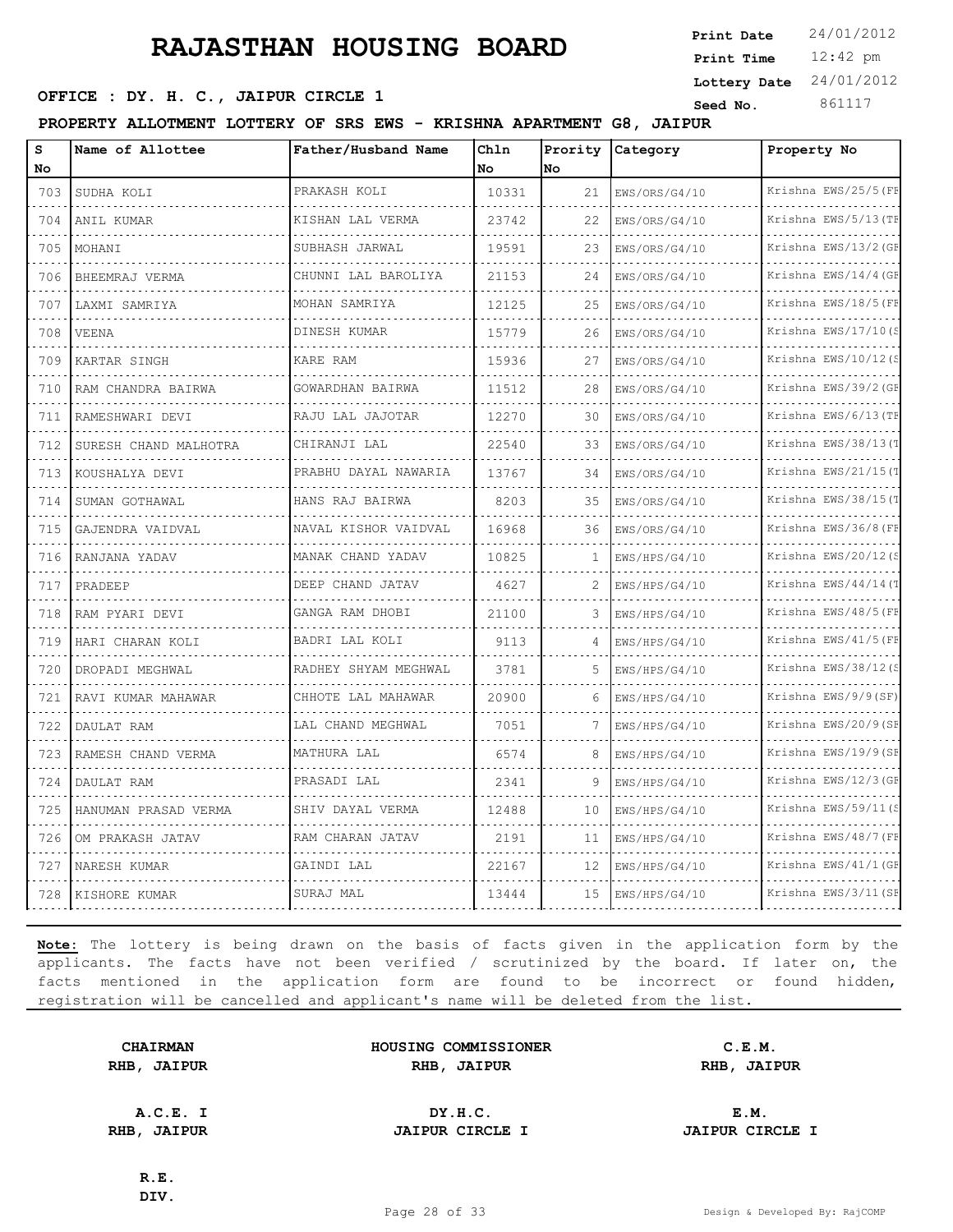**SEED OFFICE : DY. H. C., JAIPUR CIRCLE 1 Seed No.** 861117

**PROPERTY ALLOTMENT LOTTERY OF SRS EWS - KRISHNA APARTMENT G8, JAIPUR**

| s<br>No                            | Name of Allottee      | Father/Husband Name  | Chln<br><b>No</b> | Prority<br>lno. | Category      | Property No          |
|------------------------------------|-----------------------|----------------------|-------------------|-----------------|---------------|----------------------|
| 703                                | SUDHA KOLI            | PRAKASH KOLI         | 10331             | 21              | EWS/ORS/G4/10 | Krishna EWS/25/5 (FF |
| 704                                | ANIL KUMAR            | KISHAN LAL VERMA     | 23742             | 22              | EWS/ORS/G4/10 | Krishna EWS/5/13 (TF |
| 705                                | MOHANI                | SUBHASH JARWAL       | 19591             | 23              | EWS/ORS/G4/10 | Krishna EWS/13/2 (GF |
| 706                                | BHEEMRAJ VERMA        | CHUNNI LAL BAROLIYA  | 21153             | 24              | EWS/ORS/G4/10 | Krishna EWS/14/4 (GE |
| 707                                | LAXMI SAMRIYA         | MOHAN SAMRIYA        | 12125             | 25              | EWS/ORS/G4/10 | Krishna EWS/18/5 (FF |
| 708                                | <b>VEENA</b>          | .<br>DINESH KUMAR    | 15779             | 26              | EWS/ORS/G4/10 | Krishna EWS/17/10(S  |
| 709                                | KARTAR SINGH          | KARE RAM             | 15936             | 27              | EWS/ORS/G4/10 | Krishna EWS/10/12(S  |
| $\sim$ $\sim$ $\sim$ $\sim$<br>710 | RAM CHANDRA BAIRWA    | GOWARDHAN BAIRWA     | 11512             | 28              | EWS/ORS/G4/10 | Krishna EWS/39/2 (GF |
| 711                                | RAMESHWARI DEVI       | RAJU LAL JAJOTAR     | 12270             | 30              | EWS/ORS/G4/10 | Krishna EWS/6/13 (TF |
| 712                                | SURESH CHAND MALHOTRA | CHIRANJI LAL         | 22540             | 33              | EWS/ORS/G4/10 | Krishna EWS/38/13(T  |
| 713                                | KOUSHALYA DEVI        | PRABHU DAYAL NAWARIA | 13767             | 34              | EWS/ORS/G4/10 | Krishna EWS/21/15(1  |
| 714                                | SUMAN GOTHAWAL        | HANS RAJ BAIRWA      | 8203              | 35              | EWS/ORS/G4/10 | Krishna EWS/38/15(T  |
| 715                                | GAJENDRA VAIDVAL      | NAVAL KISHOR VAIDVAL | 16968             | 36              | EWS/ORS/G4/10 | Krishna EWS/36/8 (FF |
| 716                                | RANJANA YADAV         | MANAK CHAND YADAV    | 10825             | -1              | EWS/HPS/G4/10 | Krishna EWS/20/12(S  |
| 717                                | PRADEEP               | DEEP CHAND JATAV     | 4627              | 2               | EWS/HPS/G4/10 | Krishna EWS/44/14(T  |
| 718                                | RAM PYARI DEVI        | GANGA RAM DHOBI      | 21100             | 3               | EWS/HPS/G4/10 | Krishna EWS/48/5 (FF |
| 719                                | HARI CHARAN KOLI      | BADRI LAL KOLI       | 9113              | 4               | EWS/HPS/G4/10 | Krishna EWS/41/5 (FF |
| 720                                | DROPADI MEGHWAL       | RADHEY SHYAM MEGHWAL | 3781              | 5               | EWS/HPS/G4/10 | Krishna EWS/38/12(S  |
| 721                                | RAVI KUMAR MAHAWAR    | CHHOTE LAL MAHAWAR   | 20900             | 6               | EWS/HPS/G4/10 | Krishna EWS/9/9(SF)  |
| 722                                | DAULAT RAM            | LAL CHAND MEGHWAL    | 7051              | 7               | EWS/HPS/G4/10 | Krishna EWS/20/9 (SE |
| 723                                | RAMESH CHAND VERMA    | MATHURA LAL          | 6574              | 8               | EWS/HPS/G4/10 | Krishna EWS/19/9(SF  |
| 724                                | DAULAT RAM            | PRASADI LAL          | 2341              | 9               | EWS/HPS/G4/10 | Krishna EWS/12/3 (GF |
| 725                                | HANUMAN PRASAD VERMA  | SHIV DAYAL VERMA     | 12488             | 10              | EWS/HPS/G4/10 | Krishna EWS/59/11(S  |
| 726                                | OM PRAKASH JATAV      | RAM CHARAN JATAV     | 2191              | 11              | EWS/HPS/G4/10 | Krishna EWS/48/7 (FF |
| 727                                | NARESH KUMAR          | GAINDI LAL           | 22167             | 12              | EWS/HPS/G4/10 | Krishna EWS/41/1 (GF |
| 728                                | KISHORE KUMAR         | SURAJ MAL            | 13444             | 15              | EWS/HPS/G4/10 | Krishna EWS/3/11(SH  |

**Note:** The lottery is being drawn on the basis of facts given in the application form by the applicants. The facts have not been verified / scrutinized by the board. If later on, the facts mentioned in the application form are found to be incorrect or found hidden, registration will be cancelled and applicant's name will be deleted from the list.

|      | <b>CHAIRMAN</b> |
|------|-----------------|
| RHB, | <b>JAIPUR</b>   |

**HOUSING COMMISSIONER C.E.M. RHB, JAIPUR RHB, JAIPUR RHB, JAIPUR**

**A.C.E. I DY.H.C. E.M. RHB, JAIPUR JAIPUR CIRCLE I JAIPUR CIRCLE I**

**R.E. DIV.**

12:42 pm **Print Time**

**Print Date**  $24/01/2012$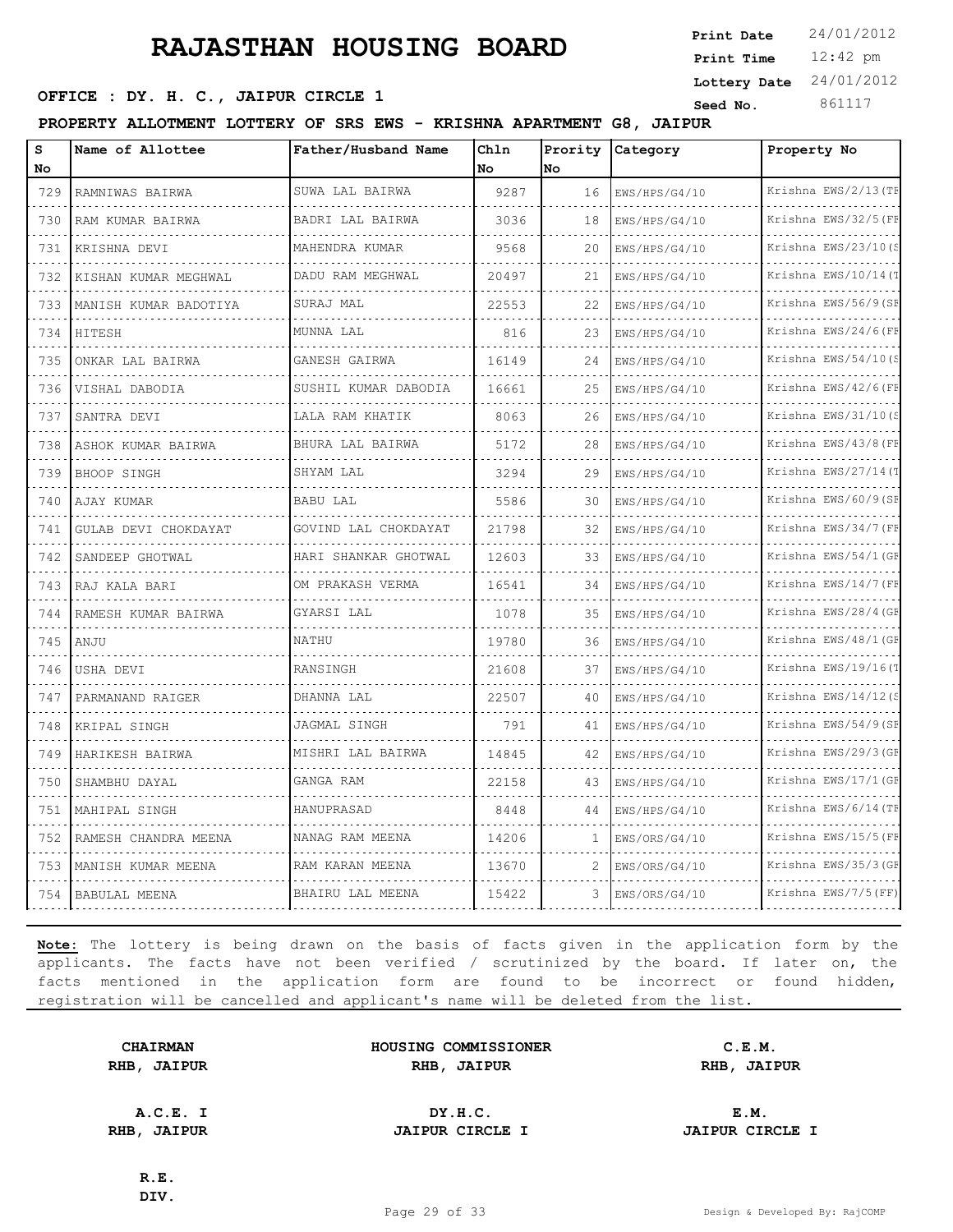**Lottery Date** 24/01/2012

**SEED OFFICE : DY. H. C., JAIPUR CIRCLE 1 Seed No.** 861117

**PROPERTY ALLOTMENT LOTTERY OF SRS EWS - KRISHNA APARTMENT G8, JAIPUR**

| s<br>No | Name of Allottee      | Father/Husband Name  | Ch1n<br><b>No</b> | Prority<br><b>No</b> | Category           | Property No          |
|---------|-----------------------|----------------------|-------------------|----------------------|--------------------|----------------------|
|         |                       | SUWA LAL BAIRWA      | 9287              |                      |                    | Krishna EWS/2/13 (TF |
| 729     | RAMNIWAS BAIRWA       |                      |                   | 16                   | EWS/HPS/G4/10      |                      |
| 730     | RAM KUMAR BAIRWA      | BADRI LAL BAIRWA     | 3036              | 18                   | EWS/HPS/G4/10      | Krishna EWS/32/5 (FE |
| 731     | KRISHNA DEVI          | MAHENDRA KUMAR       | 9568              | 20                   | EWS/HPS/G4/10      | Krishna EWS/23/10(S  |
| 732     | KISHAN KUMAR MEGHWAL  | DADU RAM MEGHWAL     | 20497             | 21                   | EWS/HPS/G4/10      | Krishna EWS/10/14(T  |
| 733     | MANISH KUMAR BADOTIYA | SURAJ MAL            | 22553             | 22                   | EWS/HPS/G4/10      | Krishna EWS/56/9(SE  |
| 734     | HITESH                | MUNNA LAL            | 816               | 23                   | EWS/HPS/G4/10      | Krishna EWS/24/6(FF  |
| 735     | ONKAR LAL BAIRWA      | GANESH GAIRWA        | 16149             | 24                   | EWS/HPS/G4/10      | Krishna EWS/54/10(S  |
| 736     | VISHAL DABODIA        | SUSHIL KUMAR DABODIA | 16661             | 25                   | EWS/HPS/G4/10      | Krishna EWS/42/6(FE  |
| 737     | SANTRA DEVI           | LALA RAM KHATIK      | 8063              | 26                   | EWS/HPS/G4/10      | Krishna EWS/31/10(S  |
| 738     | ASHOK KUMAR BAIRWA    | BHURA LAL BAIRWA     | 5172              | 28                   | EWS/HPS/G4/10      | Krishna EWS/43/8 (FF |
| 739     | BHOOP SINGH           | SHYAM LAL            | 3294              | 29                   | EWS/HPS/G4/10      | Krishna EWS/27/14(T  |
| 740     | AJAY KUMAR            | BABU LAL             | 5586              | 30                   | EWS/HPS/G4/10<br>. | Krishna EWS/60/9(SF  |
| 741     | GULAB DEVI CHOKDAYAT  | GOVIND LAL CHOKDAYAT | 21798             | 32                   | EWS/HPS/G4/10      | Krishna EWS/34/7 (FF |
| 742     | SANDEEP GHOTWAL       | HARI SHANKAR GHOTWAL | 12603             | 33                   | EWS/HPS/G4/10      | Krishna EWS/54/1 (GF |
| 743     | RAJ KALA BARI         | OM PRAKASH VERMA     | 16541             | 34                   | EWS/HPS/G4/10      | Krishna EWS/14/7 (FF |
| 744     | RAMESH KUMAR BAIRWA   | GYARSI LAL           | 1078              | 35                   | EWS/HPS/G4/10      | Krishna EWS/28/4 (GF |
| 745     | ANJU                  | NATHU                | 19780             | 36                   | EWS/HPS/G4/10      | Krishna EWS/48/1 (GE |
| 746     | USHA DEVI             | <b>RANSINGH</b>      | 21608             | 37                   | EWS/HPS/G4/10      | Krishna EWS/19/16(T  |
| 747     | PARMANAND RAIGER      | DHANNA LAL           | 22507             | 40                   | EWS/HPS/G4/10      | Krishna EWS/14/12(S  |
| 748     | KRIPAL SINGH          | JAGMAL SINGH         | 791               | 41                   | EWS/HPS/G4/10      | Krishna EWS/54/9(SE  |
| 749     | HARIKESH BAIRWA       | MISHRI LAL BAIRWA    | 14845             | 42                   | EWS/HPS/G4/10      | Krishna EWS/29/3 (GE |
| 750     | SHAMBHU DAYAL         | GANGA RAM            | 22158             | 43                   | EWS/HPS/G4/10      | Krishna EWS/17/1 (GE |
| 751     | MAHIPAL SINGH         | HANUPRASAD           | 8448              | 44                   | EWS/HPS/G4/10      | Krishna EWS/6/14 (TE |
| 752     | RAMESH CHANDRA MEENA  | NANAG RAM MEENA      | 14206             | 1                    | EWS/ORS/G4/10      | Krishna EWS/15/5 (FE |
| 753     | MANISH KUMAR MEENA    | RAM KARAN MEENA      | 13670             | 2                    | EWS/ORS/G4/10      | Krishna EWS/35/3 (GF |
| 754     | <b>BABULAL MEENA</b>  | BHAIRU LAL MEENA     | 15422             | 3                    | EWS/ORS/G4/10      | Krishna EWS/7/5 (FF) |

**Note:** The lottery is being drawn on the basis of facts given in the application form by the applicants. The facts have not been verified / scrutinized by the board. If later on, the facts mentioned in the application form are found to be incorrect or found hidden, registration will be cancelled and applicant's name will be deleted from the list.

**CHAIRMAN HOUSING COMMISSIONER C.E.M. RHB, JAIPUR RHB, JAIPUR RHB, JAIPUR**

**A.C.E. I DY.H.C. E.M. RHB, JAIPUR JAIPUR CIRCLE I JAIPUR CIRCLE I**

**R.E. DIV.** 12:42 pm **Print Time**

**Print Date**  $24/01/2012$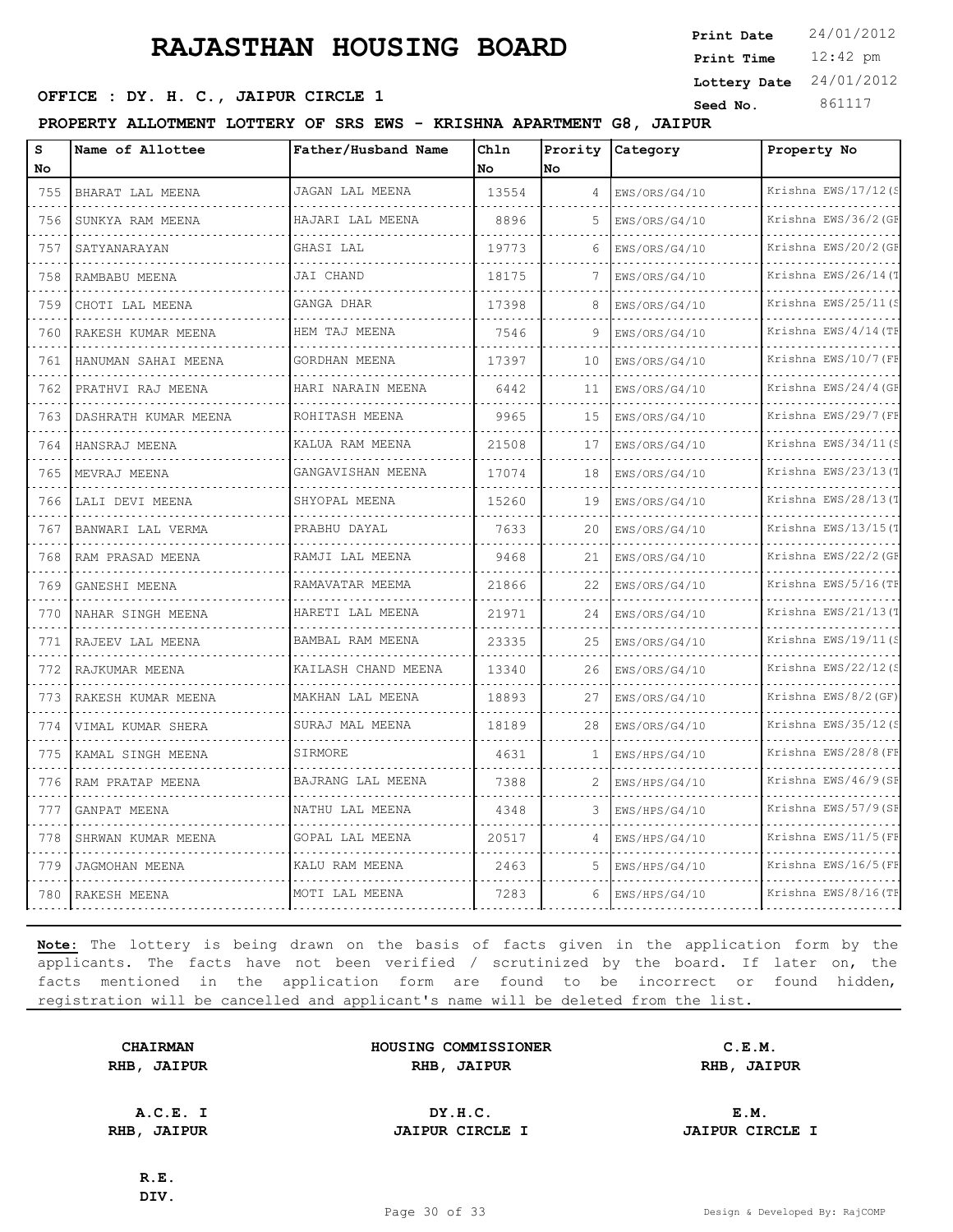12:42 pm **Print Time Print Date**  $24/01/2012$ **Lottery Date** 24/01/2012

### **SEED OFFICE : DY. H. C., JAIPUR CIRCLE 1 Seed No.** 861117

**PROPERTY ALLOTMENT LOTTERY OF SRS EWS - KRISHNA APARTMENT G8, JAIPUR**

| s<br>No | Name of Allottee          | Father/Husband Name    | Chln<br>No | Prority<br><b>No</b> | Category      | Property No               |
|---------|---------------------------|------------------------|------------|----------------------|---------------|---------------------------|
| 755     | BHARAT LAL MEENA          | JAGAN LAL MEENA        | 13554      | 4                    | EWS/ORS/G4/10 | Krishna EWS/17/12(S       |
| 756     | SUNKYA RAM MEENA          | HAJARI LAL MEENA       | 8896       | 5                    | EWS/ORS/G4/10 | Krishna EWS/36/2 (GF      |
| 757     | SATYANARAYAN              | GHASI LAL              | 19773      | 6                    | EWS/ORS/G4/10 | Krishna EWS/20/2 (GF      |
| 758     | RAMBABU MEENA             | JAI CHAND              | 18175      | 7                    | EWS/ORS/G4/10 | Krishna EWS/26/14(T       |
| 759     | CHOTI LAL MEENA           | GANGA DHAR             | 17398      | 8                    | EWS/ORS/G4/10 | Krishna EWS/25/11 (S      |
| 760     | RAKESH KUMAR MEENA        | HEM TAJ MEENA          | 7546       | 9                    | EWS/ORS/G4/10 | Krishna EWS/4/14 (TF      |
| 761     | HANUMAN SAHAI MEENA       | GORDHAN MEENA          | 17397      | 10                   | EWS/ORS/G4/10 | Krishna EWS/10/7 (FE      |
| 762     | .<br>PRATHVI RAJ MEENA    | HARI NARAIN MEENA      | 6442       | 11                   | EWS/ORS/G4/10 | Krishna EWS/24/4 (GF      |
| 763     | .<br>DASHRATH KUMAR MEENA | ROHITASH MEENA         | 9965       | 15                   | EWS/ORS/G4/10 | Krishna EWS/29/7 (FF      |
| 764     | HANSRAJ MEENA             | KALUA RAM MEENA        | 21508      | 17                   | EWS/ORS/G4/10 | Krishna EWS/34/11(S       |
| 765     | .<br>MEVRAJ MEENA         | .<br>GANGAVISHAN MEENA | 17074      | 18                   | EWS/ORS/G4/10 | .<br>Krishna EWS/23/13(T  |
| 766     | LALI DEVI MEENA           | SHYOPAL MEENA          | 15260      | 19                   | EWS/ORS/G4/10 | Krishna EWS/28/13(1       |
| 767     | BANWARI LAL VERMA         | PRABHU DAYAL           | 7633       | 20                   | EWS/ORS/G4/10 | Krishna EWS/13/15(T       |
| 768     | RAM PRASAD MEENA          | .<br>RAMJI LAL MEENA   | 9468       | 21                   | EWS/ORS/G4/10 | .<br>Krishna EWS/22/2 (GE |
| 769     | GANESHI MEENA             | RAMAVATAR MEEMA        | 21866      | 22                   | EWS/ORS/G4/10 | Krishna EWS/5/16(TE       |
| 770     | NAHAR SINGH MEENA         | HARETI LAL MEENA       | 21971      | 24                   | EWS/ORS/G4/10 | Krishna EWS/21/13(T       |
| 771     | RAJEEV LAL MEENA          | .<br>BAMBAL RAM MEENA  | 23335      | 25                   | EWS/ORS/G4/10 | .<br>Krishna EWS/19/11(S  |
| 772     | RAJKUMAR MEENA            | KAILASH CHAND MEENA    | 13340      | 26                   | EWS/ORS/G4/10 | Krishna EWS/22/12(S       |
| 773     | RAKESH KUMAR MEENA        | MAKHAN LAL MEENA<br>.  | 18893      | 27                   | EWS/ORS/G4/10 | Krishna EWS/8/2 (GF)<br>. |
| 774     | .<br>VIMAL KUMAR SHERA    | SURAJ MAL MEENA        | 18189      | 28                   | EWS/ORS/G4/10 | Krishna EWS/35/12(S       |
| 775     | KAMAL SINGH MEENA         | SIRMORE                | 4631       | 1                    | EWS/HPS/G4/10 | Krishna EWS/28/8 (FE      |
| 776     | RAM PRATAP MEENA          | BAJRANG LAL MEENA      | 7388       | $\overline{c}$       | EWS/HPS/G4/10 | Krishna EWS/46/9 (SF<br>. |
| 777     | GANPAT MEENA              | NATHU LAL MEENA        | 4348       | 3                    | EWS/HPS/G4/10 | Krishna EWS/57/9(SF       |
| 778     | SHRWAN KUMAR MEENA        | GOPAL LAL MEENA        | 20517      | 4                    | EWS/HPS/G4/10 | Krishna EWS/11/5(FH       |
| 779     | JAGMOHAN MEENA            | KALU RAM MEENA         | 2463       | 5                    | EWS/HPS/G4/10 | Krishna EWS/16/5 (FF      |
| 780     | RAKESH MEENA              | MOTI LAL MEENA         | 7283       | 6                    | EWS/HPS/G4/10 | Krishna EWS/8/16(TE       |

**Note:** The lottery is being drawn on the basis of facts given in the application form by the applicants. The facts have not been verified / scrutinized by the board. If later on, the facts mentioned in the application form are found to be incorrect or found hidden, registration will be cancelled and applicant's name will be deleted from the list.

|      | <b>CHAIRMAN</b> |
|------|-----------------|
| RHB, | <b>JAIPUR</b>   |

**HOUSING COMMISSIONER C.E.M. RHB, JAIPUR RHB, JAIPUR RHB, JAIPUR**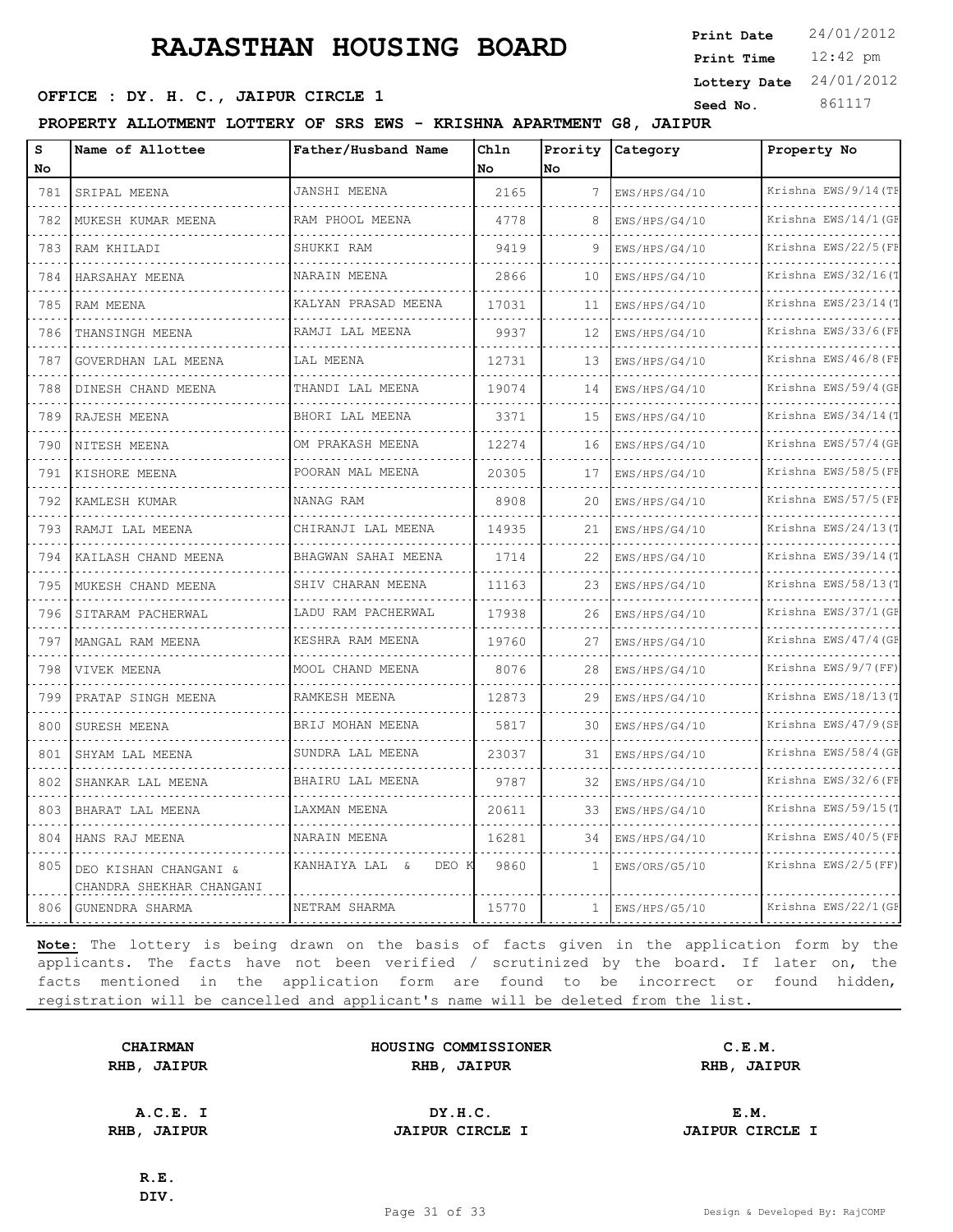**SEED OFFICE : DY. H. C., JAIPUR CIRCLE 1 Seed No.** 861117

**PROPERTY ALLOTMENT LOTTERY OF SRS EWS - KRISHNA APARTMENT G8, JAIPUR**

| s<br><b>No</b> | Name of Allottee                                  | Father/Husband Name         | Chln<br>No. | Prority<br>No | Category           | Property No                      |
|----------------|---------------------------------------------------|-----------------------------|-------------|---------------|--------------------|----------------------------------|
| 781            | SRIPAL MEENA                                      | JANSHI MEENA                | 2165        | 7             | EWS/HPS/G4/10      | Krishna EWS/9/14 (TF             |
| 782            | MUKESH KUMAR MEENA                                | RAM PHOOL MEENA             | 4778        | 8             |                    | Krishna EWS/14/1 (GF             |
|                |                                                   |                             |             |               | EWS/HPS/G4/10      |                                  |
| 783            | RAM KHILADI                                       | SHUKKI RAM                  | 9419        | 9             | EWS/HPS/G4/10      | Krishna EWS/22/5 (FE             |
| 784            | HARSAHAY MEENA                                    | NARAIN MEENA                | 2866        | 10            | EWS/HPS/G4/10      | Krishna EWS/32/16(1              |
| 785            | RAM MEENA                                         | KALYAN PRASAD MEENA         | 17031       | 11            | EWS/HPS/G4/10      | Krishna EWS/23/14(T<br>.         |
| 786            | THANSINGH MEENA                                   | RAMJI LAL MEENA             | 9937        | 12            | EWS/HPS/G4/10      | Krishna EWS/33/6 (FF             |
| 787            | GOVERDHAN LAL MEENA                               | LAL MEENA                   | 12731       | 13            | EWS/HPS/G4/10      | Krishna EWS/46/8 (FE             |
| 788            | DINESH CHAND MEENA                                | THANDI LAL MEENA<br>.       | 19074       | 14            | EWS/HPS/G4/10<br>. | Krishna EWS/59/4 (GF<br><u>.</u> |
| 789            | RAJESH MEENA                                      | BHORI LAL MEENA             | 3371        | 15            | EWS/HPS/G4/10      | Krishna EWS/34/14(T              |
| 790            | NITESH MEENA                                      | OM PRAKASH MEENA            | 12274       | 16            | EWS/HPS/G4/10      | Krishna EWS/57/4 (GF             |
| 791            | KISHORE MEENA                                     | POORAN MAL MEENA            | 20305       | 17            | EWS/HPS/G4/10      | Krishna EWS/58/5 (FE             |
| 792            | KAMLESH KUMAR                                     | NANAG RAM                   | 8908        | 20            | EWS/HPS/G4/10      | Krishna EWS/57/5 (FF             |
| 793            | RAMJI LAL MEENA                                   | CHIRANJI LAL MEENA          | 14935       | 21            | EWS/HPS/G4/10      | Krishna EWS/24/13(1              |
| 794            | KAILASH CHAND MEENA                               | BHAGWAN SAHAI MEENA         | 1714        | 22            | EWS/HPS/G4/10      | Krishna EWS/39/14 (T             |
| 795            | MUKESH CHAND MEENA                                | SHIV CHARAN MEENA           | 11163       | 23            | EWS/HPS/G4/10      | Krishna EWS/58/13(1              |
| 796            | SITARAM PACHERWAL                                 | LADU RAM PACHERWAL          | 17938       | 26            | EWS/HPS/G4/10      | Krishna EWS/37/1 (GE             |
| 797            | MANGAL RAM MEENA                                  | KESHRA RAM MEENA            | 19760       | 27            | EWS/HPS/G4/10      | Krishna EWS/47/4 (GE             |
| 798            | VIVEK MEENA                                       | MOOL CHAND MEENA            | 8076        | 28            | EWS/HPS/G4/10      | Krishna EWS/9/7 (FF)             |
| 799            | PRATAP SINGH MEENA                                | RAMKESH MEENA               | 12873       | 29            | EWS/HPS/G4/10      | Krishna EWS/18/13(1              |
| 800            | SURESH MEENA                                      | BRIJ MOHAN MEENA            | 5817        | 30            | EWS/HPS/G4/10      | Krishna EWS/47/9 (SE             |
| 801            | SHYAM LAL MEENA                                   | SUNDRA LAL MEENA            | 23037       | 31            | EWS/HPS/G4/10      | Krishna EWS/58/4 (GE             |
| 802            | SHANKAR LAL MEENA                                 | BHAIRU LAL MEENA            | 9787        | 32            | EWS/HPS/G4/10      | Krishna EWS/32/6(FF              |
| 803            | BHARAT LAL MEENA                                  | LAXMAN MEENA                | 20611       | 33            | EWS/HPS/G4/10      | Krishna EWS/59/15(1              |
| 804            | HANS RAJ MEENA                                    | NARAIN MEENA                | 16281       | 34            | EWS/HPS/G4/10      | Krishna EWS/40/5 (FF             |
| 805            | DEO KISHAN CHANGANI &<br>CHANDRA SHEKHAR CHANGANI | KANHAIYA LAL<br>DEO F<br>ିଧ | 9860        | $\mathbf{1}$  | EWS/ORS/G5/10      | Krishna EWS/2/5 (FF)             |
| 806            | GUNENDRA SHARMA                                   | NETRAM SHARMA               | 15770       | $\mathbf{1}$  | EWS/HPS/G5/10      | Krishna EWS/22/1 (GF             |

**Note:** The lottery is being drawn on the basis of facts given in the application form by the applicants. The facts have not been verified / scrutinized by the board. If later on, the facts mentioned in the application form are found to be incorrect or found hidden, registration will be cancelled and applicant's name will be deleted from the list.

**CHAIRMAN HOUSING COMMISSIONER C.E.M. RHB, JAIPUR RHB, JAIPUR RHB, JAIPUR**

**A.C.E. I DY.H.C. E.M. RHB, JAIPUR JAIPUR CIRCLE I JAIPUR CIRCLE I**

**R.E. DIV.**

12:42 pm **Print Time**

**Print Date**  $24/01/2012$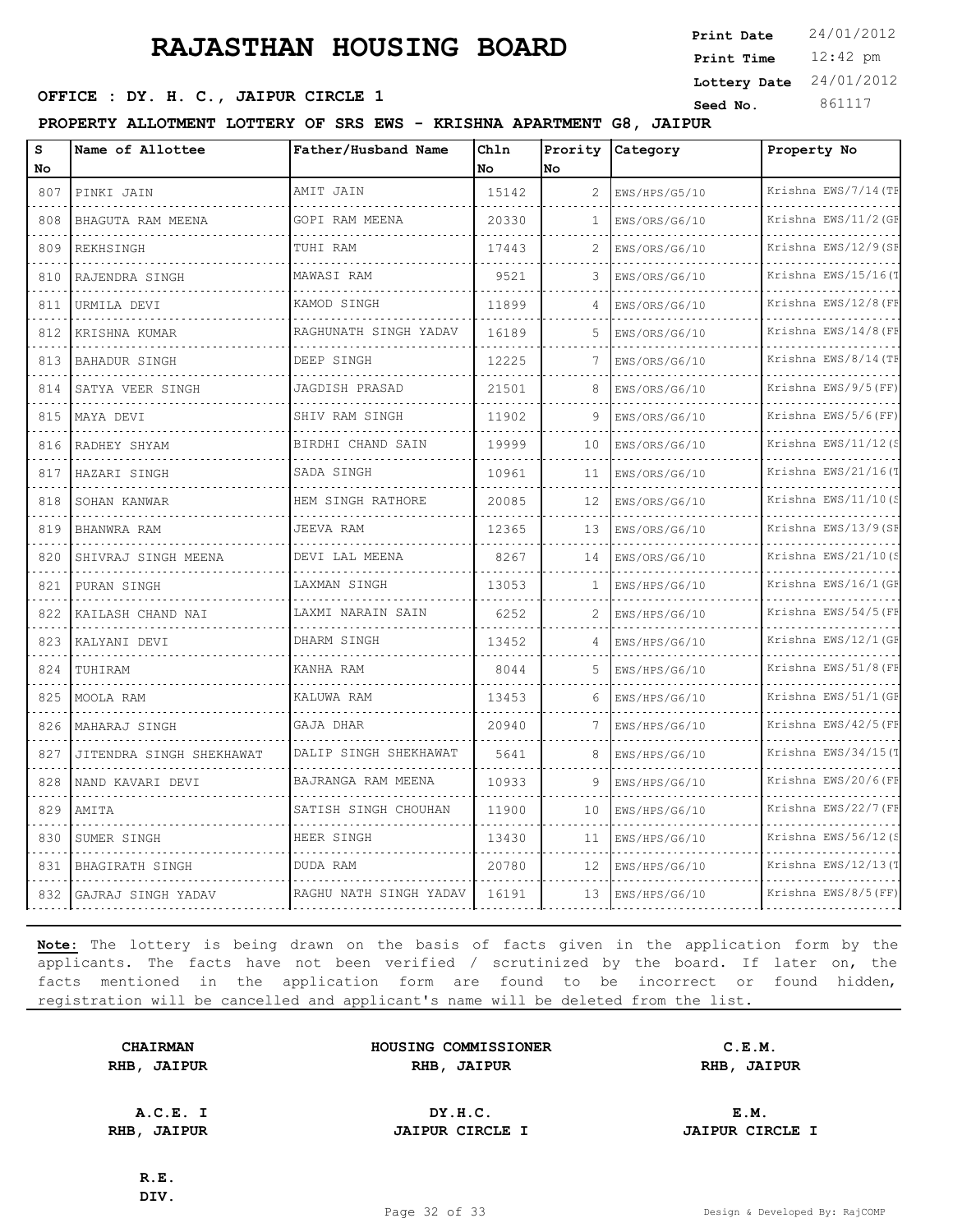12:42 pm **Print Time Print Date**  $24/01/2012$ **Lottery Date** 24/01/2012

### **SEED OFFICE : DY. H. C., JAIPUR CIRCLE 1 Seed No.** 861117

**PROPERTY ALLOTMENT LOTTERY OF SRS EWS - KRISHNA APARTMENT G8, JAIPUR**

| S<br>Name of Allottee<br>No                               | Father/Husband Name                    | Chln<br>No. | Prority<br>No  | Category      | Property No               |
|-----------------------------------------------------------|----------------------------------------|-------------|----------------|---------------|---------------------------|
| 807<br>PINKI JAIN                                         | AMIT JAIN                              | 15142       | $\overline{c}$ | EWS/HPS/G5/10 | Krishna EWS/7/14 (TE      |
| .<br>$\sim 100$<br>808<br>BHAGUTA RAM MEENA               | GOPI RAM MEENA                         | 20330       | 1              | EWS/ORS/G6/10 | Krishna EWS/11/2 (GE      |
| 809<br><b>REKHSINGH</b>                                   | TUHI RAM                               | 17443       | $\mathcal{D}$  | EWS/ORS/G6/10 | Krishna EWS/12/9(SF       |
| 810<br>RAJENDRA SINGH                                     | MAWASI RAM                             | 9521        | 3              | EWS/ORS/G6/10 | Krishna EWS/15/16(T       |
| .<br>$\sim$ $\sim$ $\sim$ $\sim$<br>811<br>URMILA DEVI    | a dia dia dia dia<br>KAMOD SINGH       | 11899       | 4              | EWS/ORS/G6/10 | .<br>Krishna EWS/12/8 (FE |
| 812<br>KRISHNA KUMAR                                      | RAGHUNATH SINGH YADAV                  | 16189       | 5              | EWS/ORS/G6/10 | Krishna EWS/14/8 (FE      |
| 813<br><b>BAHADUR SINGH</b>                               | DEEP SINGH                             | 12225       | 7              | EWS/ORS/G6/10 | Krishna EWS/8/14 (TE      |
| 814<br>SATYA VEER SINGH                                   | .<br>JAGDISH PRASAD                    | 21501       | 8              | EWS/ORS/G6/10 | Krishna EWS/9/5(FF)       |
| 815<br>MAYA DEVI                                          | SHIV RAM SINGH                         | 11902       | 9              | EWS/ORS/G6/10 | Krishna EWS/5/6(FF)       |
| 816<br>RADHEY SHYAM<br>.                                  | BIRDHI CHAND SAIN<br>.                 | 19999       | 10             | EWS/ORS/G6/10 | Krishna EWS/11/12(S       |
| $\sim$ $\sim$ $\sim$<br>817<br>HAZARI SINGH               | SADA SINGH                             | 10961       | 11             | EWS/ORS/G6/10 | Krishna EWS/21/16(T       |
| 818<br>SOHAN KANWAR                                       | HEM SINGH RATHORE                      | 20085       | 12             | EWS/ORS/G6/10 | Krishna EWS/11/10(S       |
| 819<br>BHANWRA RAM                                        | JEEVA RAM<br><b>Sandwich Committee</b> | 12365       | 13             | EWS/ORS/G6/10 | Krishna EWS/13/9(SE<br>.  |
| $\sim$ $\sim$ $\sim$ $\sim$<br>820<br>SHIVRAJ SINGH MEENA | DEVI LAL MEENA                         | 8267        | 14             | EWS/ORS/G6/10 | Krishna EWS/21/10(S       |
| 821<br>PURAN SINGH                                        | LAXMAN SINGH                           | 13053       | 1              | EWS/HPS/G6/10 | Krishna EWS/16/1 (GE      |
| 822<br>KAILASH CHAND NAI                                  | LAXMI NARAIN SAIN                      | 6252        | 2              | EWS/HPS/G6/10 | Krishna EWS/54/5 (FE<br>. |
| $\sim 100$ km s $^{-1}$<br>823<br>KALYANI DEVI            | DHARM SINGH                            | 13452       | $\overline{4}$ | EWS/HPS/G6/10 | Krishna EWS/12/1 (GE      |
| 824<br>TUHIRAM                                            | KANHA RAM                              | 8044        | 5              | EWS/HPS/G6/10 | Krishna EWS/51/8 (FF      |
| 825<br>MOOLA RAM                                          | KALUWA RAM                             | 13453       | -6             | EWS/HPS/G6/10 | Krishna EWS/51/1(GE       |
| 826<br>MAHARAJ SINGH                                      | GAJA DHAR                              | 20940       |                | EWS/HPS/G6/10 | Krishna EWS/42/5 (FE      |
| 827<br>JITENDRA SINGH SHEKHAWAT                           | DALIP SINGH SHEKHAWAT<br>.             | 5641        | 8              | EWS/HPS/G6/10 | Krishna EWS/34/15(T       |
| 828<br>NAND KAVARI DEVI                                   | BAJRANGA RAM MEENA                     | 10933       | 9              | EWS/HPS/G6/10 | Krishna EWS/20/6(FE       |
| 829<br>AMITA                                              | SATISH SINGH CHOUHAN                   | 11900       | 10             | EWS/HPS/G6/10 | Krishna EWS/22/7 (FF      |
| 830<br>SUMER SINGH                                        | HEER SINGH                             | 13430       | 11             | EWS/HPS/G6/10 | Krishna EWS/56/12(S       |
| 831<br>BHAGIRATH SINGH                                    | DUDA RAM                               | 20780       | 12             | EWS/HPS/G6/10 | Krishna EWS/12/13(1       |
| 832<br>GAJRAJ SINGH YADAV                                 | RAGHU NATH SINGH YADAV                 | 16191       | 13             | EWS/HPS/G6/10 | Krishna EWS/8/5(FF)       |

**Note:** The lottery is being drawn on the basis of facts given in the application form by the applicants. The facts have not been verified / scrutinized by the board. If later on, the facts mentioned in the application form are found to be incorrect or found hidden, registration will be cancelled and applicant's name will be deleted from the list.

| <b>CHAIRMAN</b> |               |  |  |  |  |  |  |
|-----------------|---------------|--|--|--|--|--|--|
| RHB,            | <b>JAIPUR</b> |  |  |  |  |  |  |

**HOUSING COMMISSIONER C.E.M. RHB, JAIPUR RHB, JAIPUR RHB, JAIPUR**

**A.C.E. I DY.H.C. E.M. RHB, JAIPUR JAIPUR CIRCLE I JAIPUR CIRCLE I**